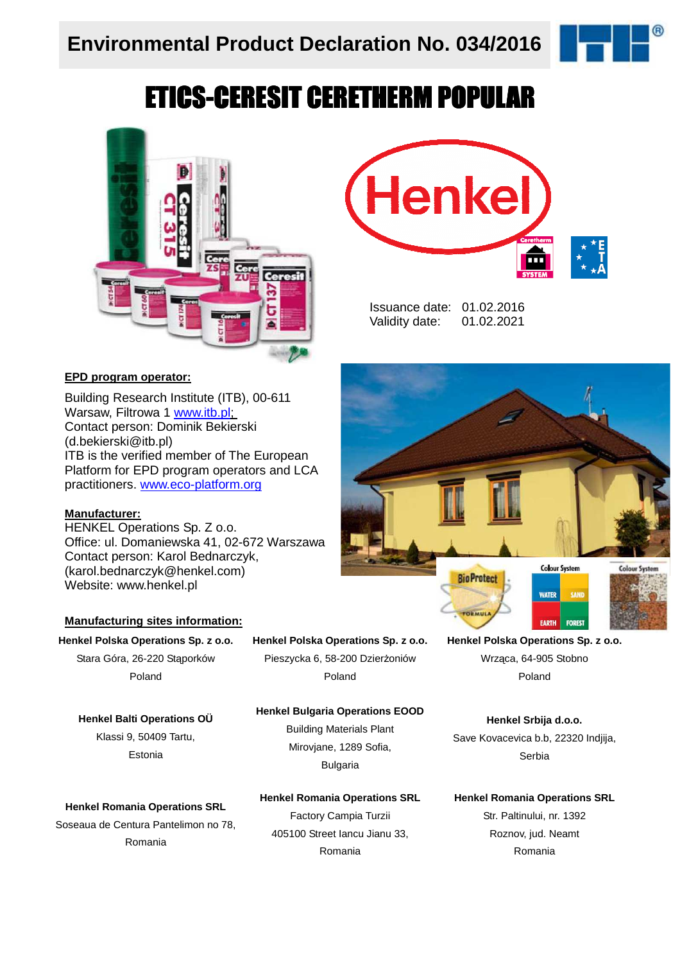

# ETICS-CERESIT CERETHERM POPULAR



#### **EPD program operator:**

Building Research Institute (ITB), 00-611 Warsaw, Filtrowa 1 www.itb.pl; Contact person: Dominik Bekierski (d.bekierski@itb.pl) ITB is the verified member of The European Platform for EPD program operators and LCA practitioners. www.eco-platform.org

#### **Manufacturer:**

HENKEL Operations Sp. Z o.o. Office: ul. Domaniewska 41, 02-672 Warszawa Contact person: Karol Bednarczyk, (karol.bednarczyk@henkel.com) Website: www.henkel.pl

#### **Manufacturing sites information:**

**Henkel Polska Operations Sp. z o.o.**

Stara Góra, 26-220 Stąporków Poland

**Henkel Balti Operations OÜ**  Klassi 9, 50409 Tartu, Estonia

#### **Henkel Polska Operations Sp. z o.o.** Pieszycka 6, 58-200 Dzierżoniów

Poland

#### **Henkel Bulgaria Operations EOOD**

Building Materials Plant Mirovjane, 1289 Sofia, Bulgaria

#### **Henkel Romania Operations SRL**

Soseaua de Centura Pantelimon no 78, Romania

**Henkel Romania Operations SRL** Factory Campia Turzii 405100 Street Iancu Jianu 33, Romania

**Henkel Polska Operations Sp. z o.o.** Wrząca, 64-905 Stobno Poland

**Henkel Srbija d.o.o.**  Save Kovacevica b.b, 22320 Indjija, Serbia

#### **Henkel Romania Operations SRL**

Str. Paltinului, nr. 1392 Roznov, jud. Neamt Romania



Issuance date: 01.02.2016 Validity date: 01.02.2021

**Henkel**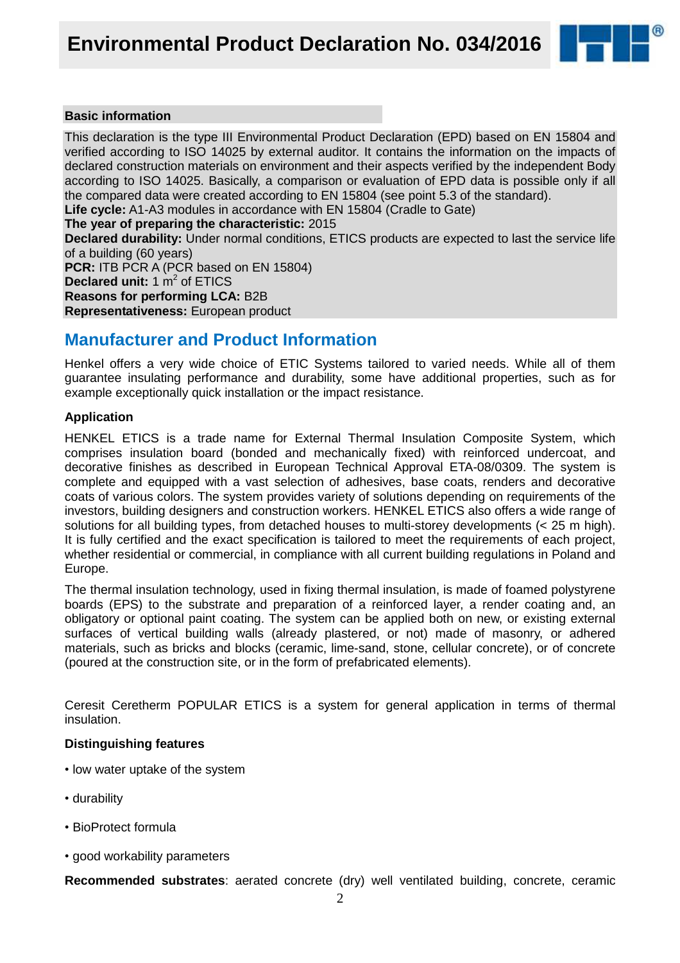

#### **Basic information**

This declaration is the type III Environmental Product Declaration (EPD) based on EN 15804 and verified according to ISO 14025 by external auditor. It contains the information on the impacts of declared construction materials on environment and their aspects verified by the independent Body according to ISO 14025. Basically, a comparison or evaluation of EPD data is possible only if all the compared data were created according to EN 15804 (see point 5.3 of the standard).

**Life cycle:** A1-A3 modules in accordance with EN 15804 (Cradle to Gate)

**The year of preparing the characteristic:** 2015

**Declared durability:** Under normal conditions, ETICS products are expected to last the service life of a building (60 years)

**PCR:** ITB PCR A (PCR based on EN 15804) **Declared unit:** 1 m<sup>2</sup> of ETICS **Reasons for performing LCA:** B2B **Representativeness:** European product

### **Manufacturer and Product Information**

Henkel offers a very wide choice of ETIC Systems tailored to varied needs. While all of them guarantee insulating performance and durability, some have additional properties, such as for example exceptionally quick installation or the impact resistance.

#### **Application**

HENKEL ETICS is a trade name for External Thermal Insulation Composite System, which comprises insulation board (bonded and mechanically fixed) with reinforced undercoat, and decorative finishes as described in European Technical Approval ETA-08/0309. The system is complete and equipped with a vast selection of adhesives, base coats, renders and decorative coats of various colors. The system provides variety of solutions depending on requirements of the investors, building designers and construction workers. HENKEL ETICS also offers a wide range of solutions for all building types, from detached houses to multi-storey developments (< 25 m high). It is fully certified and the exact specification is tailored to meet the requirements of each project, whether residential or commercial, in compliance with all current building regulations in Poland and Europe.

The thermal insulation technology, used in fixing thermal insulation, is made of foamed polystyrene boards (EPS) to the substrate and preparation of a reinforced layer, a render coating and, an obligatory or optional paint coating. The system can be applied both on new, or existing external surfaces of vertical building walls (already plastered, or not) made of masonry, or adhered materials, such as bricks and blocks (ceramic, lime-sand, stone, cellular concrete), or of concrete (poured at the construction site, or in the form of prefabricated elements).

Ceresit Ceretherm POPULAR ETICS is a system for general application in terms of thermal insulation.

#### **Distinguishing features**

- low water uptake of the system
- durability
- BioProtect formula
- good workability parameters

**Recommended substrates**: aerated concrete (dry) well ventilated building, concrete, ceramic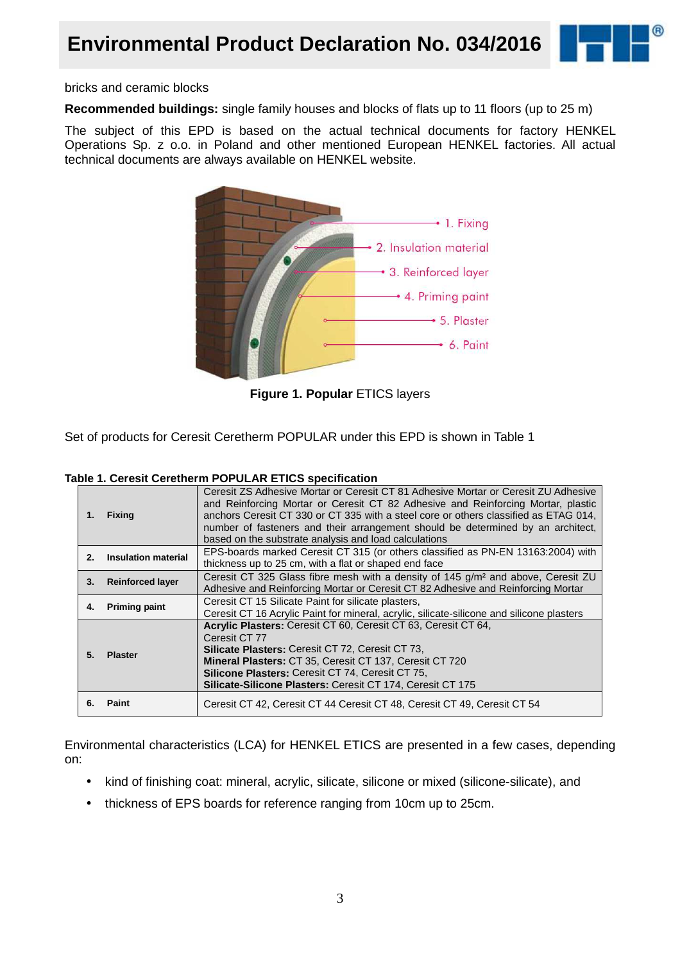



bricks and ceramic blocks

**Recommended buildings:** single family houses and blocks of flats up to 11 floors (up to 25 m)

The subject of this EPD is based on the actual technical documents for factory HENKEL Operations Sp. z o.o. in Poland and other mentioned European HENKEL factories. All actual technical documents are always available on HENKEL website.



**Figure 1. Popular** ETICS layers

Set of products for Ceresit Ceretherm POPULAR under this EPD is shown in Table 1

| Table 1. Ceresit Ceretherm POPULAR ETICS specification |  |
|--------------------------------------------------------|--|
|--------------------------------------------------------|--|

| 1.      | <b>Fixing</b>           | Ceresit ZS Adhesive Mortar or Ceresit CT 81 Adhesive Mortar or Ceresit ZU Adhesive<br>and Reinforcing Mortar or Ceresit CT 82 Adhesive and Reinforcing Mortar, plastic<br>anchors Ceresit CT 330 or CT 335 with a steel core or others classified as ETAG 014,<br>number of fasteners and their arrangement should be determined by an architect,<br>based on the substrate analysis and load calculations |
|---------|-------------------------|------------------------------------------------------------------------------------------------------------------------------------------------------------------------------------------------------------------------------------------------------------------------------------------------------------------------------------------------------------------------------------------------------------|
| $2_{-}$ | Insulation material     | EPS-boards marked Ceresit CT 315 (or others classified as PN-EN 13163:2004) with<br>thickness up to 25 cm, with a flat or shaped end face                                                                                                                                                                                                                                                                  |
| 3.      | <b>Reinforced layer</b> | Ceresit CT 325 Glass fibre mesh with a density of 145 g/m <sup>2</sup> and above, Ceresit ZU<br>Adhesive and Reinforcing Mortar or Ceresit CT 82 Adhesive and Reinforcing Mortar                                                                                                                                                                                                                           |
| 4.      | <b>Priming paint</b>    | Ceresit CT 15 Silicate Paint for silicate plasters,<br>Ceresit CT 16 Acrylic Paint for mineral, acrylic, silicate-silicone and silicone plasters                                                                                                                                                                                                                                                           |
| 5.      | <b>Plaster</b>          | Acrylic Plasters: Ceresit CT 60, Ceresit CT 63, Ceresit CT 64,<br>Ceresit CT 77<br><b>Silicate Plasters: Ceresit CT 72, Ceresit CT 73,</b><br>Mineral Plasters: CT 35, Ceresit CT 137, Ceresit CT 720<br><b>Silicone Plasters: Ceresit CT 74, Ceresit CT 75,</b><br>Silicate-Silicone Plasters: Ceresit CT 174, Ceresit CT 175                                                                             |
| 6.      | <b>Paint</b>            | Ceresit CT 42, Ceresit CT 44 Ceresit CT 48, Ceresit CT 49, Ceresit CT 54                                                                                                                                                                                                                                                                                                                                   |

Environmental characteristics (LCA) for HENKEL ETICS are presented in a few cases, depending on:

- kind of finishing coat: mineral, acrylic, silicate, silicone or mixed (silicone-silicate), and
- thickness of EPS boards for reference ranging from 10cm up to 25cm.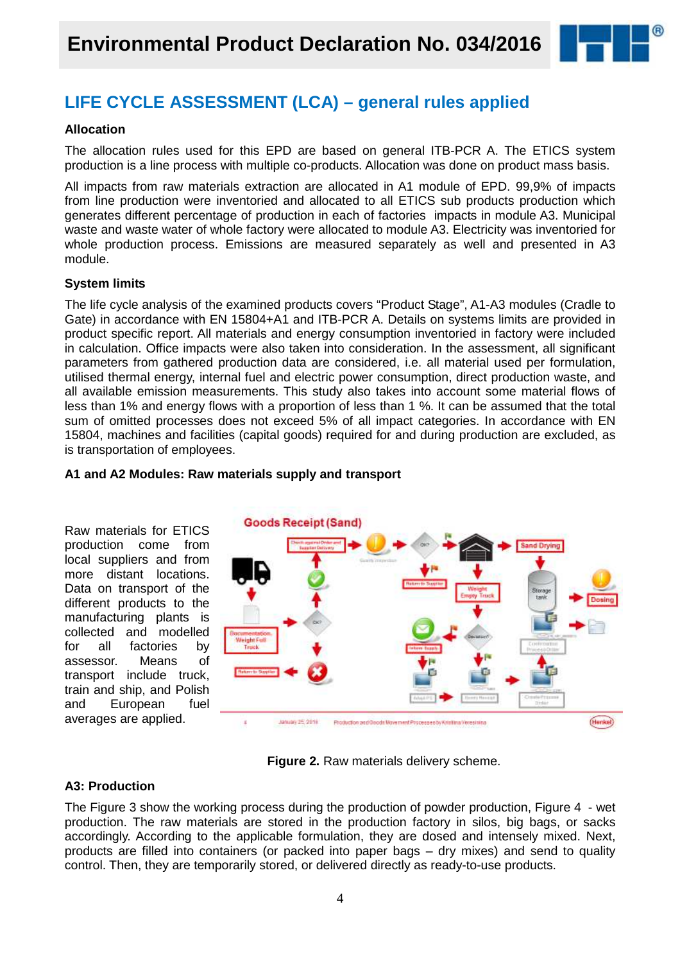

### **LIFE CYCLE ASSESSMENT (LCA) – general rules applied**

### **Allocation**

The allocation rules used for this EPD are based on general ITB-PCR A. The ETICS system production is a line process with multiple co-products. Allocation was done on product mass basis.

All impacts from raw materials extraction are allocated in A1 module of EPD. 99,9% of impacts from line production were inventoried and allocated to all ETICS sub products production which generates different percentage of production in each of factories impacts in module A3. Municipal waste and waste water of whole factory were allocated to module A3. Electricity was inventoried for whole production process. Emissions are measured separately as well and presented in A3 module.

### **System limits**

The life cycle analysis of the examined products covers "Product Stage", A1-A3 modules (Cradle to Gate) in accordance with EN 15804+A1 and ITB-PCR A. Details on systems limits are provided in product specific report. All materials and energy consumption inventoried in factory were included in calculation. Office impacts were also taken into consideration. In the assessment, all significant parameters from gathered production data are considered, i.e. all material used per formulation, utilised thermal energy, internal fuel and electric power consumption, direct production waste, and all available emission measurements. This study also takes into account some material flows of less than 1% and energy flows with a proportion of less than 1 %. It can be assumed that the total sum of omitted processes does not exceed 5% of all impact categories. In accordance with EN 15804, machines and facilities (capital goods) required for and during production are excluded, as is transportation of employees.



### **A1 and A2 Modules: Raw materials supply and transport**

**Figure 2.** Raw materials delivery scheme.

### **A3: Production**

The Figure 3 show the working process during the production of powder production, Figure 4 - wet production. The raw materials are stored in the production factory in silos, big bags, or sacks accordingly. According to the applicable formulation, they are dosed and intensely mixed. Next, products are filled into containers (or packed into paper bags – dry mixes) and send to quality control. Then, they are temporarily stored, or delivered directly as ready-to-use products.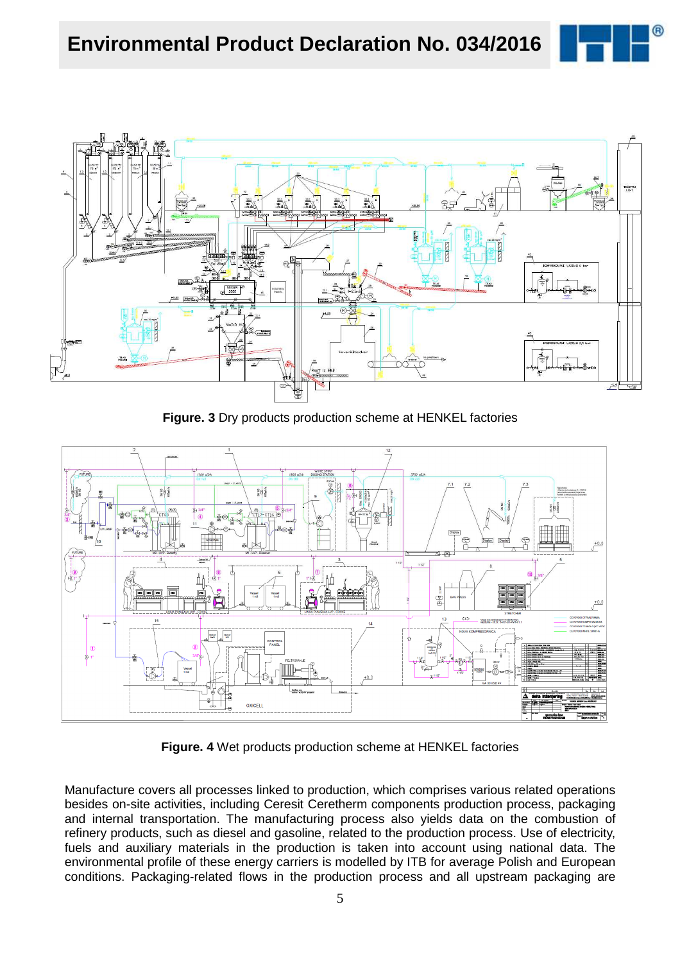



**Figure. 3** Dry products production scheme at HENKEL factories



**Figure. 4** Wet products production scheme at HENKEL factories

Manufacture covers all processes linked to production, which comprises various related operations besides on-site activities, including Ceresit Ceretherm components production process, packaging and internal transportation. The manufacturing process also yields data on the combustion of refinery products, such as diesel and gasoline, related to the production process. Use of electricity, fuels and auxiliary materials in the production is taken into account using national data. The environmental profile of these energy carriers is modelled by ITB for average Polish and European conditions. Packaging-related flows in the production process and all upstream packaging are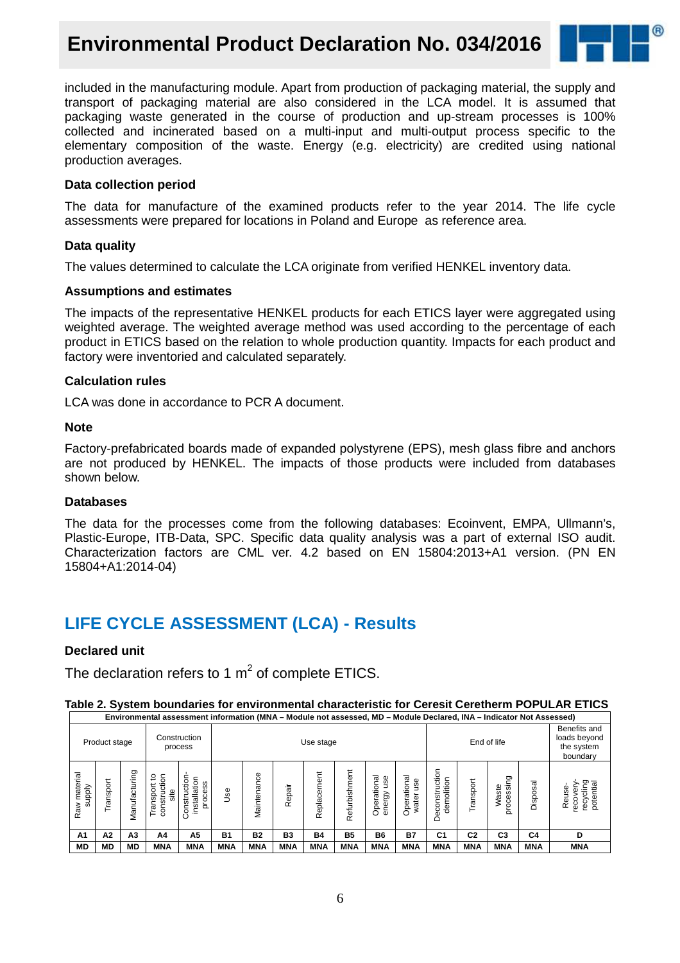### **Environmental Product Declaration No. 034/2016**



included in the manufacturing module. Apart from production of packaging material, the supply and transport of packaging material are also considered in the LCA model. It is assumed that packaging waste generated in the course of production and up-stream processes is 100% collected and incinerated based on a multi-input and multi-output process specific to the elementary composition of the waste. Energy (e.g. electricity) are credited using national production averages.

#### **Data collection period**

The data for manufacture of the examined products refer to the year 2014. The life cycle assessments were prepared for locations in Poland and Europe as reference area.

#### **Data quality**

The values determined to calculate the LCA originate from verified HENKEL inventory data.

#### **Assumptions and estimates**

The impacts of the representative HENKEL products for each ETICS layer were aggregated using weighted average. The weighted average method was used according to the percentage of each product in ETICS based on the relation to whole production quantity. Impacts for each product and factory were inventoried and calculated separately.

#### **Calculation rules**

LCA was done in accordance to PCR A document.

#### **Note**

Factory-prefabricated boards made of expanded polystyrene (EPS), mesh glass fibre and anchors are not produced by HENKEL. The impacts of those products were included from databases shown below.

#### **Databases**

The data for the processes come from the following databases: Ecoinvent, EMPA, Ullmann's, Plastic-Europe, ITB-Data, SPC. Specific data quality analysis was a part of external ISO audit. Characterization factors are CML ver. 4.2 based on EN 15804:2013+A1 version. (PN EN 15804+A1:2014-04)

### **LIFE CYCLE ASSESSMENT (LCA) - Results**

### **Declared unit**

The declaration refers to 1  $m^2$  of complete ETICS.

#### **Table 2. System boundaries for environmental characteristic for Ceresit Ceretherm POPULAR ETICS Environmental assessment information (MNA – Module not assessed, MD – Module Declared, INA – Indicator Not Assessed)**

|                           | Product stage |                      |                                             | Construction<br>process                     |            |             |                | Use stage   |               |                                   |                            |                                               |                | End of life         |                | Benefits and<br>loads beyond<br>the system<br>boundary |
|---------------------------|---------------|----------------------|---------------------------------------------|---------------------------------------------|------------|-------------|----------------|-------------|---------------|-----------------------------------|----------------------------|-----------------------------------------------|----------------|---------------------|----------------|--------------------------------------------------------|
| material<br>supply<br>Raw | ranspo        | cturing<br>ğ<br>Nani | ã<br>ೆ<br>constructi<br>nsport<br>site<br>룉 | Construction<br>installation<br>cess<br>pro | Use        | Maintenance | Repair         | Replacement | Refurbishment | onal<br>use<br>Operatio<br>energy | Operational<br>Φ<br>৯<br>ಕ | tion<br>demolition<br>ပ<br>guo<br>ပ<br>Φ<br>Õ | Transport      | processing<br>Waste | Disposal       | recycling<br>potential<br>Reuse-<br>reco               |
| A1                        | А2            | A <sub>3</sub>       | A4                                          | A5                                          | <b>B1</b>  | <b>B2</b>   | B <sub>3</sub> | <b>B4</b>   | <b>B5</b>     | <b>B6</b>                         | <b>B7</b>                  | C <sub>1</sub>                                | C <sub>2</sub> | C <sub>3</sub>      | C <sub>4</sub> | D                                                      |
| MD                        | <b>MD</b>     | <b>MD</b>            | <b>MNA</b>                                  | <b>MNA</b>                                  | <b>MNA</b> | <b>MNA</b>  | <b>MNA</b>     | <b>MNA</b>  | <b>MNA</b>    | <b>MNA</b>                        | <b>MNA</b>                 | <b>MNA</b>                                    | <b>MNA</b>     | <b>MNA</b>          | <b>MNA</b>     | <b>MNA</b>                                             |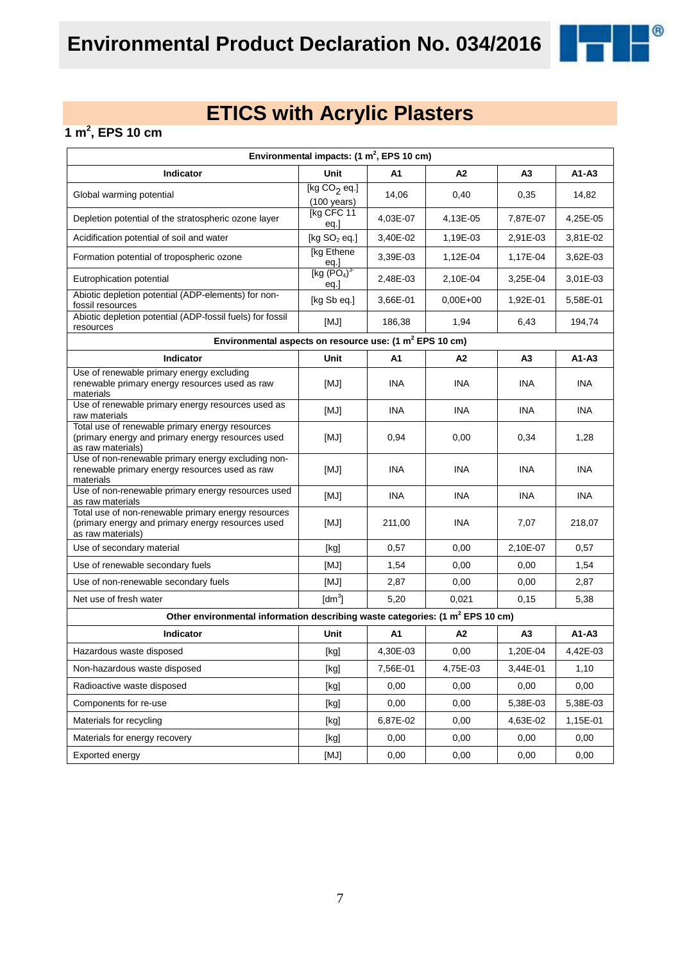

### **1 m<sup>2</sup> , EPS 10 cm**

| Environmental impacts: $(1 \text{ m}^2,$ EPS 10 cm)                                                                           |                                         |            |            |                |            |  |  |
|-------------------------------------------------------------------------------------------------------------------------------|-----------------------------------------|------------|------------|----------------|------------|--|--|
| <b>Indicator</b>                                                                                                              | Unit                                    | A1         | А2         | A <sub>3</sub> | A1-A3      |  |  |
| Global warming potential                                                                                                      | [kg $CO2$ eq.]<br>$(100 \text{ years})$ | 14,06      | 0,40       | 0,35           | 14,82      |  |  |
| Depletion potential of the stratospheric ozone layer                                                                          | [kg CFC 11<br>eq.]                      | 4,03E-07   | 4,13E-05   | 7,87E-07       | 4,25E-05   |  |  |
| Acidification potential of soil and water                                                                                     | [kg $SO2$ eq.]                          | 3,40E-02   | 1,19E-03   | 2,91E-03       | 3,81E-02   |  |  |
| Formation potential of tropospheric ozone                                                                                     | [kg Ethene]                             | 3,39E-03   | 1,12E-04   | 1,17E-04       | 3,62E-03   |  |  |
| Eutrophication potential                                                                                                      | $\frac{eq.}{[kg (PO4)3}$<br>eq.]        | 2,48E-03   | 2,10E-04   | 3,25E-04       | 3,01E-03   |  |  |
| Abiotic depletion potential (ADP-elements) for non-<br>fossil resources                                                       | [kg Sb eq.]                             | 3,66E-01   | $0,00E+00$ | 1,92E-01       | 5,58E-01   |  |  |
| Abiotic depletion potential (ADP-fossil fuels) for fossil<br>resources                                                        | [MJ]                                    | 186,38     | 1,94       | 6,43           | 194,74     |  |  |
| Environmental aspects on resource use: (1 m <sup>2</sup> EPS 10 cm)                                                           |                                         |            |            |                |            |  |  |
| Indicator                                                                                                                     | Unit                                    | А1         | А2         | А3             | $A1 - A3$  |  |  |
| Use of renewable primary energy excluding<br>renewable primary energy resources used as raw<br>materials                      | [MJ]                                    | INA        | INA        | <b>INA</b>     | <b>INA</b> |  |  |
| Use of renewable primary energy resources used as<br>raw materials                                                            | [MJ]                                    | <b>INA</b> | <b>INA</b> | <b>INA</b>     | <b>INA</b> |  |  |
| Total use of renewable primary energy resources<br>(primary energy and primary energy resources used<br>as raw materials)     | [MJ]                                    | 0,94       | 0,00       | 0,34           | 1,28       |  |  |
| Use of non-renewable primary energy excluding non-<br>renewable primary energy resources used as raw<br>materials             | [MJ]                                    | INA        | INA        | <b>INA</b>     | <b>INA</b> |  |  |
| Use of non-renewable primary energy resources used<br>as raw materials                                                        | [MJ]                                    | <b>INA</b> | <b>INA</b> | INA            | <b>INA</b> |  |  |
| Total use of non-renewable primary energy resources<br>(primary energy and primary energy resources used<br>as raw materials) | [MJ]                                    | 211,00     | INA        | 7,07           | 218,07     |  |  |
| Use of secondary material                                                                                                     | [kg]                                    | 0,57       | 0,00       | 2,10E-07       | 0,57       |  |  |
| Use of renewable secondary fuels                                                                                              | [MJ]                                    | 1,54       | 0,00       | 0,00           | 1,54       |  |  |
| Use of non-renewable secondary fuels                                                                                          | [MJ]                                    | 2,87       | 0,00       | 0,00           | 2,87       |  |  |
| Net use of fresh water                                                                                                        | $\text{[dm}^3$                          | 5,20       | 0,021      | 0,15           | 5,38       |  |  |
| Other environmental information describing waste categories: (1 m <sup>2</sup> EPS 10 cm)                                     |                                         |            |            |                |            |  |  |
| Indicator                                                                                                                     | Unit                                    | A1         | A2         | A <sub>3</sub> | $A1 - A3$  |  |  |
| Hazardous waste disposed                                                                                                      | [kg]                                    | 4,30E-03   | 0,00       | 1,20E-04       | 4,42E-03   |  |  |
| Non-hazardous waste disposed                                                                                                  | [kg]                                    | 7,56E-01   | 4,75E-03   | 3,44E-01       | 1,10       |  |  |
| Radioactive waste disposed                                                                                                    | [kg]                                    | 0,00       | 0,00       | 0,00           | 0,00       |  |  |
| Components for re-use                                                                                                         | [kg]                                    | 0,00       | 0,00       | 5,38E-03       | 5,38E-03   |  |  |
| Materials for recycling                                                                                                       | [kg]                                    | 6,87E-02   | 0,00       | 4,63E-02       | 1,15E-01   |  |  |
| Materials for energy recovery                                                                                                 | [kg]                                    | 0,00       | 0,00       | 0,00           | 0,00       |  |  |
| Exported energy                                                                                                               | [MJ]                                    | 0,00       | 0,00       | 0,00           | 0,00       |  |  |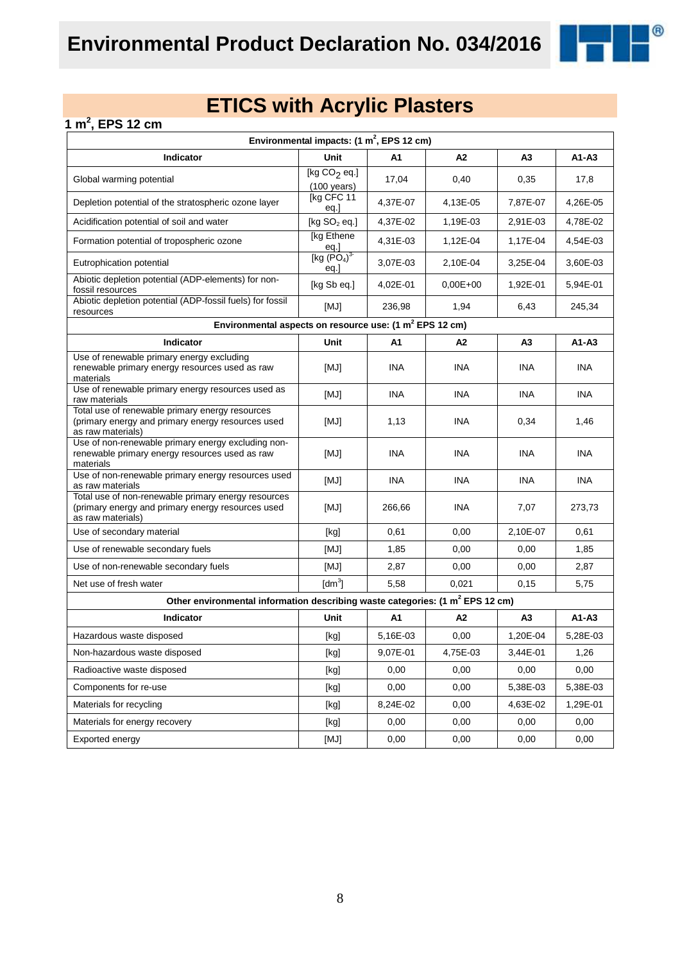

### **1 m<sup>2</sup> , EPS 12 cm**

| Environmental impacts: $(1 \text{ m}^2,$ EPS 12 cm)                                                                           |                                                                                                                                                                                                                                                                                                                                                                                                                                                                                                                                                                                                                                                                                              |            |              |                |            |  |  |
|-------------------------------------------------------------------------------------------------------------------------------|----------------------------------------------------------------------------------------------------------------------------------------------------------------------------------------------------------------------------------------------------------------------------------------------------------------------------------------------------------------------------------------------------------------------------------------------------------------------------------------------------------------------------------------------------------------------------------------------------------------------------------------------------------------------------------------------|------------|--------------|----------------|------------|--|--|
| Indicator                                                                                                                     | Unit                                                                                                                                                                                                                                                                                                                                                                                                                                                                                                                                                                                                                                                                                         | A1         | А2           | A <sub>3</sub> | $A1 - A3$  |  |  |
| Global warming potential                                                                                                      | [kg $CO2$ eq.]<br>$(100 \text{ years})$                                                                                                                                                                                                                                                                                                                                                                                                                                                                                                                                                                                                                                                      | 17,04      | 0,40         | 0,35           | 17,8       |  |  |
| Depletion potential of the stratospheric ozone layer                                                                          | [kg CFC 11<br>eq.]                                                                                                                                                                                                                                                                                                                                                                                                                                                                                                                                                                                                                                                                           | 4,37E-07   | 4,13E-05     | 7,87E-07       | 4,26E-05   |  |  |
| Acidification potential of soil and water                                                                                     | [kg $SO2$ eq.]                                                                                                                                                                                                                                                                                                                                                                                                                                                                                                                                                                                                                                                                               | 4,37E-02   | 1,19E-03     | 2,91E-03       | 4,78E-02   |  |  |
| Formation potential of tropospheric ozone                                                                                     | [kg Ethene]<br>eq.]<br>[kg $(PO4)3$                                                                                                                                                                                                                                                                                                                                                                                                                                                                                                                                                                                                                                                          | 4,31E-03   | 1,12E-04     | 1,17E-04       | 4,54E-03   |  |  |
| Eutrophication potential                                                                                                      | eq.                                                                                                                                                                                                                                                                                                                                                                                                                                                                                                                                                                                                                                                                                          | 3,07E-03   | 2,10E-04     | 3,25E-04       | 3,60E-03   |  |  |
| Abiotic depletion potential (ADP-elements) for non-<br>fossil resources                                                       | [kg Sb eq.]                                                                                                                                                                                                                                                                                                                                                                                                                                                                                                                                                                                                                                                                                  | 4,02E-01   | $0.00E + 00$ | 1,92E-01       | 5,94E-01   |  |  |
| Abiotic depletion potential (ADP-fossil fuels) for fossil<br>resources                                                        | [MJ]                                                                                                                                                                                                                                                                                                                                                                                                                                                                                                                                                                                                                                                                                         | 236,98     | 1,94         | 6,43           | 245,34     |  |  |
| Environmental aspects on resource use: (1 m <sup>2</sup> EPS 12 cm)                                                           |                                                                                                                                                                                                                                                                                                                                                                                                                                                                                                                                                                                                                                                                                              |            |              |                |            |  |  |
| Indicator                                                                                                                     | Unit                                                                                                                                                                                                                                                                                                                                                                                                                                                                                                                                                                                                                                                                                         | A1         | А2           | A3             | $A1 - A3$  |  |  |
| Use of renewable primary energy excluding<br>renewable primary energy resources used as raw<br>materials                      | [MJ]                                                                                                                                                                                                                                                                                                                                                                                                                                                                                                                                                                                                                                                                                         | <b>INA</b> | <b>INA</b>   | <b>INA</b>     | <b>INA</b> |  |  |
| Use of renewable primary energy resources used as<br>raw materials                                                            | [MJ]                                                                                                                                                                                                                                                                                                                                                                                                                                                                                                                                                                                                                                                                                         | <b>INA</b> | <b>INA</b>   | <b>INA</b>     | <b>INA</b> |  |  |
| Total use of renewable primary energy resources<br>(primary energy and primary energy resources used<br>as raw materials)     | [MJ]                                                                                                                                                                                                                                                                                                                                                                                                                                                                                                                                                                                                                                                                                         | 1,13       | <b>INA</b>   | 0,34           | 1,46       |  |  |
| Use of non-renewable primary energy excluding non-<br>renewable primary energy resources used as raw<br>materials             | [MJ]                                                                                                                                                                                                                                                                                                                                                                                                                                                                                                                                                                                                                                                                                         | <b>INA</b> | INA          | <b>INA</b>     | <b>INA</b> |  |  |
| Use of non-renewable primary energy resources used<br>as raw materials                                                        | [MJ]                                                                                                                                                                                                                                                                                                                                                                                                                                                                                                                                                                                                                                                                                         | <b>INA</b> | <b>INA</b>   | <b>INA</b>     | <b>INA</b> |  |  |
| Total use of non-renewable primary energy resources<br>(primary energy and primary energy resources used<br>as raw materials) | [MJ]                                                                                                                                                                                                                                                                                                                                                                                                                                                                                                                                                                                                                                                                                         | 266,66     | <b>INA</b>   | 7,07           | 273,73     |  |  |
| Use of secondary material                                                                                                     | [kg]                                                                                                                                                                                                                                                                                                                                                                                                                                                                                                                                                                                                                                                                                         | 0,61       | 0,00         | 2,10E-07       | 0,61       |  |  |
| Use of renewable secondary fuels                                                                                              | [MJ]                                                                                                                                                                                                                                                                                                                                                                                                                                                                                                                                                                                                                                                                                         | 1,85       | 0,00         | 0,00           | 1,85       |  |  |
| Use of non-renewable secondary fuels                                                                                          | [MJ]                                                                                                                                                                                                                                                                                                                                                                                                                                                                                                                                                                                                                                                                                         | 2,87       | 0,00         | 0,00           | 2,87       |  |  |
| Net use of fresh water                                                                                                        | $\text{[dm}^3$                                                                                                                                                                                                                                                                                                                                                                                                                                                                                                                                                                                                                                                                               | 5,58       | 0,021        | 0,15           | 5,75       |  |  |
| Other environmental information describing waste categories: (1 m <sup>2</sup> EPS 12 cm)                                     |                                                                                                                                                                                                                                                                                                                                                                                                                                                                                                                                                                                                                                                                                              |            |              |                |            |  |  |
| Indicator                                                                                                                     | Unit                                                                                                                                                                                                                                                                                                                                                                                                                                                                                                                                                                                                                                                                                         | A1         | A2           | A3             | $A1 - A3$  |  |  |
| Hazardous waste disposed                                                                                                      | [kg]                                                                                                                                                                                                                                                                                                                                                                                                                                                                                                                                                                                                                                                                                         | 5,16E-03   | 0,00         | 1,20E-04       | 5,28E-03   |  |  |
| Non-hazardous waste disposed                                                                                                  | $[kg] % \begin{center} % \includegraphics[width=\linewidth]{imagesSupplemental/Imetad-Architecture.png} % \end{center} % \caption { % \begin{subfigure}[M5]{0.23\textwidth} \includegraphics[width=\linewidth]{imagesSupplemental/Imetad-Architecture.png} } % \end{subfigure} % \begin{subfigure}[M5]{0.23\textwidth} \includegraphics[width=\linewidth]{imagesSupplemental/Imetad-Architecture.png} } % \end{subfigure} % \caption { % \begin{subfigure}[M5]{0.23\textwidth} \includegraphics[width=\linewidth]{imagesSupplemental/Imetad-Architecture.png} } % \end{subfigure} % \caption{ % \begin{subfigure}[M5]{0.23\textwidth} \includegraphics[width=\linewidth]{imagesSupplemental$ | 9,07E-01   | 4,75E-03     | 3,44E-01       | 1,26       |  |  |
| Radioactive waste disposed                                                                                                    | [kg]                                                                                                                                                                                                                                                                                                                                                                                                                                                                                                                                                                                                                                                                                         | 0,00       | 0,00         | 0,00           | 0,00       |  |  |
| Components for re-use                                                                                                         | [kg]                                                                                                                                                                                                                                                                                                                                                                                                                                                                                                                                                                                                                                                                                         | 0,00       | 0,00         | 5,38E-03       | 5,38E-03   |  |  |
| Materials for recycling                                                                                                       | [kg]                                                                                                                                                                                                                                                                                                                                                                                                                                                                                                                                                                                                                                                                                         | 8,24E-02   | 0,00         | 4,63E-02       | 1,29E-01   |  |  |
| Materials for energy recovery                                                                                                 | [kg]                                                                                                                                                                                                                                                                                                                                                                                                                                                                                                                                                                                                                                                                                         | 0,00       | 0,00         | 0,00           | 0,00       |  |  |
| Exported energy                                                                                                               | [MJ]                                                                                                                                                                                                                                                                                                                                                                                                                                                                                                                                                                                                                                                                                         | 0,00       | 0,00         | 0,00           | 0,00       |  |  |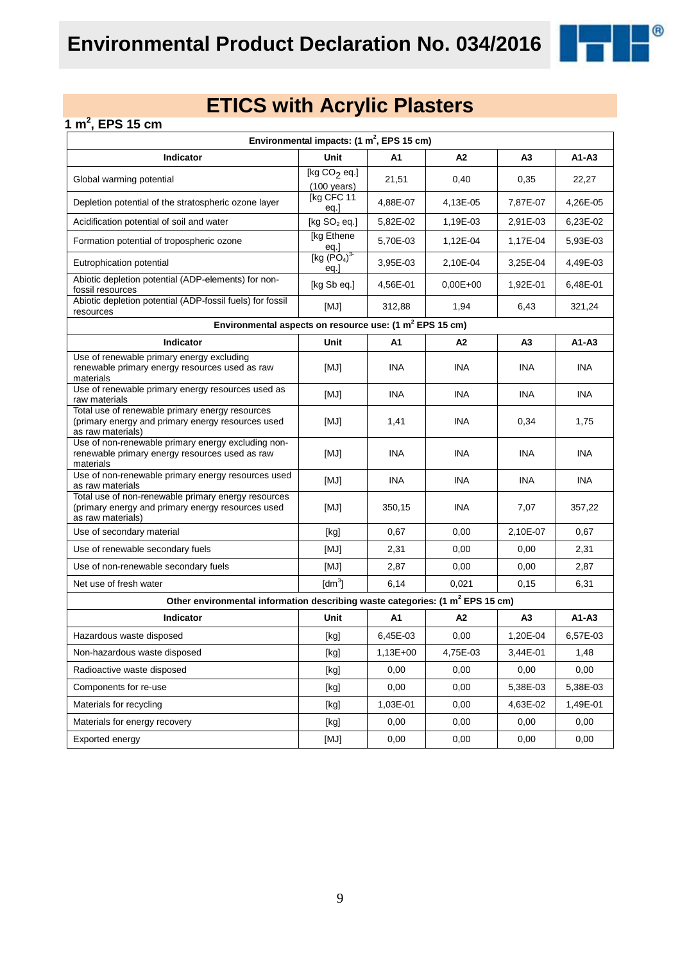

### **1 m<sup>2</sup> , EPS 15 cm**

| Environmental impacts: $(1 \text{ m}^2,$ EPS 15 cm)                                                                           |                                         |            |                |                |            |  |  |
|-------------------------------------------------------------------------------------------------------------------------------|-----------------------------------------|------------|----------------|----------------|------------|--|--|
| Indicator                                                                                                                     | Unit                                    | А1         | A2             | A <sub>3</sub> | $A1 - A3$  |  |  |
| Global warming potential                                                                                                      | [kg $CO2$ eq.]<br>$(100 \text{ years})$ | 21,51      | 0,40           | 0,35           | 22,27      |  |  |
| Depletion potential of the stratospheric ozone layer                                                                          | [kg CFC 11<br>eq.]                      | 4,88E-07   | 4,13E-05       | 7,87E-07       | 4,26E-05   |  |  |
| Acidification potential of soil and water                                                                                     | [kg $SO2$ eq.]                          | 5,82E-02   | 1,19E-03       | 2,91E-03       | 6,23E-02   |  |  |
| Formation potential of tropospheric ozone                                                                                     | [kg Ethene<br>$\frac{eq.}{[kg (PO4)3}$  | 5,70E-03   | 1,12E-04       | 1,17E-04       | 5,93E-03   |  |  |
| Eutrophication potential                                                                                                      | eq.                                     | 3,95E-03   | 2,10E-04       | 3,25E-04       | 4,49E-03   |  |  |
| Abiotic depletion potential (ADP-elements) for non-<br>fossil resources                                                       | [kg Sb eq.]                             | 4,56E-01   | $0.00E + 00$   | 1,92E-01       | 6,48E-01   |  |  |
| Abiotic depletion potential (ADP-fossil fuels) for fossil<br>resources                                                        | [MJ]                                    | 312,88     | 1,94           | 6,43           | 321,24     |  |  |
| Environmental aspects on resource use: (1 m <sup>2</sup> EPS 15 cm)                                                           |                                         |            |                |                |            |  |  |
| Indicator                                                                                                                     | Unit                                    | A1         | A <sub>2</sub> | A <sub>3</sub> | A1-A3      |  |  |
| Use of renewable primary energy excluding<br>renewable primary energy resources used as raw<br>materials                      | [MJ]                                    | INA        | <b>INA</b>     | INA            | <b>INA</b> |  |  |
| Use of renewable primary energy resources used as<br>raw materials                                                            | [MJ]                                    | <b>INA</b> | <b>INA</b>     | <b>INA</b>     | <b>INA</b> |  |  |
| Total use of renewable primary energy resources<br>(primary energy and primary energy resources used<br>as raw materials)     | [MJ]                                    | 1,41       | <b>INA</b>     | 0,34           | 1,75       |  |  |
| Use of non-renewable primary energy excluding non-<br>renewable primary energy resources used as raw<br>materials             | [MJ]                                    | INA        | INA            | INA            | <b>INA</b> |  |  |
| Use of non-renewable primary energy resources used<br>as raw materials                                                        | [MJ]                                    | <b>INA</b> | <b>INA</b>     | <b>INA</b>     | INA.       |  |  |
| Total use of non-renewable primary energy resources<br>(primary energy and primary energy resources used<br>as raw materials) | [MJ]                                    | 350,15     | <b>INA</b>     | 7,07           | 357,22     |  |  |
| Use of secondary material                                                                                                     | [kg]                                    | 0,67       | 0,00           | 2,10E-07       | 0,67       |  |  |
| Use of renewable secondary fuels                                                                                              | [MJ]                                    | 2,31       | 0,00           | 0,00           | 2,31       |  |  |
| Use of non-renewable secondary fuels                                                                                          | [MJ]                                    | 2,87       | 0,00           | 0,00           | 2,87       |  |  |
| Net use of fresh water                                                                                                        | $\text{[dm}^3$                          | 6,14       | 0,021          | 0,15           | 6,31       |  |  |
| Other environmental information describing waste categories: (1 m <sup>2</sup> EPS 15 cm)                                     |                                         |            |                |                |            |  |  |
| Indicator                                                                                                                     | Unit                                    | A1         | A2             | A <sub>3</sub> | A1-A3      |  |  |
| Hazardous waste disposed                                                                                                      | [kg]                                    | 6,45E-03   | 0,00           | 1,20E-04       | 6,57E-03   |  |  |
| Non-hazardous waste disposed                                                                                                  | [kg]                                    | 1,13E+00   | 4,75E-03       | 3,44E-01       | 1,48       |  |  |
| Radioactive waste disposed                                                                                                    | [kg]                                    | 0,00       | 0,00           | 0,00           | 0,00       |  |  |
| Components for re-use                                                                                                         | [kg]                                    | 0,00       | 0,00           | 5,38E-03       | 5,38E-03   |  |  |
| Materials for recycling                                                                                                       | [kg]                                    | 1,03E-01   | 0,00           | 4,63E-02       | 1,49E-01   |  |  |
| Materials for energy recovery                                                                                                 | [kg]                                    | 0,00       | 0,00           | 0,00           | 0,00       |  |  |
| Exported energy                                                                                                               | [MJ]                                    | 0,00       | 0,00           | 0,00           | 0,00       |  |  |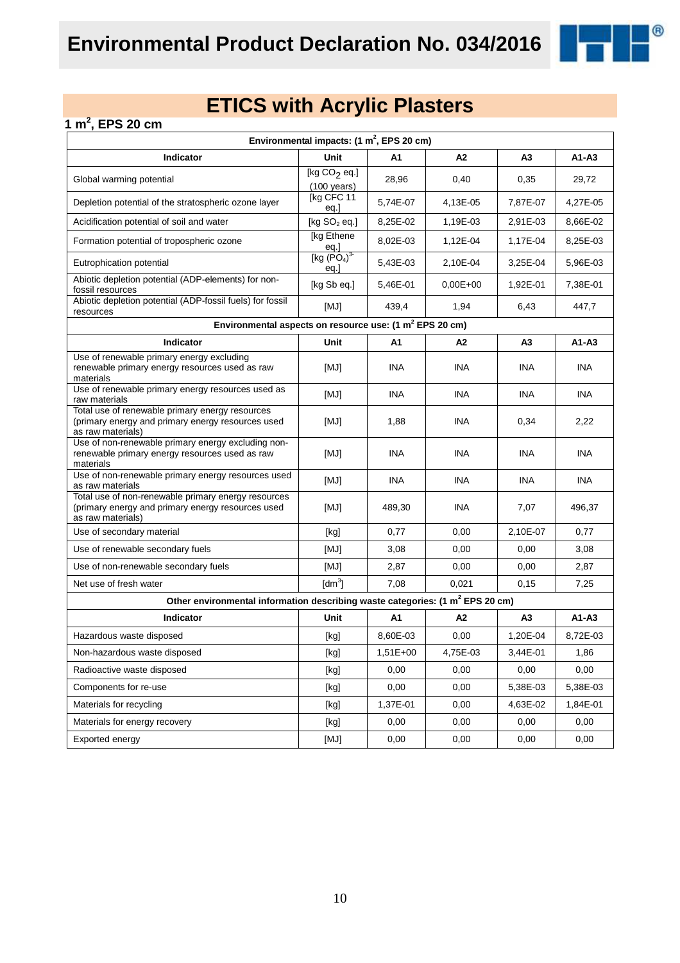

### **1 m<sup>2</sup> , EPS 20 cm**

| Environmental impacts: $(1 \text{ m}^2,$ EPS 20 cm)                                                                           |                                         |            |              |                |            |  |  |
|-------------------------------------------------------------------------------------------------------------------------------|-----------------------------------------|------------|--------------|----------------|------------|--|--|
| Indicator                                                                                                                     | Unit                                    | A1         | A2           | A3             | $A1 - A3$  |  |  |
| Global warming potential                                                                                                      | [kg $CO2$ eq.]<br>$(100 \text{ years})$ | 28,96      | 0,40         | 0,35           | 29,72      |  |  |
| Depletion potential of the stratospheric ozone layer                                                                          | [kg CFC 11<br>eq.]                      | 5,74E-07   | 4,13E-05     | 7,87E-07       | 4,27E-05   |  |  |
| Acidification potential of soil and water                                                                                     | [kg $SO2$ eq.]                          | 8,25E-02   | 1,19E-03     | 2,91E-03       | 8,66E-02   |  |  |
| Formation potential of tropospheric ozone                                                                                     | [kg Ethene]<br>eq.]                     | 8,02E-03   | 1,12E-04     | 1,17E-04       | 8,25E-03   |  |  |
| Eutrophication potential                                                                                                      | [kg $(PO4)3$<br>eq.                     | 5,43E-03   | 2,10E-04     | 3,25E-04       | 5,96E-03   |  |  |
| Abiotic depletion potential (ADP-elements) for non-<br>fossil resources                                                       | [kg Sb eq.]                             | 5,46E-01   | $0.00E + 00$ | 1,92E-01       | 7,38E-01   |  |  |
| Abiotic depletion potential (ADP-fossil fuels) for fossil<br>resources                                                        | [MJ]                                    | 439,4      | 1,94         | 6,43           | 447,7      |  |  |
| Environmental aspects on resource use: (1 m <sup>2</sup> EPS 20 cm)                                                           |                                         |            |              |                |            |  |  |
| Indicator                                                                                                                     | Unit                                    | A1         | А2           | A <sub>3</sub> | $A1 - A3$  |  |  |
| Use of renewable primary energy excluding<br>renewable primary energy resources used as raw<br>materials                      | [MJ]                                    | <b>INA</b> | <b>INA</b>   | <b>INA</b>     | <b>INA</b> |  |  |
| Use of renewable primary energy resources used as<br>raw materials                                                            | [MJ]                                    | <b>INA</b> | <b>INA</b>   | <b>INA</b>     | <b>INA</b> |  |  |
| Total use of renewable primary energy resources<br>(primary energy and primary energy resources used<br>as raw materials)     | [MJ]                                    | 1,88       | <b>INA</b>   | 0,34           | 2,22       |  |  |
| Use of non-renewable primary energy excluding non-<br>renewable primary energy resources used as raw<br>materials             | [MJ]                                    | INA        | INA          | INA            | <b>INA</b> |  |  |
| Use of non-renewable primary energy resources used<br>as raw materials                                                        | [MJ]                                    | <b>INA</b> | INA          | <b>INA</b>     | <b>INA</b> |  |  |
| Total use of non-renewable primary energy resources<br>(primary energy and primary energy resources used<br>as raw materials) | [MJ]                                    | 489,30     | <b>INA</b>   | 7,07           | 496,37     |  |  |
| Use of secondary material                                                                                                     | [kg]                                    | 0,77       | 0,00         | 2,10E-07       | 0,77       |  |  |
| Use of renewable secondary fuels                                                                                              | [MJ]                                    | 3,08       | 0,00         | 0,00           | 3,08       |  |  |
| Use of non-renewable secondary fuels                                                                                          | [MJ]                                    | 2,87       | 0,00         | 0,00           | 2,87       |  |  |
| Net use of fresh water                                                                                                        | $\text{[dm}^3$                          | 7,08       | 0,021        | 0,15           | 7,25       |  |  |
| Other environmental information describing waste categories: (1 m <sup>2</sup> EPS 20 cm)                                     |                                         |            |              |                |            |  |  |
| Indicator                                                                                                                     | Unit                                    | A1         | A2           | A <sub>3</sub> | $A1 - A3$  |  |  |
| Hazardous waste disposed                                                                                                      | [kg]                                    | 8,60E-03   | 0,00         | 1,20E-04       | 8,72E-03   |  |  |
| Non-hazardous waste disposed                                                                                                  | [kg]                                    | $1,51E+00$ | 4,75E-03     | 3,44E-01       | 1,86       |  |  |
| Radioactive waste disposed                                                                                                    | [kg]                                    | 0,00       | 0,00         | 0,00           | 0,00       |  |  |
| Components for re-use                                                                                                         | [kg]                                    | 0,00       | 0,00         | 5,38E-03       | 5,38E-03   |  |  |
| Materials for recycling                                                                                                       | [kg]                                    | 1,37E-01   | 0,00         | 4,63E-02       | 1,84E-01   |  |  |
| Materials for energy recovery                                                                                                 | [kg]                                    | 0,00       | 0,00         | 0,00           | 0,00       |  |  |
| Exported energy                                                                                                               | [MJ]                                    | 0,00       | 0,00         | 0,00           | 0,00       |  |  |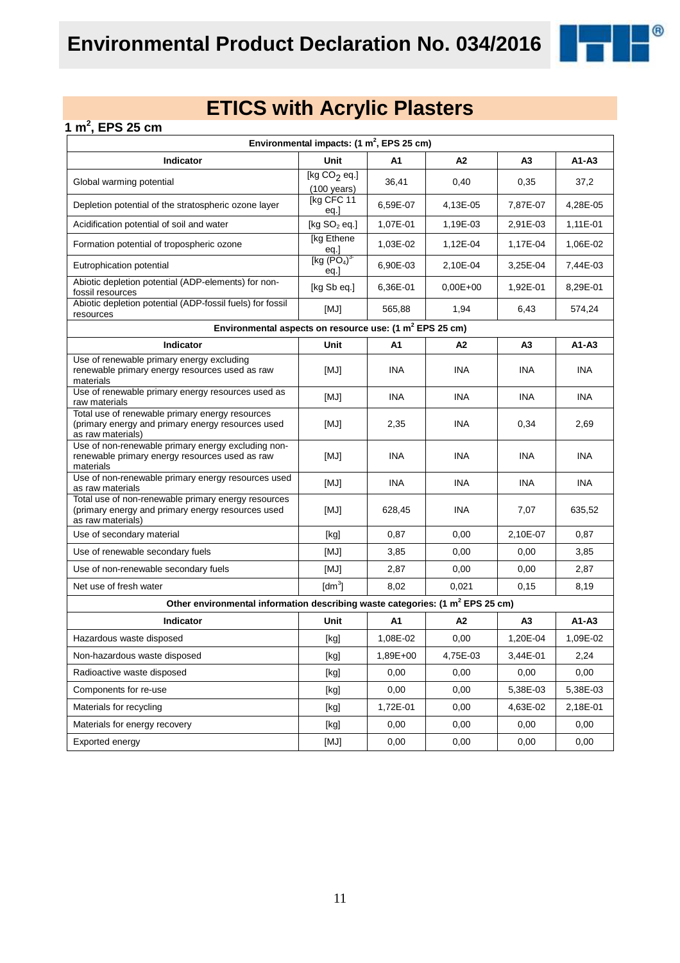

### **1 m<sup>2</sup> , EPS 25 cm**

| Environmental impacts: $(1 \text{ m}^2,$ EPS 25 cm)                                                                           |                                                                                                                                                                                                                                                                                                                                                                                                                                                                                                                                                                                                                                                                    |            |                |                |            |  |  |
|-------------------------------------------------------------------------------------------------------------------------------|--------------------------------------------------------------------------------------------------------------------------------------------------------------------------------------------------------------------------------------------------------------------------------------------------------------------------------------------------------------------------------------------------------------------------------------------------------------------------------------------------------------------------------------------------------------------------------------------------------------------------------------------------------------------|------------|----------------|----------------|------------|--|--|
| Indicator                                                                                                                     | Unit                                                                                                                                                                                                                                                                                                                                                                                                                                                                                                                                                                                                                                                               | A1         | A2             | A <sub>3</sub> | $A1 - A3$  |  |  |
| Global warming potential                                                                                                      | [kg $CO2$ eq.]<br>$(100 \text{ years})$                                                                                                                                                                                                                                                                                                                                                                                                                                                                                                                                                                                                                            | 36,41      | 0,40           | 0,35           | 37,2       |  |  |
| Depletion potential of the stratospheric ozone layer                                                                          | [kg CFC 11<br>eq.]                                                                                                                                                                                                                                                                                                                                                                                                                                                                                                                                                                                                                                                 | 6,59E-07   | 4,13E-05       | 7,87E-07       | 4,28E-05   |  |  |
| Acidification potential of soil and water                                                                                     | [kg $SO2$ eq.]                                                                                                                                                                                                                                                                                                                                                                                                                                                                                                                                                                                                                                                     | 1,07E-01   | 1,19E-03       | 2,91E-03       | 1,11E-01   |  |  |
| Formation potential of tropospheric ozone                                                                                     | [kg Ethene<br><u>eq.]</u>                                                                                                                                                                                                                                                                                                                                                                                                                                                                                                                                                                                                                                          | 1,03E-02   | 1,12E-04       | 1,17E-04       | 1,06E-02   |  |  |
| Eutrophication potential                                                                                                      | [kg (PO <sub>4</sub> ) <sup>3</sup> ]<br>eq.                                                                                                                                                                                                                                                                                                                                                                                                                                                                                                                                                                                                                       | 6.90E-03   | 2,10E-04       | 3,25E-04       | 7,44E-03   |  |  |
| Abiotic depletion potential (ADP-elements) for non-<br>fossil resources                                                       | [kg Sb eq.]                                                                                                                                                                                                                                                                                                                                                                                                                                                                                                                                                                                                                                                        | 6,36E-01   | $0,00E+00$     | 1,92E-01       | 8,29E-01   |  |  |
| Abiotic depletion potential (ADP-fossil fuels) for fossil<br>resources                                                        | [MJ]                                                                                                                                                                                                                                                                                                                                                                                                                                                                                                                                                                                                                                                               | 565,88     | 1,94           | 6,43           | 574,24     |  |  |
| Environmental aspects on resource use: (1 m <sup>2</sup> EPS 25 cm)                                                           |                                                                                                                                                                                                                                                                                                                                                                                                                                                                                                                                                                                                                                                                    |            |                |                |            |  |  |
| Indicator                                                                                                                     | Unit                                                                                                                                                                                                                                                                                                                                                                                                                                                                                                                                                                                                                                                               | A1         | A2             | A3             | $A1 - A3$  |  |  |
| Use of renewable primary energy excluding<br>renewable primary energy resources used as raw<br>materials                      | [MJ]                                                                                                                                                                                                                                                                                                                                                                                                                                                                                                                                                                                                                                                               | <b>INA</b> | INA            | INA            | <b>INA</b> |  |  |
| Use of renewable primary energy resources used as<br>raw materials                                                            | [MJ]                                                                                                                                                                                                                                                                                                                                                                                                                                                                                                                                                                                                                                                               | <b>INA</b> | INA            | INA.           | <b>INA</b> |  |  |
| Total use of renewable primary energy resources<br>(primary energy and primary energy resources used<br>as raw materials)     | [MJ]                                                                                                                                                                                                                                                                                                                                                                                                                                                                                                                                                                                                                                                               | 2,35       | INA            | 0,34           | 2,69       |  |  |
| Use of non-renewable primary energy excluding non-<br>renewable primary energy resources used as raw<br>materials             | [MJ]                                                                                                                                                                                                                                                                                                                                                                                                                                                                                                                                                                                                                                                               | <b>INA</b> | <b>INA</b>     | <b>INA</b>     | <b>INA</b> |  |  |
| Use of non-renewable primary energy resources used<br>as raw materials                                                        | [MJ]                                                                                                                                                                                                                                                                                                                                                                                                                                                                                                                                                                                                                                                               | <b>INA</b> | INA            | <b>INA</b>     | <b>INA</b> |  |  |
| Total use of non-renewable primary energy resources<br>(primary energy and primary energy resources used<br>as raw materials) | [MJ]                                                                                                                                                                                                                                                                                                                                                                                                                                                                                                                                                                                                                                                               | 628,45     | INA            | 7,07           | 635,52     |  |  |
| Use of secondary material                                                                                                     | [kg]                                                                                                                                                                                                                                                                                                                                                                                                                                                                                                                                                                                                                                                               | 0,87       | 0,00           | 2,10E-07       | 0,87       |  |  |
| Use of renewable secondary fuels                                                                                              | [MJ]                                                                                                                                                                                                                                                                                                                                                                                                                                                                                                                                                                                                                                                               | 3,85       | 0,00           | 0,00           | 3,85       |  |  |
| Use of non-renewable secondary fuels                                                                                          | [MJ]                                                                                                                                                                                                                                                                                                                                                                                                                                                                                                                                                                                                                                                               | 2,87       | 0,00           | 0,00           | 2,87       |  |  |
| Net use of fresh water                                                                                                        | [dm <sup>3</sup> ]                                                                                                                                                                                                                                                                                                                                                                                                                                                                                                                                                                                                                                                 | 8,02       | 0,021          | 0,15           | 8,19       |  |  |
| Other environmental information describing waste categories: (1 m <sup>2</sup> EPS 25 cm)                                     |                                                                                                                                                                                                                                                                                                                                                                                                                                                                                                                                                                                                                                                                    |            |                |                |            |  |  |
| <b>Indicator</b>                                                                                                              | Unit                                                                                                                                                                                                                                                                                                                                                                                                                                                                                                                                                                                                                                                               | A1         | A <sub>2</sub> | A <sub>3</sub> | $A1-A3$    |  |  |
| Hazardous waste disposed                                                                                                      | [kg]                                                                                                                                                                                                                                                                                                                                                                                                                                                                                                                                                                                                                                                               | 1,08E-02   | 0,00           | 1,20E-04       | 1,09E-02   |  |  |
| Non-hazardous waste disposed                                                                                                  | [kg]                                                                                                                                                                                                                                                                                                                                                                                                                                                                                                                                                                                                                                                               | 1,89E+00   | 4,75E-03       | 3,44E-01       | 2,24       |  |  |
| Radioactive waste disposed                                                                                                    | $[kg] % \begin{center} % \includegraphics[width=\linewidth]{imagesSupplemental_3.png} % \end{center} % \caption { % Our method is used for the method. % The method is used in the image. % The method is used in the image. % } % \label{fig:example} %$                                                                                                                                                                                                                                                                                                                                                                                                          | 0,00       | 0,00           | 0,00           | 0,00       |  |  |
| Components for re-use                                                                                                         | $[kg] % \begin{center} % \includegraphics[width=\linewidth]{imagesSupplemental_3.png} % \end{center} % \caption { % \textit{DefNet} of the \textit{DefNet} dataset. % Note that the \textit{DefNet} and \textit{DefNet} dataset. % Note that the \textit{DefNet} and \textit{DefNet} dataset. % Note that the \textit{DefNet} and \textit{DefNet} dataset. % Note that the \textit{DefNet} and \textit{DefNet} dataset. % Note that the \textit{DefNet} and \textit{DefNet} dataset. % Note that the \textit{DefNet} and \textit{DefNet} dataset. % Note that the \textit{DefNet} and \textit{DefNet} dataset. % Note that the \textit{DefNet} and \textit{DefNet$ | 0,00       | 0,00           | 5,38E-03       | 5,38E-03   |  |  |
| Materials for recycling                                                                                                       | $[kg] % \begin{center} % \includegraphics[width=\linewidth]{imagesSupplemental_3.png} % \end{center} % \caption { % Our method is used for the method. % The method is used in the image. % The method is used in the image. % } % \label{fig:example} %$                                                                                                                                                                                                                                                                                                                                                                                                          | 1,72E-01   | 0,00           | 4,63E-02       | 2,18E-01   |  |  |
| Materials for energy recovery                                                                                                 | $[kg] % \begin{center} % \includegraphics[width=\linewidth]{imagesSupplemental_3.png} % \end{center} % \caption { % Our method is used for the method. % The method is used in the image. % The method is used in the image. % } % \label{fig:example} %$                                                                                                                                                                                                                                                                                                                                                                                                          | 0,00       | 0,00           | 0,00           | 0,00       |  |  |
| Exported energy                                                                                                               | [MJ]                                                                                                                                                                                                                                                                                                                                                                                                                                                                                                                                                                                                                                                               | 0,00       | 0,00           | 0,00           | 0,00       |  |  |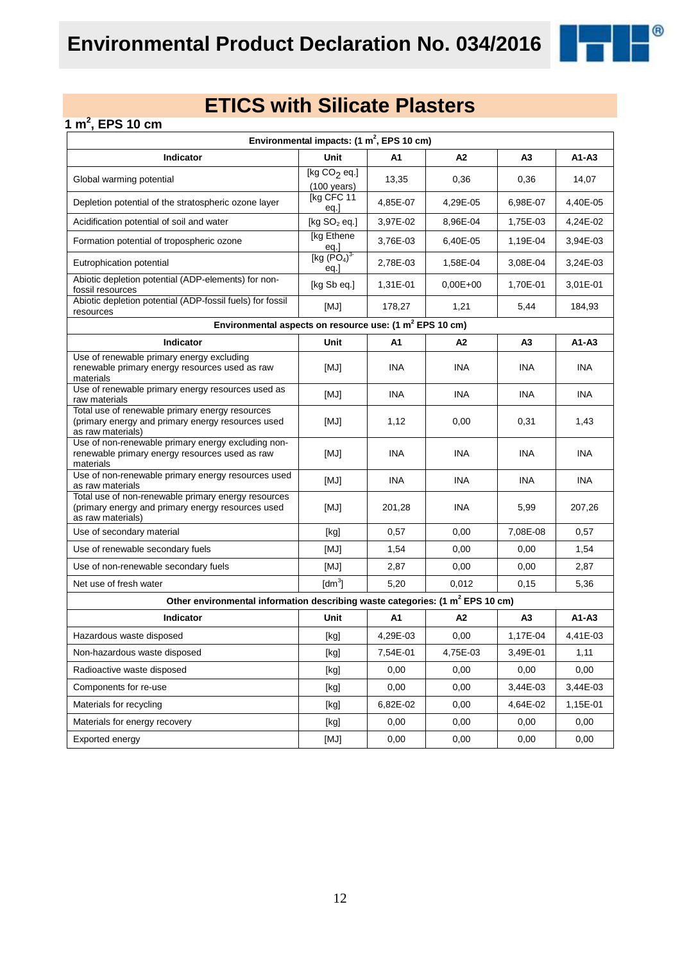

### **1 m<sup>2</sup> , EPS 10 cm**

| Environmental impacts: $(1 \text{ m}^2,$ EPS 10 cm)                                                                           |                                               |            |                |                |            |  |  |
|-------------------------------------------------------------------------------------------------------------------------------|-----------------------------------------------|------------|----------------|----------------|------------|--|--|
| Indicator                                                                                                                     | Unit                                          | A1         | A2             | A <sub>3</sub> | $A1 - A3$  |  |  |
| Global warming potential                                                                                                      | [kg $CO2$ eq.]<br>$(100 \text{ years})$       | 13,35      | 0,36           | 0,36           | 14,07      |  |  |
| Depletion potential of the stratospheric ozone layer                                                                          | [kg CFC 11<br>eq.]                            | 4,85E-07   | 4,29E-05       | 6,98E-07       | 4,40E-05   |  |  |
| Acidification potential of soil and water                                                                                     | [kg $SO2$ eq.]                                | 3,97E-02   | 8,96E-04       | 1,75E-03       | 4,24E-02   |  |  |
| Formation potential of tropospheric ozone                                                                                     | [kg Ethene<br>eq.]                            | 3,76E-03   | 6,40E-05       | 1,19E-04       | 3,94E-03   |  |  |
| Eutrophication potential                                                                                                      | [kg (PO <sub>4</sub> ) <sup>3</sup> ]<br>eq.] | 2,78E-03   | 1,58E-04       | 3,08E-04       | 3,24E-03   |  |  |
| Abiotic depletion potential (ADP-elements) for non-<br>fossil resources                                                       | [kg Sb eq.]                                   | 1,31E-01   | $0.00E + 00$   | 1,70E-01       | 3,01E-01   |  |  |
| Abiotic depletion potential (ADP-fossil fuels) for fossil<br>resources                                                        | [MJ]                                          | 178,27     | 1,21           | 5,44           | 184,93     |  |  |
| Environmental aspects on resource use: (1 m <sup>2</sup> EPS 10 cm)                                                           |                                               |            |                |                |            |  |  |
| Indicator                                                                                                                     | Unit                                          | A1         | A <sub>2</sub> | A3             | $A1 - A3$  |  |  |
| Use of renewable primary energy excluding<br>renewable primary energy resources used as raw<br>materials                      | [MJ]                                          | <b>INA</b> | <b>INA</b>     | INA            | <b>INA</b> |  |  |
| Use of renewable primary energy resources used as<br>raw materials                                                            | [MJ]                                          | <b>INA</b> | <b>INA</b>     | <b>INA</b>     | <b>INA</b> |  |  |
| Total use of renewable primary energy resources<br>(primary energy and primary energy resources used<br>as raw materials)     | [MJ]                                          | 1,12       | 0,00           | 0,31           | 1,43       |  |  |
| Use of non-renewable primary energy excluding non-<br>renewable primary energy resources used as raw<br>materials             | [MJ]                                          | <b>INA</b> | <b>INA</b>     | <b>INA</b>     | <b>INA</b> |  |  |
| Use of non-renewable primary energy resources used<br>as raw materials                                                        | [MJ]                                          | <b>INA</b> | <b>INA</b>     | <b>INA</b>     | <b>INA</b> |  |  |
| Total use of non-renewable primary energy resources<br>(primary energy and primary energy resources used<br>as raw materials) | [MJ]                                          | 201,28     | <b>INA</b>     | 5,99           | 207,26     |  |  |
| Use of secondary material                                                                                                     | [kg]                                          | 0,57       | 0,00           | 7,08E-08       | 0,57       |  |  |
| Use of renewable secondary fuels                                                                                              | [MJ]                                          | 1,54       | 0,00           | 0,00           | 1,54       |  |  |
| Use of non-renewable secondary fuels                                                                                          | [MJ]                                          | 2,87       | 0,00           | 0,00           | 2,87       |  |  |
| Net use of fresh water                                                                                                        | $\text{[dm}^3$                                | 5,20       | 0,012          | 0,15           | 5,36       |  |  |
| Other environmental information describing waste categories: (1 m <sup>2</sup> EPS 10 cm)                                     |                                               |            |                |                |            |  |  |
| Indicator                                                                                                                     | Unit                                          | A1         | A2             | A3             | $A1 - A3$  |  |  |
| Hazardous waste disposed                                                                                                      | [kg]                                          | 4,29E-03   | 0,00           | 1,17E-04       | 4,41E-03   |  |  |
| Non-hazardous waste disposed                                                                                                  | [kg]                                          | 7,54E-01   | 4,75E-03       | 3,49E-01       | 1,11       |  |  |
| Radioactive waste disposed                                                                                                    | [kg]                                          | 0,00       | 0,00           | 0,00           | 0,00       |  |  |
| Components for re-use                                                                                                         | [kg]                                          | 0,00       | 0,00           | 3,44E-03       | 3,44E-03   |  |  |
| Materials for recycling                                                                                                       | [kg]                                          | 6,82E-02   | 0,00           | 4,64E-02       | 1,15E-01   |  |  |
| Materials for energy recovery                                                                                                 | [kg]                                          | 0,00       | 0,00           | 0,00           | 0,00       |  |  |
| Exported energy                                                                                                               | [MJ]                                          | 0,00       | 0,00           | 0,00           | 0,00       |  |  |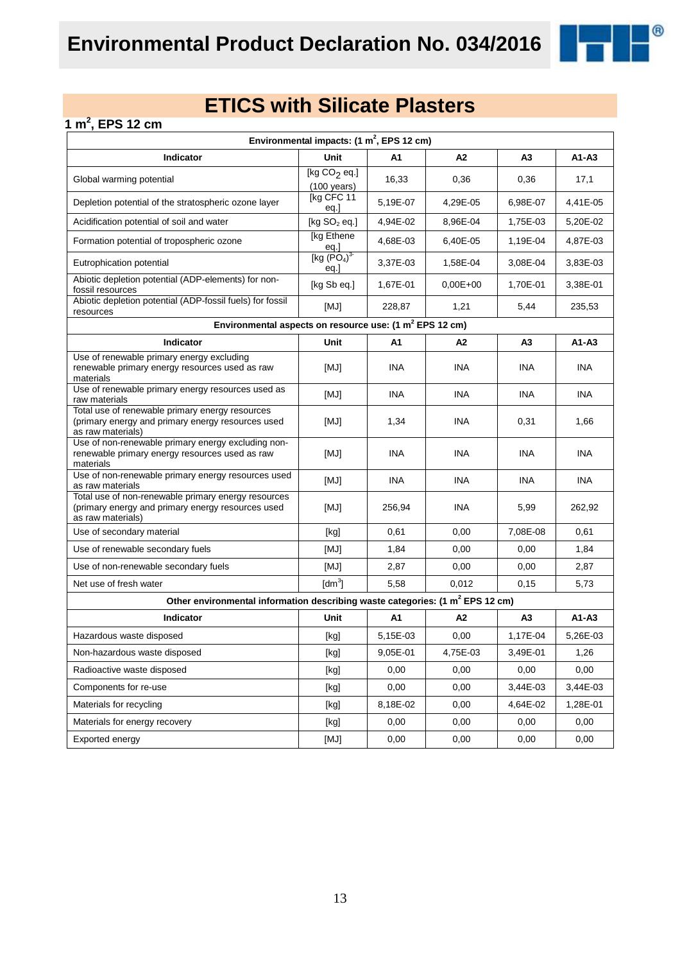

### **1 m<sup>2</sup> , EPS 12 cm**

| Environmental impacts: $(1 \text{ m}^2,$ EPS 12 cm)                                                                           |                                               |            |                |            |            |  |  |
|-------------------------------------------------------------------------------------------------------------------------------|-----------------------------------------------|------------|----------------|------------|------------|--|--|
| Indicator                                                                                                                     | Unit                                          | A1         | A2             | A3         | $A1 - A3$  |  |  |
| Global warming potential                                                                                                      | [kg $CO2$ eq.]<br>$(100 \text{ years})$       | 16,33      | 0,36           | 0,36       | 17,1       |  |  |
| Depletion potential of the stratospheric ozone layer                                                                          | [kg CFC 11<br>eq.]                            | 5,19E-07   | 4,29E-05       | 6,98E-07   | 4,41E-05   |  |  |
| Acidification potential of soil and water                                                                                     | [kg $SO2$ eq.]                                | 4,94E-02   | 8,96E-04       | 1,75E-03   | 5,20E-02   |  |  |
| Formation potential of tropospheric ozone                                                                                     | [kg Ethene<br>eq.]                            | 4,68E-03   | 6,40E-05       | 1,19E-04   | 4,87E-03   |  |  |
| Eutrophication potential                                                                                                      | [kg (PO <sub>4</sub> ) <sup>3</sup> ]<br>eq.] | 3,37E-03   | 1,58E-04       | 3,08E-04   | 3,83E-03   |  |  |
| Abiotic depletion potential (ADP-elements) for non-<br>fossil resources                                                       | [kg Sb eq.]                                   | 1,67E-01   | $0.00E + 00$   | 1,70E-01   | 3,38E-01   |  |  |
| Abiotic depletion potential (ADP-fossil fuels) for fossil<br>resources                                                        | [MJ]                                          | 228,87     | 1,21           | 5,44       | 235,53     |  |  |
| Environmental aspects on resource use: (1 m <sup>2</sup> EPS 12 cm)                                                           |                                               |            |                |            |            |  |  |
| Indicator                                                                                                                     | Unit                                          | A1         | A <sub>2</sub> | A3         | $A1 - A3$  |  |  |
| Use of renewable primary energy excluding<br>renewable primary energy resources used as raw<br>materials                      | [MJ]                                          | <b>INA</b> | <b>INA</b>     | INA        | <b>INA</b> |  |  |
| Use of renewable primary energy resources used as<br>raw materials                                                            | [MJ]                                          | <b>INA</b> | <b>INA</b>     | <b>INA</b> | <b>INA</b> |  |  |
| Total use of renewable primary energy resources<br>(primary energy and primary energy resources used<br>as raw materials)     | [MJ]                                          | 1,34       | <b>INA</b>     | 0,31       | 1,66       |  |  |
| Use of non-renewable primary energy excluding non-<br>renewable primary energy resources used as raw<br>materials             | [MJ]                                          | <b>INA</b> | <b>INA</b>     | <b>INA</b> | <b>INA</b> |  |  |
| Use of non-renewable primary energy resources used<br>as raw materials                                                        | [MJ]                                          | <b>INA</b> | <b>INA</b>     | <b>INA</b> | <b>INA</b> |  |  |
| Total use of non-renewable primary energy resources<br>(primary energy and primary energy resources used<br>as raw materials) | [MJ]                                          | 256,94     | <b>INA</b>     | 5,99       | 262,92     |  |  |
| Use of secondary material                                                                                                     | [kg]                                          | 0,61       | 0,00           | 7,08E-08   | 0,61       |  |  |
| Use of renewable secondary fuels                                                                                              | [MJ]                                          | 1,84       | 0,00           | 0,00       | 1,84       |  |  |
| Use of non-renewable secondary fuels                                                                                          | [MJ]                                          | 2,87       | 0,00           | 0,00       | 2,87       |  |  |
| Net use of fresh water                                                                                                        | $\text{[dm}^3$                                | 5,58       | 0,012          | 0, 15      | 5,73       |  |  |
| Other environmental information describing waste categories: (1 m <sup>2</sup> EPS 12 cm)                                     |                                               |            |                |            |            |  |  |
| Indicator                                                                                                                     | Unit                                          | A1         | A2             | A3         | $A1 - A3$  |  |  |
| Hazardous waste disposed                                                                                                      | [kg]                                          | 5,15E-03   | 0,00           | 1,17E-04   | 5,26E-03   |  |  |
| Non-hazardous waste disposed                                                                                                  | [kg]                                          | 9,05E-01   | 4,75E-03       | 3,49E-01   | 1,26       |  |  |
| Radioactive waste disposed                                                                                                    | [kg]                                          | 0,00       | 0,00           | 0,00       | 0,00       |  |  |
| Components for re-use                                                                                                         | [kg]                                          | 0,00       | 0,00           | 3,44E-03   | 3,44E-03   |  |  |
| Materials for recycling                                                                                                       | [kg]                                          | 8,18E-02   | 0,00           | 4,64E-02   | 1,28E-01   |  |  |
| Materials for energy recovery                                                                                                 | [kg]                                          | 0,00       | 0,00           | 0,00       | 0,00       |  |  |
| Exported energy                                                                                                               | [MJ]                                          | 0,00       | 0,00           | 0,00       | 0,00       |  |  |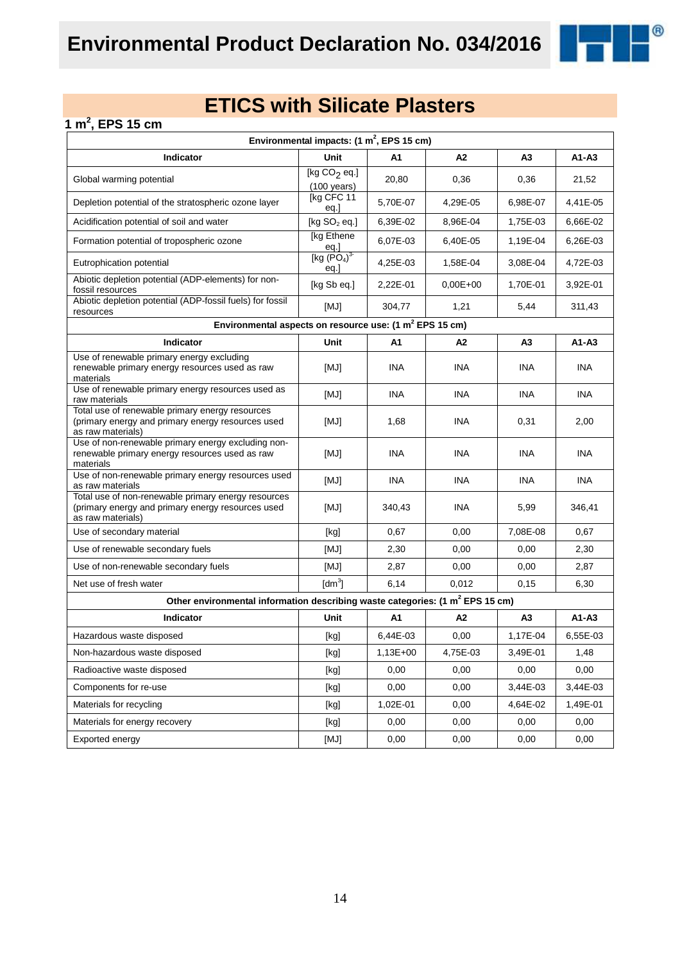

### **1 m<sup>2</sup> , EPS 15 cm**

| Environmental impacts: $(1 \text{ m}^2,$ EPS 15 cm)                                                                           |                                         |            |            |                |            |  |  |
|-------------------------------------------------------------------------------------------------------------------------------|-----------------------------------------|------------|------------|----------------|------------|--|--|
| Indicator                                                                                                                     | Unit                                    | A1         | A2         | A <sub>3</sub> | $A1 - A3$  |  |  |
| Global warming potential                                                                                                      | [kg $CO2$ eq.]<br>$(100 \text{ years})$ | 20,80      | 0,36       | 0,36           | 21,52      |  |  |
| Depletion potential of the stratospheric ozone layer                                                                          | [kg CFC 11<br>eq.]                      | 5,70E-07   | 4,29E-05   | 6,98E-07       | 4,41E-05   |  |  |
| Acidification potential of soil and water                                                                                     | [kg $SO2$ eq.]                          | 6,39E-02   | 8,96E-04   | 1,75E-03       | 6,66E-02   |  |  |
| Formation potential of tropospheric ozone                                                                                     | [kg Ethene<br>eq.]<br>[kg $(PO4)3$      | 6,07E-03   | 6,40E-05   | 1,19E-04       | 6,26E-03   |  |  |
| Eutrophication potential                                                                                                      | eq.]                                    | 4,25E-03   | 1,58E-04   | 3,08E-04       | 4,72E-03   |  |  |
| Abiotic depletion potential (ADP-elements) for non-<br>fossil resources                                                       | [kg Sb eq.]                             | 2,22E-01   | $0,00E+00$ | 1,70E-01       | 3,92E-01   |  |  |
| Abiotic depletion potential (ADP-fossil fuels) for fossil<br>resources                                                        | [MJ]                                    | 304,77     | 1,21       | 5,44           | 311,43     |  |  |
| Environmental aspects on resource use: (1 m <sup>2</sup> EPS 15 cm)                                                           |                                         |            |            |                |            |  |  |
| Indicator                                                                                                                     | Unit                                    | A1         | A2         | А3             | $A1 - A3$  |  |  |
| Use of renewable primary energy excluding<br>renewable primary energy resources used as raw<br>materials                      | [MJ]                                    | <b>INA</b> | <b>INA</b> | INA            | <b>INA</b> |  |  |
| Use of renewable primary energy resources used as<br>raw materials                                                            | [MJ]                                    | <b>INA</b> | <b>INA</b> | <b>INA</b>     | <b>INA</b> |  |  |
| Total use of renewable primary energy resources<br>(primary energy and primary energy resources used<br>as raw materials)     | [MJ]                                    | 1,68       | <b>INA</b> | 0,31           | 2,00       |  |  |
| Use of non-renewable primary energy excluding non-<br>renewable primary energy resources used as raw<br>materials             | [MJ]                                    | <b>INA</b> | INA        | INA.           | <b>INA</b> |  |  |
| Use of non-renewable primary energy resources used<br>as raw materials                                                        | [MJ]                                    | <b>INA</b> | <b>INA</b> | <b>INA</b>     | <b>INA</b> |  |  |
| Total use of non-renewable primary energy resources<br>(primary energy and primary energy resources used<br>as raw materials) | [MJ]                                    | 340,43     | <b>INA</b> | 5,99           | 346,41     |  |  |
| Use of secondary material                                                                                                     | [kg]                                    | 0,67       | 0,00       | 7,08E-08       | 0,67       |  |  |
| Use of renewable secondary fuels                                                                                              | [MJ]                                    | 2,30       | 0,00       | 0,00           | 2,30       |  |  |
| Use of non-renewable secondary fuels                                                                                          | [MJ]                                    | 2,87       | 0,00       | 0,00           | 2,87       |  |  |
| Net use of fresh water                                                                                                        | $\text{[dm}^3$                          | 6,14       | 0,012      | 0,15           | 6,30       |  |  |
| Other environmental information describing waste categories: (1 m <sup>2</sup> EPS 15 cm)                                     |                                         |            |            |                |            |  |  |
| Indicator                                                                                                                     | Unit                                    | A1         | A2         | A <sub>3</sub> | A1-A3      |  |  |
| Hazardous waste disposed                                                                                                      | [kg]                                    | 6,44E-03   | 0,00       | 1,17E-04       | 6,55E-03   |  |  |
| Non-hazardous waste disposed                                                                                                  | [kg]                                    | $1,13E+00$ | 4,75E-03   | 3,49E-01       | 1,48       |  |  |
| Radioactive waste disposed                                                                                                    | [kg]                                    | 0,00       | 0,00       | 0,00           | 0,00       |  |  |
| Components for re-use                                                                                                         | [kg]                                    | 0,00       | 0,00       | 3,44E-03       | 3,44E-03   |  |  |
| Materials for recycling                                                                                                       | [kg]                                    | 1,02E-01   | 0,00       | 4,64E-02       | 1,49E-01   |  |  |
| Materials for energy recovery                                                                                                 | [kg]                                    | 0,00       | 0,00       | 0,00           | 0,00       |  |  |
| Exported energy                                                                                                               | [MJ]                                    | 0,00       | 0,00       | 0,00           | 0,00       |  |  |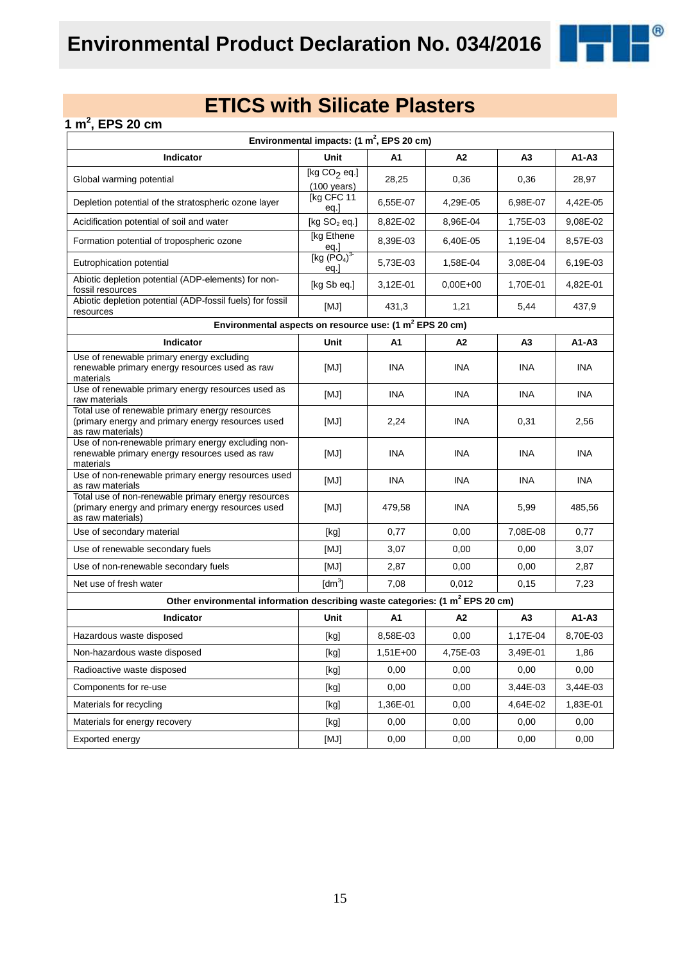

### **1 m<sup>2</sup> , EPS 20 cm**

| Environmental impacts: $(1 \text{ m}^2,$ EPS 20 cm)                                                                           |                                                                                                                                                                                                                                                                                                                                                                                                                                                                                                                                                                                                                                                                                              |            |              |                |            |  |  |
|-------------------------------------------------------------------------------------------------------------------------------|----------------------------------------------------------------------------------------------------------------------------------------------------------------------------------------------------------------------------------------------------------------------------------------------------------------------------------------------------------------------------------------------------------------------------------------------------------------------------------------------------------------------------------------------------------------------------------------------------------------------------------------------------------------------------------------------|------------|--------------|----------------|------------|--|--|
| Indicator                                                                                                                     | Unit                                                                                                                                                                                                                                                                                                                                                                                                                                                                                                                                                                                                                                                                                         | A1         | А2           | A <sub>3</sub> | $A1 - A3$  |  |  |
| Global warming potential                                                                                                      | [kg $CO2$ eq.]<br>$(100 \text{ years})$                                                                                                                                                                                                                                                                                                                                                                                                                                                                                                                                                                                                                                                      | 28,25      | 0,36         | 0,36           | 28,97      |  |  |
| Depletion potential of the stratospheric ozone layer                                                                          | [kg CFC 11<br>eq.]                                                                                                                                                                                                                                                                                                                                                                                                                                                                                                                                                                                                                                                                           | 6,55E-07   | 4,29E-05     | 6,98E-07       | 4,42E-05   |  |  |
| Acidification potential of soil and water                                                                                     | [kg $SO2$ eq.]                                                                                                                                                                                                                                                                                                                                                                                                                                                                                                                                                                                                                                                                               | 8,82E-02   | 8,96E-04     | 1,75E-03       | 9,08E-02   |  |  |
| Formation potential of tropospheric ozone                                                                                     | [kg Ethene]<br>eq.]<br>[kg $(PO4)3$                                                                                                                                                                                                                                                                                                                                                                                                                                                                                                                                                                                                                                                          | 8,39E-03   | 6,40E-05     | 1,19E-04       | 8,57E-03   |  |  |
| Eutrophication potential                                                                                                      | eq.                                                                                                                                                                                                                                                                                                                                                                                                                                                                                                                                                                                                                                                                                          | 5,73E-03   | 1,58E-04     | 3,08E-04       | 6,19E-03   |  |  |
| Abiotic depletion potential (ADP-elements) for non-<br>fossil resources                                                       | [kg Sb eq.]                                                                                                                                                                                                                                                                                                                                                                                                                                                                                                                                                                                                                                                                                  | 3,12E-01   | $0.00E + 00$ | 1.70E-01       | 4,82E-01   |  |  |
| Abiotic depletion potential (ADP-fossil fuels) for fossil<br>resources                                                        | [MJ]                                                                                                                                                                                                                                                                                                                                                                                                                                                                                                                                                                                                                                                                                         | 431,3      | 1,21         | 5,44           | 437,9      |  |  |
| Environmental aspects on resource use: (1 m <sup>2</sup> EPS 20 cm)                                                           |                                                                                                                                                                                                                                                                                                                                                                                                                                                                                                                                                                                                                                                                                              |            |              |                |            |  |  |
| Indicator                                                                                                                     | Unit                                                                                                                                                                                                                                                                                                                                                                                                                                                                                                                                                                                                                                                                                         | A1         | A2           | A3             | $A1 - A3$  |  |  |
| Use of renewable primary energy excluding<br>renewable primary energy resources used as raw<br>materials                      | [MJ]                                                                                                                                                                                                                                                                                                                                                                                                                                                                                                                                                                                                                                                                                         | <b>INA</b> | <b>INA</b>   | <b>INA</b>     | <b>INA</b> |  |  |
| Use of renewable primary energy resources used as<br>raw materials                                                            | [MJ]                                                                                                                                                                                                                                                                                                                                                                                                                                                                                                                                                                                                                                                                                         | <b>INA</b> | <b>INA</b>   | <b>INA</b>     | INA        |  |  |
| Total use of renewable primary energy resources<br>(primary energy and primary energy resources used<br>as raw materials)     | [MJ]                                                                                                                                                                                                                                                                                                                                                                                                                                                                                                                                                                                                                                                                                         | 2,24       | <b>INA</b>   | 0,31           | 2,56       |  |  |
| Use of non-renewable primary energy excluding non-<br>renewable primary energy resources used as raw<br>materials             | [MJ]                                                                                                                                                                                                                                                                                                                                                                                                                                                                                                                                                                                                                                                                                         | <b>INA</b> | INA          | <b>INA</b>     | <b>INA</b> |  |  |
| Use of non-renewable primary energy resources used<br>as raw materials                                                        | [MJ]                                                                                                                                                                                                                                                                                                                                                                                                                                                                                                                                                                                                                                                                                         | <b>INA</b> | <b>INA</b>   | <b>INA</b>     | <b>INA</b> |  |  |
| Total use of non-renewable primary energy resources<br>(primary energy and primary energy resources used<br>as raw materials) | [MJ]                                                                                                                                                                                                                                                                                                                                                                                                                                                                                                                                                                                                                                                                                         | 479,58     | <b>INA</b>   | 5,99           | 485,56     |  |  |
| Use of secondary material                                                                                                     | [kg]                                                                                                                                                                                                                                                                                                                                                                                                                                                                                                                                                                                                                                                                                         | 0,77       | 0,00         | 7,08E-08       | 0,77       |  |  |
| Use of renewable secondary fuels                                                                                              | [MJ]                                                                                                                                                                                                                                                                                                                                                                                                                                                                                                                                                                                                                                                                                         | 3,07       | 0,00         | 0,00           | 3,07       |  |  |
| Use of non-renewable secondary fuels                                                                                          | [MJ]                                                                                                                                                                                                                                                                                                                                                                                                                                                                                                                                                                                                                                                                                         | 2,87       | 0,00         | 0,00           | 2,87       |  |  |
| Net use of fresh water                                                                                                        | $\text{[dm}^3$                                                                                                                                                                                                                                                                                                                                                                                                                                                                                                                                                                                                                                                                               | 7,08       | 0,012        | 0, 15          | 7,23       |  |  |
| Other environmental information describing waste categories: (1 m <sup>2</sup> EPS 20 cm)                                     |                                                                                                                                                                                                                                                                                                                                                                                                                                                                                                                                                                                                                                                                                              |            |              |                |            |  |  |
| Indicator                                                                                                                     | Unit                                                                                                                                                                                                                                                                                                                                                                                                                                                                                                                                                                                                                                                                                         | A1         | A2           | A3             | $A1 - A3$  |  |  |
| Hazardous waste disposed                                                                                                      | [kg]                                                                                                                                                                                                                                                                                                                                                                                                                                                                                                                                                                                                                                                                                         | 8,58E-03   | 0,00         | 1,17E-04       | 8,70E-03   |  |  |
| Non-hazardous waste disposed                                                                                                  | $[kg] % \begin{center} % \includegraphics[width=\linewidth]{imagesSupplemental/Imetad-Architecture.png} % \end{center} % \caption { % \begin{subfigure}[M5]{0.23\textwidth} \includegraphics[width=\linewidth]{imagesSupplemental/Imetad-Architecture.png} } % \end{subfigure} % \begin{subfigure}[M5]{0.23\textwidth} \includegraphics[width=\linewidth]{imagesSupplemental/Imetad-Architecture.png} } % \end{subfigure} % \caption { % \begin{subfigure}[M5]{0.23\textwidth} \includegraphics[width=\linewidth]{imagesSupplemental/Imetad-Architecture.png} } % \end{subfigure} % \caption{ % \begin{subfigure}[M5]{0.23\textwidth} \includegraphics[width=\linewidth]{imagesSupplemental$ | $1,51E+00$ | 4,75E-03     | 3,49E-01       | 1,86       |  |  |
| Radioactive waste disposed                                                                                                    | [kg]                                                                                                                                                                                                                                                                                                                                                                                                                                                                                                                                                                                                                                                                                         | 0,00       | 0,00         | 0,00           | 0,00       |  |  |
| Components for re-use                                                                                                         | [kg]                                                                                                                                                                                                                                                                                                                                                                                                                                                                                                                                                                                                                                                                                         | 0,00       | 0,00         | 3,44E-03       | 3,44E-03   |  |  |
| Materials for recycling                                                                                                       | [kg]                                                                                                                                                                                                                                                                                                                                                                                                                                                                                                                                                                                                                                                                                         | 1,36E-01   | 0,00         | 4,64E-02       | 1,83E-01   |  |  |
| Materials for energy recovery                                                                                                 | [kg]                                                                                                                                                                                                                                                                                                                                                                                                                                                                                                                                                                                                                                                                                         | 0,00       | 0,00         | 0,00           | 0,00       |  |  |
| Exported energy                                                                                                               | [MJ]                                                                                                                                                                                                                                                                                                                                                                                                                                                                                                                                                                                                                                                                                         | 0,00       | 0,00         | 0,00           | 0,00       |  |  |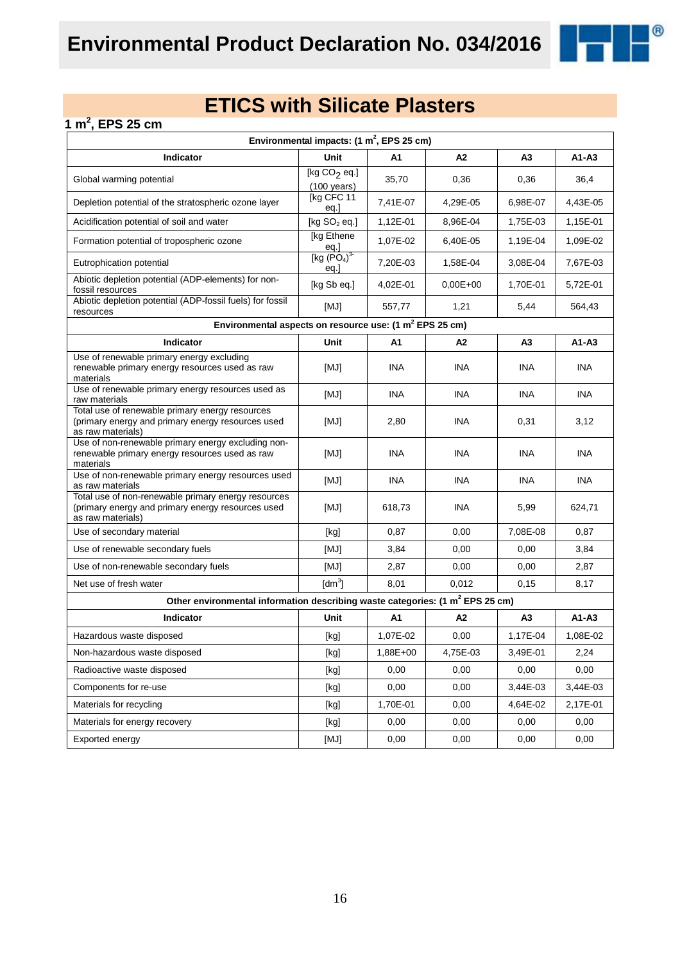

### **1 m<sup>2</sup> , EPS 25 cm**

| Environmental impacts: $(1 \text{ m}^2,$ EPS 25 cm)                                                                           |                                                                                                                                                                                                                                                                                                                                                                                                                                                                                                                                                                                                                                                                                              |            |              |                |            |  |  |  |
|-------------------------------------------------------------------------------------------------------------------------------|----------------------------------------------------------------------------------------------------------------------------------------------------------------------------------------------------------------------------------------------------------------------------------------------------------------------------------------------------------------------------------------------------------------------------------------------------------------------------------------------------------------------------------------------------------------------------------------------------------------------------------------------------------------------------------------------|------------|--------------|----------------|------------|--|--|--|
| Indicator                                                                                                                     | Unit                                                                                                                                                                                                                                                                                                                                                                                                                                                                                                                                                                                                                                                                                         | A1         | А2           | A <sub>3</sub> | $A1 - A3$  |  |  |  |
| Global warming potential                                                                                                      | [kg $CO2$ eq.]<br>$(100 \text{ years})$                                                                                                                                                                                                                                                                                                                                                                                                                                                                                                                                                                                                                                                      | 35,70      | 0,36         | 0,36           | 36,4       |  |  |  |
| Depletion potential of the stratospheric ozone layer                                                                          | [kg CFC 11<br>eq.]                                                                                                                                                                                                                                                                                                                                                                                                                                                                                                                                                                                                                                                                           | 7,41E-07   | 4,29E-05     | 6,98E-07       | 4,43E-05   |  |  |  |
| Acidification potential of soil and water                                                                                     | [kg $SO2$ eq.]                                                                                                                                                                                                                                                                                                                                                                                                                                                                                                                                                                                                                                                                               | 1,12E-01   | 8,96E-04     | 1,75E-03       | 1,15E-01   |  |  |  |
| Formation potential of tropospheric ozone                                                                                     | [kg Ethene]<br>eq.]<br>[kg $(PO4)3$                                                                                                                                                                                                                                                                                                                                                                                                                                                                                                                                                                                                                                                          | 1,07E-02   | 6,40E-05     | 1,19E-04       | 1,09E-02   |  |  |  |
| Eutrophication potential                                                                                                      | eq.                                                                                                                                                                                                                                                                                                                                                                                                                                                                                                                                                                                                                                                                                          | 7,20E-03   | 1,58E-04     | 3,08E-04       | 7,67E-03   |  |  |  |
| Abiotic depletion potential (ADP-elements) for non-<br>fossil resources                                                       | [kg Sb eq.]                                                                                                                                                                                                                                                                                                                                                                                                                                                                                                                                                                                                                                                                                  | 4,02E-01   | $0.00E + 00$ | 1,70E-01       | 5,72E-01   |  |  |  |
| Abiotic depletion potential (ADP-fossil fuels) for fossil<br>resources                                                        | [MJ]                                                                                                                                                                                                                                                                                                                                                                                                                                                                                                                                                                                                                                                                                         | 557,77     | 1,21         | 5,44           | 564,43     |  |  |  |
| Environmental aspects on resource use: (1 m <sup>2</sup> EPS 25 cm)                                                           |                                                                                                                                                                                                                                                                                                                                                                                                                                                                                                                                                                                                                                                                                              |            |              |                |            |  |  |  |
| Indicator                                                                                                                     | Unit                                                                                                                                                                                                                                                                                                                                                                                                                                                                                                                                                                                                                                                                                         | A1         | A2           | A3             | $A1 - A3$  |  |  |  |
| Use of renewable primary energy excluding<br>renewable primary energy resources used as raw<br>materials                      | [MJ]                                                                                                                                                                                                                                                                                                                                                                                                                                                                                                                                                                                                                                                                                         | <b>INA</b> | <b>INA</b>   | <b>INA</b>     | <b>INA</b> |  |  |  |
| Use of renewable primary energy resources used as<br>raw materials                                                            | [MJ]                                                                                                                                                                                                                                                                                                                                                                                                                                                                                                                                                                                                                                                                                         | <b>INA</b> | <b>INA</b>   | <b>INA</b>     | INA        |  |  |  |
| Total use of renewable primary energy resources<br>(primary energy and primary energy resources used<br>as raw materials)     | [MJ]                                                                                                                                                                                                                                                                                                                                                                                                                                                                                                                                                                                                                                                                                         | 2,80       | <b>INA</b>   | 0,31           | 3,12       |  |  |  |
| Use of non-renewable primary energy excluding non-<br>renewable primary energy resources used as raw<br>materials             | [MJ]                                                                                                                                                                                                                                                                                                                                                                                                                                                                                                                                                                                                                                                                                         | <b>INA</b> | INA          | <b>INA</b>     | <b>INA</b> |  |  |  |
| Use of non-renewable primary energy resources used<br>as raw materials                                                        | [MJ]                                                                                                                                                                                                                                                                                                                                                                                                                                                                                                                                                                                                                                                                                         | <b>INA</b> | <b>INA</b>   | <b>INA</b>     | <b>INA</b> |  |  |  |
| Total use of non-renewable primary energy resources<br>(primary energy and primary energy resources used<br>as raw materials) | [MJ]                                                                                                                                                                                                                                                                                                                                                                                                                                                                                                                                                                                                                                                                                         | 618,73     | <b>INA</b>   | 5,99           | 624,71     |  |  |  |
| Use of secondary material                                                                                                     | [kg]                                                                                                                                                                                                                                                                                                                                                                                                                                                                                                                                                                                                                                                                                         | 0,87       | 0,00         | 7,08E-08       | 0,87       |  |  |  |
| Use of renewable secondary fuels                                                                                              | [MJ]                                                                                                                                                                                                                                                                                                                                                                                                                                                                                                                                                                                                                                                                                         | 3,84       | 0,00         | 0,00           | 3,84       |  |  |  |
| Use of non-renewable secondary fuels                                                                                          | [MJ]                                                                                                                                                                                                                                                                                                                                                                                                                                                                                                                                                                                                                                                                                         | 2,87       | 0,00         | 0,00           | 2,87       |  |  |  |
| Net use of fresh water                                                                                                        | $\text{[dm}^3$                                                                                                                                                                                                                                                                                                                                                                                                                                                                                                                                                                                                                                                                               | 8,01       | 0,012        | 0,15           | 8,17       |  |  |  |
| Other environmental information describing waste categories: (1 m <sup>2</sup> EPS 25 cm)                                     |                                                                                                                                                                                                                                                                                                                                                                                                                                                                                                                                                                                                                                                                                              |            |              |                |            |  |  |  |
| Indicator                                                                                                                     | Unit                                                                                                                                                                                                                                                                                                                                                                                                                                                                                                                                                                                                                                                                                         | A1         | A2           | A3             | $A1 - A3$  |  |  |  |
| Hazardous waste disposed                                                                                                      | [kg]                                                                                                                                                                                                                                                                                                                                                                                                                                                                                                                                                                                                                                                                                         | 1,07E-02   | 0,00         | 1,17E-04       | 1,08E-02   |  |  |  |
| Non-hazardous waste disposed                                                                                                  | $[kg] % \begin{center} % \includegraphics[width=\linewidth]{imagesSupplemental/Imetad-Architecture.png} % \end{center} % \caption { % \begin{subfigure}[M5]{0.23\textwidth} \includegraphics[width=\linewidth]{imagesSupplemental/Imetad-Architecture.png} } % \end{subfigure} % \begin{subfigure}[M5]{0.23\textwidth} \includegraphics[width=\linewidth]{imagesSupplemental/Imetad-Architecture.png} } % \end{subfigure} % \caption { % \begin{subfigure}[M5]{0.23\textwidth} \includegraphics[width=\linewidth]{imagesSupplemental/Imetad-Architecture.png} } % \end{subfigure} % \caption{ % \begin{subfigure}[M5]{0.23\textwidth} \includegraphics[width=\linewidth]{imagesSupplemental$ | 1,88E+00   | 4,75E-03     | 3,49E-01       | 2,24       |  |  |  |
| Radioactive waste disposed                                                                                                    | [kg]                                                                                                                                                                                                                                                                                                                                                                                                                                                                                                                                                                                                                                                                                         | 0,00       | 0,00         | 0,00           | 0,00       |  |  |  |
| Components for re-use                                                                                                         | [kg]                                                                                                                                                                                                                                                                                                                                                                                                                                                                                                                                                                                                                                                                                         | 0,00       | 0,00         | 3,44E-03       | 3,44E-03   |  |  |  |
| Materials for recycling                                                                                                       | [kg]                                                                                                                                                                                                                                                                                                                                                                                                                                                                                                                                                                                                                                                                                         | 1,70E-01   | 0,00         | 4,64E-02       | 2,17E-01   |  |  |  |
| Materials for energy recovery                                                                                                 | [kg]                                                                                                                                                                                                                                                                                                                                                                                                                                                                                                                                                                                                                                                                                         | 0,00       | 0,00         | 0,00           | 0,00       |  |  |  |
| Exported energy                                                                                                               | [MJ]                                                                                                                                                                                                                                                                                                                                                                                                                                                                                                                                                                                                                                                                                         | 0,00       | 0,00         | 0,00           | 0,00       |  |  |  |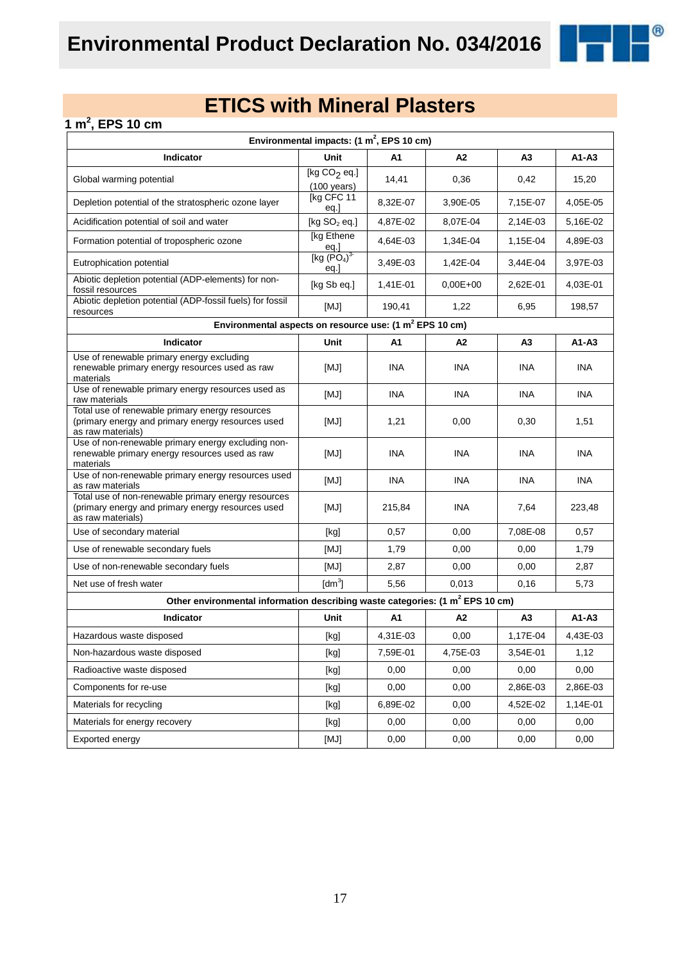

### **1 m<sup>2</sup> , EPS 10 cm**

| Environmental impacts: $(1 \text{ m}^2,$ EPS 10 cm)                                                                           |                                               |            |                |                |            |  |  |  |
|-------------------------------------------------------------------------------------------------------------------------------|-----------------------------------------------|------------|----------------|----------------|------------|--|--|--|
| Indicator                                                                                                                     | Unit                                          | A1         | A2             | A <sub>3</sub> | $A1 - A3$  |  |  |  |
| Global warming potential                                                                                                      | [kg $CO2$ eq.]<br>$(100 \text{ years})$       | 14,41      | 0,36           | 0,42           | 15,20      |  |  |  |
| Depletion potential of the stratospheric ozone layer                                                                          | [kg CFC 11<br>eq.]                            | 8,32E-07   | 3,90E-05       | 7,15E-07       | 4,05E-05   |  |  |  |
| Acidification potential of soil and water                                                                                     | [kg $SO2$ eq.]                                | 4,87E-02   | 8,07E-04       | 2,14E-03       | 5,16E-02   |  |  |  |
| Formation potential of tropospheric ozone                                                                                     | [kg Ethene<br>eq.]                            | 4,64E-03   | 1,34E-04       | 1,15E-04       | 4,89E-03   |  |  |  |
| Eutrophication potential                                                                                                      | [kg (PO <sub>4</sub> ) <sup>3</sup> ]<br>eq.] | 3,49E-03   | 1,42E-04       | 3,44E-04       | 3,97E-03   |  |  |  |
| Abiotic depletion potential (ADP-elements) for non-<br>fossil resources                                                       | [kg Sb eq.]                                   | 1,41E-01   | $0.00E + 00$   | 2,62E-01       | 4,03E-01   |  |  |  |
| Abiotic depletion potential (ADP-fossil fuels) for fossil<br>resources                                                        | [MJ]                                          | 190,41     | 1,22           | 6,95           | 198,57     |  |  |  |
| Environmental aspects on resource use: (1 m <sup>2</sup> EPS 10 cm)                                                           |                                               |            |                |                |            |  |  |  |
| Indicator                                                                                                                     | Unit                                          | A1         | A <sub>2</sub> | A3             | $A1 - A3$  |  |  |  |
| Use of renewable primary energy excluding<br>renewable primary energy resources used as raw<br>materials                      | [MJ]                                          | <b>INA</b> | <b>INA</b>     | INA            | <b>INA</b> |  |  |  |
| Use of renewable primary energy resources used as<br>raw materials                                                            | [MJ]                                          | <b>INA</b> | <b>INA</b>     | <b>INA</b>     | <b>INA</b> |  |  |  |
| Total use of renewable primary energy resources<br>(primary energy and primary energy resources used<br>as raw materials)     | [MJ]                                          | 1,21       | 0,00           | 0,30           | 1,51       |  |  |  |
| Use of non-renewable primary energy excluding non-<br>renewable primary energy resources used as raw<br>materials             | [MJ]                                          | <b>INA</b> | <b>INA</b>     | <b>INA</b>     | <b>INA</b> |  |  |  |
| Use of non-renewable primary energy resources used<br>as raw materials                                                        | [MJ]                                          | <b>INA</b> | <b>INA</b>     | <b>INA</b>     | <b>INA</b> |  |  |  |
| Total use of non-renewable primary energy resources<br>(primary energy and primary energy resources used<br>as raw materials) | [MJ]                                          | 215,84     | <b>INA</b>     | 7,64           | 223,48     |  |  |  |
| Use of secondary material                                                                                                     | [kg]                                          | 0,57       | 0,00           | 7,08E-08       | 0,57       |  |  |  |
| Use of renewable secondary fuels                                                                                              | [MJ]                                          | 1,79       | 0,00           | 0,00           | 1,79       |  |  |  |
| Use of non-renewable secondary fuels                                                                                          | [MJ]                                          | 2,87       | 0,00           | 0,00           | 2,87       |  |  |  |
| Net use of fresh water                                                                                                        | $\text{[dm}^3$                                | 5,56       | 0,013          | 0, 16          | 5,73       |  |  |  |
| Other environmental information describing waste categories: (1 m <sup>2</sup> EPS 10 cm)                                     |                                               |            |                |                |            |  |  |  |
| Indicator                                                                                                                     | Unit                                          | A1         | A2             | A3             | $A1 - A3$  |  |  |  |
| Hazardous waste disposed                                                                                                      | [kg]                                          | 4,31E-03   | 0,00           | 1,17E-04       | 4,43E-03   |  |  |  |
| Non-hazardous waste disposed                                                                                                  | [kg]                                          | 7,59E-01   | 4,75E-03       | 3,54E-01       | 1,12       |  |  |  |
| Radioactive waste disposed                                                                                                    | [kg]                                          | 0,00       | 0,00           | 0,00           | 0,00       |  |  |  |
| Components for re-use                                                                                                         | [kg]                                          | 0,00       | 0,00           | 2,86E-03       | 2,86E-03   |  |  |  |
| Materials for recycling                                                                                                       | [kg]                                          | 6,89E-02   | 0,00           | 4,52E-02       | 1,14E-01   |  |  |  |
| Materials for energy recovery                                                                                                 | [kg]                                          | 0,00       | 0,00           | 0,00           | 0,00       |  |  |  |
| Exported energy                                                                                                               | [MJ]                                          | 0,00       | 0,00           | 0,00           | 0,00       |  |  |  |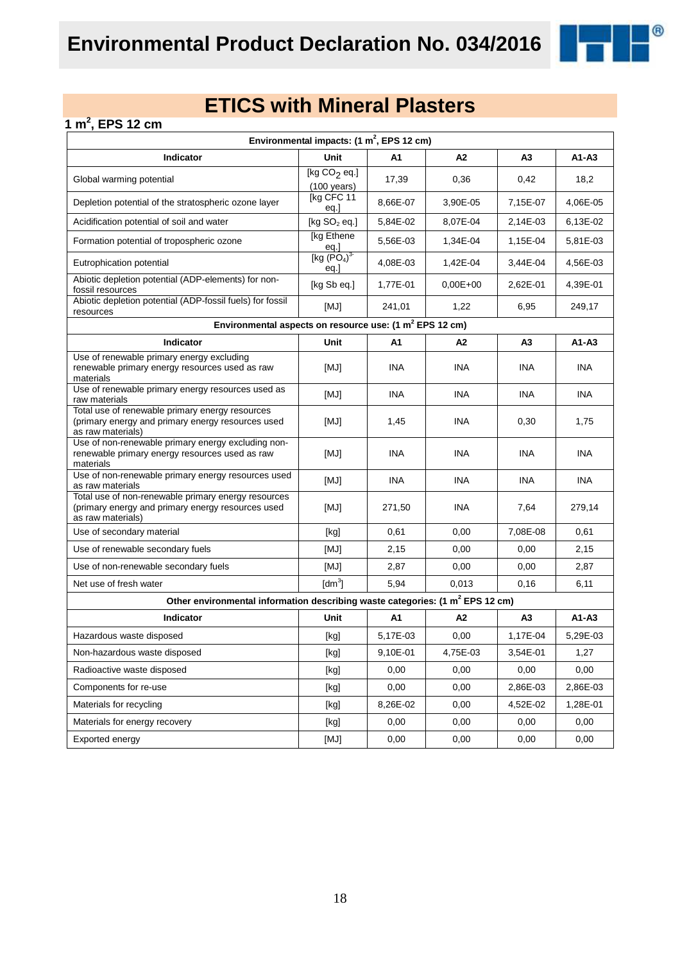

### **1 m<sup>2</sup> , EPS 12 cm**

| Environmental impacts: $(1 \text{ m}^2,$ EPS 12 cm)                                                                           |                                               |            |                |                |            |  |  |  |
|-------------------------------------------------------------------------------------------------------------------------------|-----------------------------------------------|------------|----------------|----------------|------------|--|--|--|
| Indicator                                                                                                                     | Unit                                          | A1         | A2             | A <sub>3</sub> | $A1 - A3$  |  |  |  |
| Global warming potential                                                                                                      | [kg $CO2$ eq.]<br>$(100 \text{ years})$       | 17,39      | 0,36           | 0,42           | 18,2       |  |  |  |
| Depletion potential of the stratospheric ozone layer                                                                          | [kg CFC 11<br>eq.]                            | 8,66E-07   | 3,90E-05       | 7,15E-07       | 4,06E-05   |  |  |  |
| Acidification potential of soil and water                                                                                     | [kg $SO2$ eq.]                                | 5,84E-02   | 8,07E-04       | 2,14E-03       | 6,13E-02   |  |  |  |
| Formation potential of tropospheric ozone                                                                                     | [kg Ethene<br>eq.]                            | 5,56E-03   | 1,34E-04       | 1,15E-04       | 5,81E-03   |  |  |  |
| Eutrophication potential                                                                                                      | [kg (PO <sub>4</sub> ) <sup>3</sup> ]<br>eq.] | 4,08E-03   | 1,42E-04       | 3,44E-04       | 4,56E-03   |  |  |  |
| Abiotic depletion potential (ADP-elements) for non-<br>fossil resources                                                       | [kg Sb eq.]                                   | 1,77E-01   | $0.00E + 00$   | 2,62E-01       | 4,39E-01   |  |  |  |
| Abiotic depletion potential (ADP-fossil fuels) for fossil<br>resources                                                        | [MJ]                                          | 241,01     | 1,22           | 6,95           | 249,17     |  |  |  |
| Environmental aspects on resource use: (1 m <sup>2</sup> EPS 12 cm)                                                           |                                               |            |                |                |            |  |  |  |
| Indicator                                                                                                                     | Unit                                          | A1         | A <sub>2</sub> | A3             | $A1 - A3$  |  |  |  |
| Use of renewable primary energy excluding<br>renewable primary energy resources used as raw<br>materials                      | [MJ]                                          | <b>INA</b> | <b>INA</b>     | INA            | <b>INA</b> |  |  |  |
| Use of renewable primary energy resources used as<br>raw materials                                                            | [MJ]                                          | <b>INA</b> | <b>INA</b>     | <b>INA</b>     | <b>INA</b> |  |  |  |
| Total use of renewable primary energy resources<br>(primary energy and primary energy resources used<br>as raw materials)     | [MJ]                                          | 1,45       | <b>INA</b>     | 0,30           | 1,75       |  |  |  |
| Use of non-renewable primary energy excluding non-<br>renewable primary energy resources used as raw<br>materials             | [MJ]                                          | <b>INA</b> | <b>INA</b>     | <b>INA</b>     | <b>INA</b> |  |  |  |
| Use of non-renewable primary energy resources used<br>as raw materials                                                        | [MJ]                                          | <b>INA</b> | <b>INA</b>     | <b>INA</b>     | <b>INA</b> |  |  |  |
| Total use of non-renewable primary energy resources<br>(primary energy and primary energy resources used<br>as raw materials) | [MJ]                                          | 271,50     | <b>INA</b>     | 7,64           | 279,14     |  |  |  |
| Use of secondary material                                                                                                     | [kg]                                          | 0,61       | 0,00           | 7,08E-08       | 0,61       |  |  |  |
| Use of renewable secondary fuels                                                                                              | [MJ]                                          | 2,15       | 0,00           | 0,00           | 2,15       |  |  |  |
| Use of non-renewable secondary fuels                                                                                          | [MJ]                                          | 2,87       | 0,00           | 0,00           | 2,87       |  |  |  |
| Net use of fresh water                                                                                                        | $\text{[dm}^3$                                | 5,94       | 0,013          | 0,16           | 6, 11      |  |  |  |
| Other environmental information describing waste categories: (1 m <sup>2</sup> EPS 12 cm)                                     |                                               |            |                |                |            |  |  |  |
| Indicator                                                                                                                     | Unit                                          | A1         | A2             | A3             | $A1 - A3$  |  |  |  |
| Hazardous waste disposed                                                                                                      | [kg]                                          | 5,17E-03   | 0,00           | 1,17E-04       | 5,29E-03   |  |  |  |
| Non-hazardous waste disposed                                                                                                  | [kg]                                          | 9,10E-01   | 4,75E-03       | 3,54E-01       | 1,27       |  |  |  |
| Radioactive waste disposed                                                                                                    | [kg]                                          | 0,00       | 0,00           | 0,00           | 0,00       |  |  |  |
| Components for re-use                                                                                                         | [kg]                                          | 0,00       | 0,00           | 2,86E-03       | 2,86E-03   |  |  |  |
| Materials for recycling                                                                                                       | [kg]                                          | 8,26E-02   | 0,00           | 4,52E-02       | 1,28E-01   |  |  |  |
| Materials for energy recovery                                                                                                 | [kg]                                          | 0,00       | 0,00           | 0,00           | 0,00       |  |  |  |
| Exported energy                                                                                                               | [MJ]                                          | 0,00       | 0,00           | 0,00           | 0,00       |  |  |  |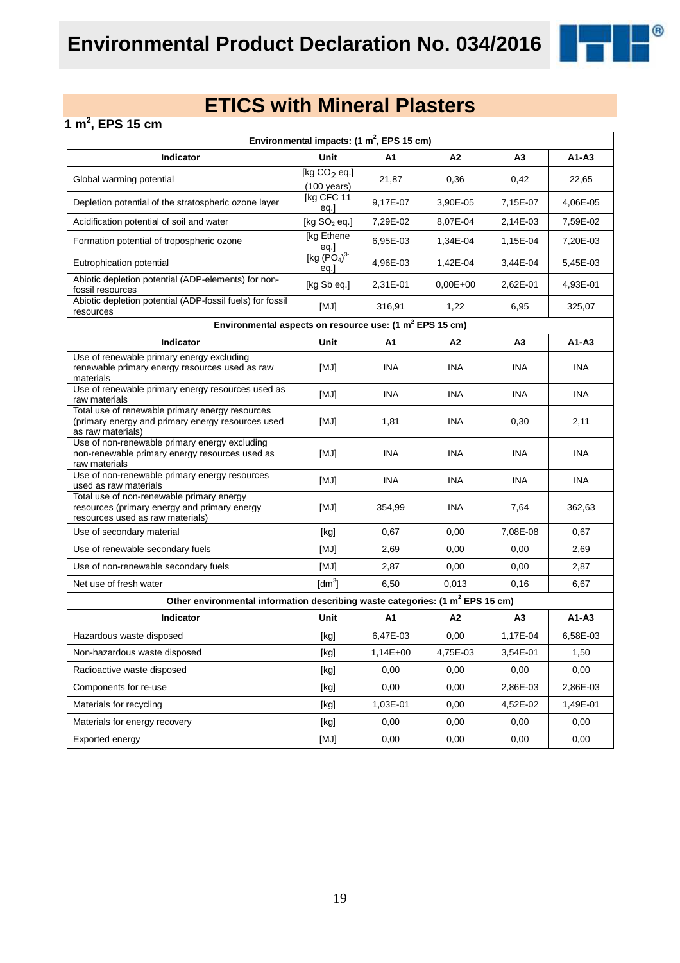

### **1 m<sup>2</sup> , EPS 15 cm**

| Environmental impacts: $(1 \text{ m}^2,$ EPS 15 cm)                                                                           |                                         |            |              |                |            |  |  |  |
|-------------------------------------------------------------------------------------------------------------------------------|-----------------------------------------|------------|--------------|----------------|------------|--|--|--|
| Indicator                                                                                                                     | Unit                                    | A1         | A2           | A3             | $A1 - A3$  |  |  |  |
| Global warming potential                                                                                                      | [kg $CO2$ eq.]<br>$(100 \text{ years})$ | 21,87      | 0,36         | 0,42           | 22,65      |  |  |  |
| Depletion potential of the stratospheric ozone layer                                                                          | [kg CFC 11<br>eq.]                      | 9,17E-07   | 3,90E-05     | 7,15E-07       | 4,06E-05   |  |  |  |
| Acidification potential of soil and water                                                                                     | [kg $SO2$ eq.]                          | 7,29E-02   | 8,07E-04     | 2,14E-03       | 7,59E-02   |  |  |  |
| Formation potential of tropospheric ozone                                                                                     | [kg Ethene<br>$\frac{eq.}{[kg (PO4)3}$  | 6,95E-03   | 1,34E-04     | 1,15E-04       | 7,20E-03   |  |  |  |
| Eutrophication potential                                                                                                      | eq.                                     | 4,96E-03   | 1,42E-04     | 3,44E-04       | 5,45E-03   |  |  |  |
| Abiotic depletion potential (ADP-elements) for non-<br>fossil resources                                                       | [kg Sb eq.]                             | 2,31E-01   | $0.00E + 00$ | 2,62E-01       | 4,93E-01   |  |  |  |
| Abiotic depletion potential (ADP-fossil fuels) for fossil<br>resources                                                        | [MJ]                                    | 316,91     | 1,22         | 6,95           | 325,07     |  |  |  |
| Environmental aspects on resource use: (1 m <sup>2</sup> EPS 15 cm)                                                           |                                         |            |              |                |            |  |  |  |
| Indicator                                                                                                                     | Unit                                    | A1         | A2           | A <sub>3</sub> | A1-A3      |  |  |  |
| Use of renewable primary energy excluding<br>renewable primary energy resources used as raw<br>materials                      | [MJ]                                    | INA        | INA          | INA            | <b>INA</b> |  |  |  |
| Use of renewable primary energy resources used as<br>raw materials                                                            | [MJ]                                    | INA        | <b>INA</b>   | <b>INA</b>     | <b>INA</b> |  |  |  |
| Total use of renewable primary energy resources<br>(primary energy and primary energy resources used<br>as raw materials)     | [MJ]                                    | 1,81       | INA          | 0,30           | 2,11       |  |  |  |
| Use of non-renewable primary energy excluding<br>non-renewable primary energy resources used as<br>raw materials              | [MJ]                                    | INA        | <b>INA</b>   | INA            | INA        |  |  |  |
| Use of non-renewable primary energy resources<br>used as raw materials                                                        | [MJ]                                    | INA        | <b>INA</b>   | <b>INA</b>     | <b>INA</b> |  |  |  |
| Total use of non-renewable primary energy<br>resources (primary energy and primary energy<br>resources used as raw materials) | [MJ]                                    | 354,99     | <b>INA</b>   | 7,64           | 362,63     |  |  |  |
| Use of secondary material                                                                                                     | [kg]                                    | 0,67       | 0,00         | 7,08E-08       | 0,67       |  |  |  |
| Use of renewable secondary fuels                                                                                              | [MJ]                                    | 2,69       | 0,00         | 0,00           | 2,69       |  |  |  |
| Use of non-renewable secondary fuels                                                                                          | [MJ]                                    | 2,87       | 0,00         | 0,00           | 2,87       |  |  |  |
| Net use of fresh water                                                                                                        | $\text{Idm}^3$                          | 6,50       | 0,013        | 0,16           | 6,67       |  |  |  |
| Other environmental information describing waste categories: (1 m <sup>2</sup> EPS 15 cm)                                     |                                         |            |              |                |            |  |  |  |
| Indicator                                                                                                                     | Unit                                    | A1         | A2           | A3             | A1-A3      |  |  |  |
| Hazardous waste disposed                                                                                                      | [kg]                                    | 6,47E-03   | 0,00         | 1,17E-04       | 6,58E-03   |  |  |  |
| Non-hazardous waste disposed                                                                                                  | [kg]                                    | $1,14E+00$ | 4,75E-03     | 3,54E-01       | 1,50       |  |  |  |
| Radioactive waste disposed                                                                                                    | [kg]                                    | 0,00       | 0,00         | 0,00           | 0,00       |  |  |  |
| Components for re-use                                                                                                         | [kg]                                    | 0,00       | 0,00         | 2,86E-03       | 2,86E-03   |  |  |  |
| Materials for recycling                                                                                                       | [kg]                                    | 1,03E-01   | 0,00         | 4,52E-02       | 1,49E-01   |  |  |  |
| Materials for energy recovery                                                                                                 | [kg]                                    | 0,00       | 0,00         | 0,00           | 0,00       |  |  |  |
| Exported energy                                                                                                               | [MJ]                                    | 0,00       | 0,00         | 0,00           | 0,00       |  |  |  |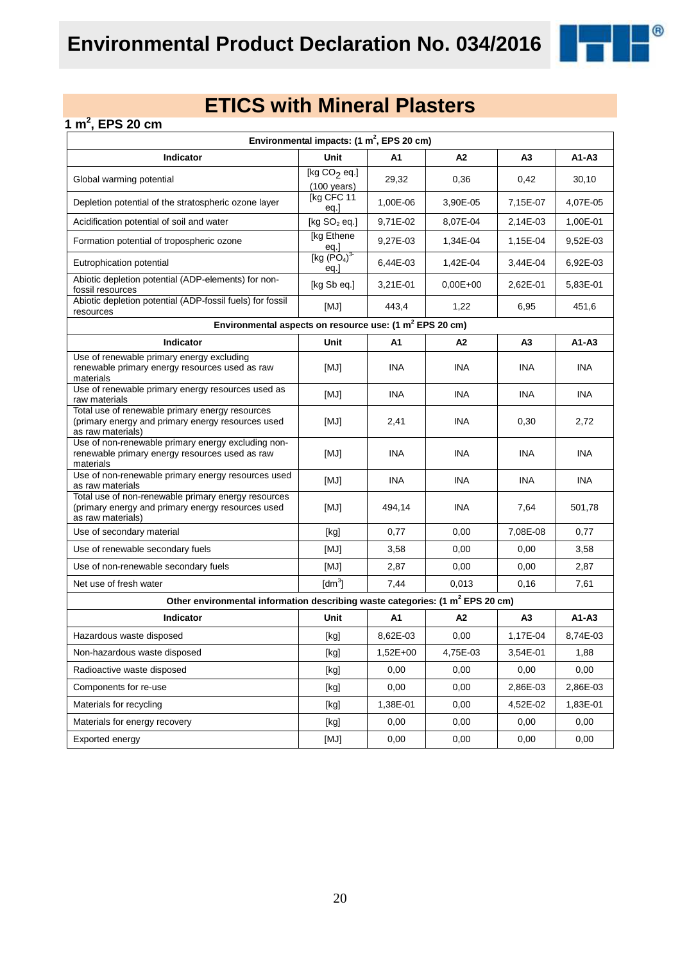

### **1 m<sup>2</sup> , EPS 20 cm**

| Environmental impacts: $(1 \text{ m}^2,$ EPS 20 cm)                                                                           |                                               |            |                |                |            |  |  |  |
|-------------------------------------------------------------------------------------------------------------------------------|-----------------------------------------------|------------|----------------|----------------|------------|--|--|--|
| Indicator                                                                                                                     | Unit                                          | A1         | A2             | A <sub>3</sub> | $A1 - A3$  |  |  |  |
| Global warming potential                                                                                                      | [kg $CO2$ eq.]<br>$(100 \text{ years})$       | 29,32      | 0,36           | 0,42           | 30,10      |  |  |  |
| Depletion potential of the stratospheric ozone layer                                                                          | [kg CFC 11<br>eq.]                            | 1,00E-06   | 3,90E-05       | 7,15E-07       | 4,07E-05   |  |  |  |
| Acidification potential of soil and water                                                                                     | [kg $SO2$ eq.]                                | 9,71E-02   | 8,07E-04       | 2,14E-03       | 1,00E-01   |  |  |  |
| Formation potential of tropospheric ozone                                                                                     | [kg Ethene<br>eq.]                            | 9,27E-03   | 1,34E-04       | 1,15E-04       | 9,52E-03   |  |  |  |
| Eutrophication potential                                                                                                      | [kg (PO <sub>4</sub> ) <sup>3</sup> ]<br>eq.] | 6,44E-03   | 1,42E-04       | 3,44E-04       | 6,92E-03   |  |  |  |
| Abiotic depletion potential (ADP-elements) for non-<br>fossil resources                                                       | [kg Sb eq.]                                   | 3.21E-01   | $0.00E + 00$   | 2,62E-01       | 5,83E-01   |  |  |  |
| Abiotic depletion potential (ADP-fossil fuels) for fossil<br>resources                                                        | [MJ]                                          | 443,4      | 1,22           | 6,95           | 451,6      |  |  |  |
| Environmental aspects on resource use: (1 m <sup>2</sup> EPS 20 cm)                                                           |                                               |            |                |                |            |  |  |  |
| Indicator                                                                                                                     | Unit                                          | A1         | A <sub>2</sub> | A3             | $A1 - A3$  |  |  |  |
| Use of renewable primary energy excluding<br>renewable primary energy resources used as raw<br>materials                      | [MJ]                                          | <b>INA</b> | <b>INA</b>     | INA            | <b>INA</b> |  |  |  |
| Use of renewable primary energy resources used as<br>raw materials                                                            | [MJ]                                          | <b>INA</b> | <b>INA</b>     | <b>INA</b>     | <b>INA</b> |  |  |  |
| Total use of renewable primary energy resources<br>(primary energy and primary energy resources used<br>as raw materials)     | [MJ]                                          | 2,41       | <b>INA</b>     | 0,30           | 2,72       |  |  |  |
| Use of non-renewable primary energy excluding non-<br>renewable primary energy resources used as raw<br>materials             | [MJ]                                          | <b>INA</b> | <b>INA</b>     | <b>INA</b>     | <b>INA</b> |  |  |  |
| Use of non-renewable primary energy resources used<br>as raw materials                                                        | [MJ]                                          | <b>INA</b> | <b>INA</b>     | <b>INA</b>     | <b>INA</b> |  |  |  |
| Total use of non-renewable primary energy resources<br>(primary energy and primary energy resources used<br>as raw materials) | [MJ]                                          | 494,14     | <b>INA</b>     | 7,64           | 501,78     |  |  |  |
| Use of secondary material                                                                                                     | [kg]                                          | 0,77       | 0,00           | 7,08E-08       | 0,77       |  |  |  |
| Use of renewable secondary fuels                                                                                              | [MJ]                                          | 3,58       | 0,00           | 0,00           | 3,58       |  |  |  |
| Use of non-renewable secondary fuels                                                                                          | [MJ]                                          | 2,87       | 0,00           | 0,00           | 2,87       |  |  |  |
| Net use of fresh water                                                                                                        | $\text{[dm}^3$                                | 7,44       | 0,013          | 0,16           | 7,61       |  |  |  |
| Other environmental information describing waste categories: (1 m <sup>2</sup> EPS 20 cm)                                     |                                               |            |                |                |            |  |  |  |
| Indicator                                                                                                                     | Unit                                          | A1         | A2             | A3             | $A1 - A3$  |  |  |  |
| Hazardous waste disposed                                                                                                      | [kg]                                          | 8,62E-03   | 0,00           | 1,17E-04       | 8,74E-03   |  |  |  |
| Non-hazardous waste disposed                                                                                                  | [kg]                                          | $1,52E+00$ | 4,75E-03       | 3,54E-01       | 1,88       |  |  |  |
| Radioactive waste disposed                                                                                                    | [kg]                                          | 0,00       | 0,00           | 0,00           | 0,00       |  |  |  |
| Components for re-use                                                                                                         | [kg]                                          | 0,00       | 0,00           | 2,86E-03       | 2,86E-03   |  |  |  |
| Materials for recycling                                                                                                       | [kg]                                          | 1,38E-01   | 0,00           | 4,52E-02       | 1,83E-01   |  |  |  |
| Materials for energy recovery                                                                                                 | [kg]                                          | 0,00       | 0,00           | 0,00           | 0,00       |  |  |  |
| Exported energy                                                                                                               | [MJ]                                          | 0,00       | 0,00           | 0,00           | 0,00       |  |  |  |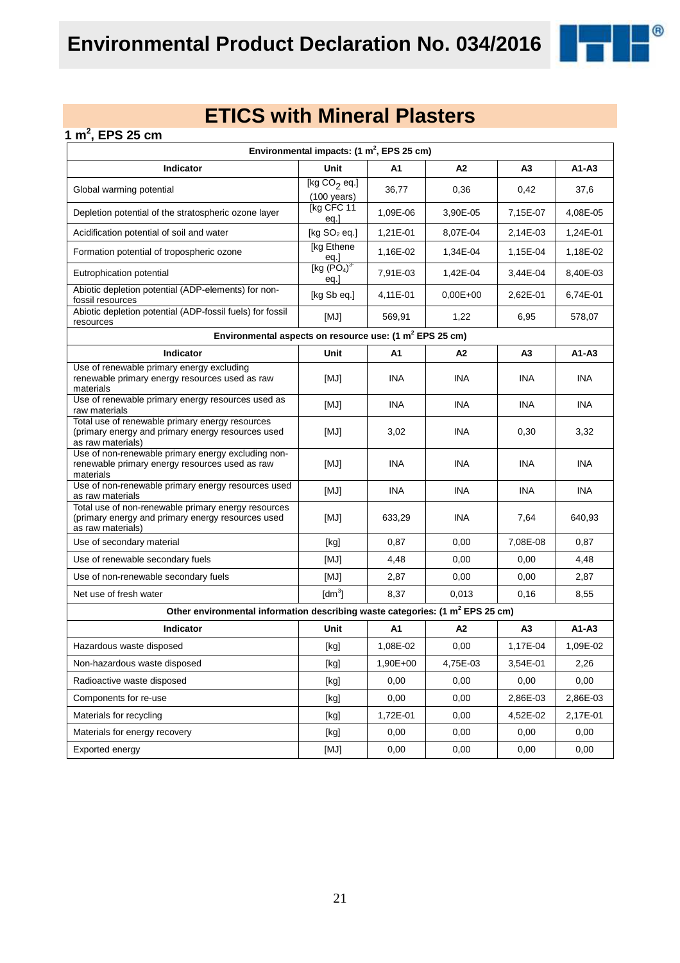

 $^{\circledR}$ 

| 1 m <sup>2</sup> , EPS 25 cm                                                                                                  |                                                                                                                                                                                                                                                                                                                                                                                                                                                                                                                                                                                                                                                                                              |            |            |                |            |
|-------------------------------------------------------------------------------------------------------------------------------|----------------------------------------------------------------------------------------------------------------------------------------------------------------------------------------------------------------------------------------------------------------------------------------------------------------------------------------------------------------------------------------------------------------------------------------------------------------------------------------------------------------------------------------------------------------------------------------------------------------------------------------------------------------------------------------------|------------|------------|----------------|------------|
|                                                                                                                               | Environmental impacts: $(1 \text{ m}^2,$ EPS 25 cm)                                                                                                                                                                                                                                                                                                                                                                                                                                                                                                                                                                                                                                          |            |            |                |            |
| Indicator                                                                                                                     | <b>Unit</b>                                                                                                                                                                                                                                                                                                                                                                                                                                                                                                                                                                                                                                                                                  | A1         | A2         | A <sub>3</sub> | $A1 - A3$  |
| Global warming potential                                                                                                      | [kg $CO2$ eq.]<br>$(100 \text{ years})$                                                                                                                                                                                                                                                                                                                                                                                                                                                                                                                                                                                                                                                      | 36,77      | 0,36       | 0,42           | 37,6       |
| Depletion potential of the stratospheric ozone layer                                                                          | [kg CFC 11<br>eq.]                                                                                                                                                                                                                                                                                                                                                                                                                                                                                                                                                                                                                                                                           | 1,09E-06   | 3,90E-05   | 7,15E-07       | 4,08E-05   |
| Acidification potential of soil and water                                                                                     | [kg $SO2$ eq.]                                                                                                                                                                                                                                                                                                                                                                                                                                                                                                                                                                                                                                                                               | 1,21E-01   | 8,07E-04   | 2,14E-03       | 1,24E-01   |
| Formation potential of tropospheric ozone                                                                                     | [kg Ethene                                                                                                                                                                                                                                                                                                                                                                                                                                                                                                                                                                                                                                                                                   | 1,16E-02   | 1,34E-04   | 1,15E-04       | 1,18E-02   |
| Eutrophication potential                                                                                                      | eq.]<br>[kg $(PO4)3$<br>eq.                                                                                                                                                                                                                                                                                                                                                                                                                                                                                                                                                                                                                                                                  | 7,91E-03   | 1,42E-04   | 3,44E-04       | 8,40E-03   |
| Abiotic depletion potential (ADP-elements) for non-<br>fossil resources                                                       | [kg Sb eq.]                                                                                                                                                                                                                                                                                                                                                                                                                                                                                                                                                                                                                                                                                  | 4,11E-01   | $0,00E+00$ | 2,62E-01       | 6,74E-01   |
| Abiotic depletion potential (ADP-fossil fuels) for fossil<br>resources                                                        | [MJ]                                                                                                                                                                                                                                                                                                                                                                                                                                                                                                                                                                                                                                                                                         | 569,91     | 1,22       | 6,95           | 578,07     |
| Environmental aspects on resource use: (1 m <sup>2</sup> EPS 25 cm)                                                           |                                                                                                                                                                                                                                                                                                                                                                                                                                                                                                                                                                                                                                                                                              |            |            |                |            |
| <b>Indicator</b>                                                                                                              | Unit                                                                                                                                                                                                                                                                                                                                                                                                                                                                                                                                                                                                                                                                                         | A1         | A2         | A <sub>3</sub> | A1-A3      |
| Use of renewable primary energy excluding<br>renewable primary energy resources used as raw<br>materials                      | [MJ]                                                                                                                                                                                                                                                                                                                                                                                                                                                                                                                                                                                                                                                                                         | <b>INA</b> | INA        | <b>INA</b>     | <b>INA</b> |
| Use of renewable primary energy resources used as<br>raw materials                                                            | [MJ]                                                                                                                                                                                                                                                                                                                                                                                                                                                                                                                                                                                                                                                                                         | INA.       | <b>INA</b> | INA            | <b>INA</b> |
| Total use of renewable primary energy resources<br>(primary energy and primary energy resources used<br>as raw materials)     | [MJ]                                                                                                                                                                                                                                                                                                                                                                                                                                                                                                                                                                                                                                                                                         | 3,02       | <b>INA</b> | 0,30           | 3,32       |
| Use of non-renewable primary energy excluding non-<br>renewable primary energy resources used as raw<br>materials             | [MJ]                                                                                                                                                                                                                                                                                                                                                                                                                                                                                                                                                                                                                                                                                         | <b>INA</b> | INA        | <b>INA</b>     | <b>INA</b> |
| Use of non-renewable primary energy resources used<br>as raw materials                                                        | [MJ]                                                                                                                                                                                                                                                                                                                                                                                                                                                                                                                                                                                                                                                                                         | <b>INA</b> | INA        | <b>INA</b>     | <b>INA</b> |
| Total use of non-renewable primary energy resources<br>(primary energy and primary energy resources used<br>as raw materials) | [MJ]                                                                                                                                                                                                                                                                                                                                                                                                                                                                                                                                                                                                                                                                                         | 633,29     | <b>INA</b> | 7,64           | 640,93     |
| Use of secondary material                                                                                                     | [kg]                                                                                                                                                                                                                                                                                                                                                                                                                                                                                                                                                                                                                                                                                         | 0,87       | 0,00       | 7,08E-08       | 0,87       |
| Use of renewable secondary fuels                                                                                              | [MJ]                                                                                                                                                                                                                                                                                                                                                                                                                                                                                                                                                                                                                                                                                         | 4,48       | 0,00       | 0,00           | 4,48       |
| Use of non-renewable secondary fuels                                                                                          | [MJ]                                                                                                                                                                                                                                                                                                                                                                                                                                                                                                                                                                                                                                                                                         | 2,87       | 0,00       | 0,00           | 2,87       |
| Net use of fresh water                                                                                                        | $\text{[dm}^3$                                                                                                                                                                                                                                                                                                                                                                                                                                                                                                                                                                                                                                                                               | 8,37       | 0,013      | 0,16           | 8,55       |
| Other environmental information describing waste categories: (1 m <sup>2</sup> EPS 25 cm)                                     |                                                                                                                                                                                                                                                                                                                                                                                                                                                                                                                                                                                                                                                                                              |            |            |                |            |
| Indicator                                                                                                                     | Unit                                                                                                                                                                                                                                                                                                                                                                                                                                                                                                                                                                                                                                                                                         | A1         | A2         | A3             | A1-A3      |
| Hazardous waste disposed                                                                                                      | $[kg] % \begin{center} % \includegraphics[width=\linewidth]{imagesSupplemental/Imetad-Architecture.png} % \end{center} % \caption { % \begin{subfigure}[M5]{0.23\textwidth} \includegraphics[width=\linewidth]{imagesSupplemental/Imetad-Architecture.png} } % \end{subfigure} % \begin{subfigure}[M5]{0.23\textwidth} \includegraphics[width=\linewidth]{imagesSupplemental/Imetad-Architecture.png} } % \end{subfigure} % \caption { % \begin{subfigure}[M5]{0.23\textwidth} \includegraphics[width=\linewidth]{imagesSupplemental/Imetad-Architecture.png} } % \end{subfigure} % \caption{ % \begin{subfigure}[M5]{0.23\textwidth} \includegraphics[width=\linewidth]{imagesSupplemental$ | 1,08E-02   | 0,00       | 1,17E-04       | 1,09E-02   |
| Non-hazardous waste disposed                                                                                                  | $[kg] % \begin{center} % \includegraphics[width=\linewidth]{imagesSupplemental_3.png} % \end{center} % \caption { % \textit{DefNet} of the \textit{DefNet} dataset. % Note that the \textit{DefNet} and \textit{DefNet} dataset. % Note that the \textit{DefNet} and \textit{DefNet} dataset. % Note that the \textit{DefNet} and \textit{DefNet} dataset. % Note that the \textit{DefNet} and \textit{DefNet} dataset. % Note that the \textit{DefNet} and \textit{DefNet} dataset. % Note that the \textit{DefNet} and \textit{DefNet} dataset. % Note that the \textit{DefNet} and \textit{DefNet} dataset. % Note that the \textit{DefNet} and \textit{DefNet$                           | 1,90E+00   | 4,75E-03   | 3,54E-01       | 2,26       |
| Radioactive waste disposed                                                                                                    | $[kg] % \begin{center} % \includegraphics[width=\linewidth]{imagesSupplemental_3.png} % \end{center} % \caption { % \textit{DefNet} of the \textit{DefNet} dataset. % Note that the \textit{DefNet} and \textit{DefNet} dataset. % Note that the \textit{DefNet} and \textit{DefNet} dataset. % Note that the \textit{DefNet} and \textit{DefNet} dataset. % Note that the \textit{DefNet} and \textit{DefNet} dataset. % Note that the \textit{DefNet} and \textit{DefNet} dataset. % Note that the \textit{DefNet} and \textit{DefNet} dataset. % Note that the \textit{DefNet} and \textit{DefNet} dataset. % Note that the \textit{DefNet} and \textit{DefNet$                           | 0,00       | 0,00       | 0,00           | 0,00       |
| Components for re-use                                                                                                         | [kg]                                                                                                                                                                                                                                                                                                                                                                                                                                                                                                                                                                                                                                                                                         | 0,00       | 0,00       | 2,86E-03       | 2,86E-03   |
| Materials for recycling                                                                                                       | [kg]                                                                                                                                                                                                                                                                                                                                                                                                                                                                                                                                                                                                                                                                                         | 1,72E-01   | 0,00       | 4,52E-02       | 2,17E-01   |
| Materials for energy recovery                                                                                                 | [kg]                                                                                                                                                                                                                                                                                                                                                                                                                                                                                                                                                                                                                                                                                         | 0,00       | 0,00       | 0,00           | 0,00       |
| Exported energy                                                                                                               | [MJ]                                                                                                                                                                                                                                                                                                                                                                                                                                                                                                                                                                                                                                                                                         | 0,00       | 0,00       | 0,00           | 0,00       |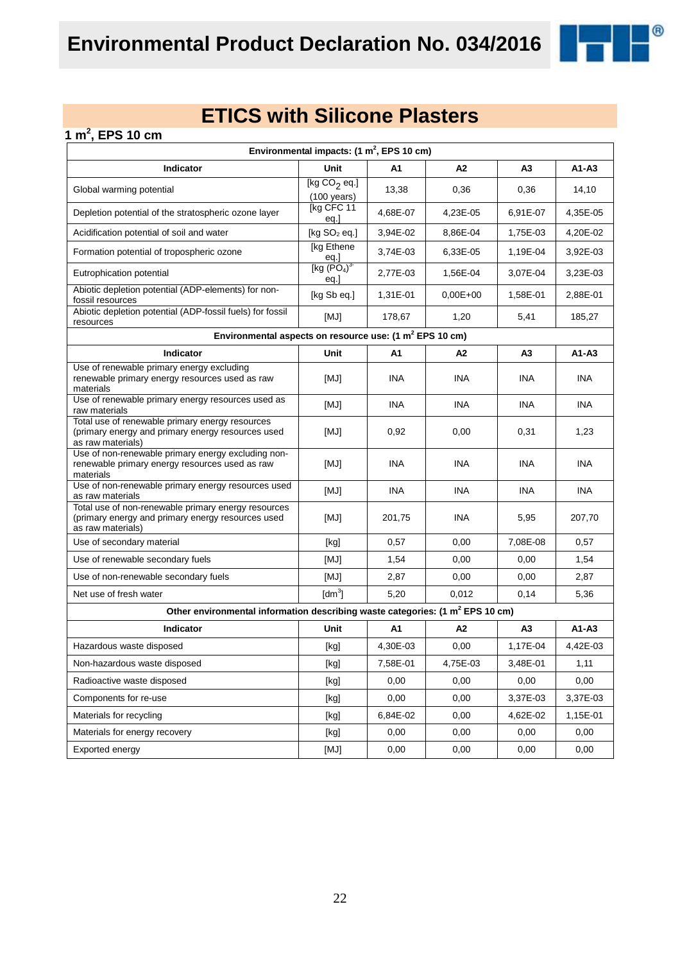

 $^{\circledR}$ 

| 1 m <sup>2</sup> , EPS 10 cm                                                                                                  |                                                                                                                                                                                                                                                                                                                                                                                                                                                                                                                                                                                                                                                                    |            |            |                |            |
|-------------------------------------------------------------------------------------------------------------------------------|--------------------------------------------------------------------------------------------------------------------------------------------------------------------------------------------------------------------------------------------------------------------------------------------------------------------------------------------------------------------------------------------------------------------------------------------------------------------------------------------------------------------------------------------------------------------------------------------------------------------------------------------------------------------|------------|------------|----------------|------------|
|                                                                                                                               | Environmental impacts: $(1 \text{ m}^2,$ EPS 10 cm)                                                                                                                                                                                                                                                                                                                                                                                                                                                                                                                                                                                                                |            |            |                |            |
| Indicator                                                                                                                     | <b>Unit</b>                                                                                                                                                                                                                                                                                                                                                                                                                                                                                                                                                                                                                                                        | A1         | A2         | A <sub>3</sub> | $A1 - A3$  |
| Global warming potential                                                                                                      | [kg CO <sub>2</sub> eq.]<br>$(100 \text{ years})$                                                                                                                                                                                                                                                                                                                                                                                                                                                                                                                                                                                                                  | 13,38      | 0,36       | 0,36           | 14,10      |
| Depletion potential of the stratospheric ozone layer                                                                          | [kg CFC 11<br>eq.]                                                                                                                                                                                                                                                                                                                                                                                                                                                                                                                                                                                                                                                 | 4.68E-07   | 4,23E-05   | 6,91E-07       | 4,35E-05   |
| Acidification potential of soil and water                                                                                     | [kg $SO2$ eq.]                                                                                                                                                                                                                                                                                                                                                                                                                                                                                                                                                                                                                                                     | 3,94E-02   | 8,86E-04   | 1,75E-03       | 4,20E-02   |
| Formation potential of tropospheric ozone                                                                                     | [kg Ethene                                                                                                                                                                                                                                                                                                                                                                                                                                                                                                                                                                                                                                                         | 3.74E-03   | 6,33E-05   | 1,19E-04       | 3,92E-03   |
| Eutrophication potential                                                                                                      | eq.]<br>[kg $(PO4)3$<br>eq.                                                                                                                                                                                                                                                                                                                                                                                                                                                                                                                                                                                                                                        | 2,77E-03   | 1,56E-04   | 3,07E-04       | 3,23E-03   |
| Abiotic depletion potential (ADP-elements) for non-<br>fossil resources                                                       | [kg Sb eq.]                                                                                                                                                                                                                                                                                                                                                                                                                                                                                                                                                                                                                                                        | 1,31E-01   | $0,00E+00$ | 1,58E-01       | 2,88E-01   |
| Abiotic depletion potential (ADP-fossil fuels) for fossil<br>resources                                                        | [MJ]                                                                                                                                                                                                                                                                                                                                                                                                                                                                                                                                                                                                                                                               | 178,67     | 1,20       | 5,41           | 185,27     |
| Environmental aspects on resource use: (1 m <sup>2</sup> EPS 10 cm)                                                           |                                                                                                                                                                                                                                                                                                                                                                                                                                                                                                                                                                                                                                                                    |            |            |                |            |
| Indicator                                                                                                                     | Unit                                                                                                                                                                                                                                                                                                                                                                                                                                                                                                                                                                                                                                                               | A1         | A2         | A <sub>3</sub> | A1-A3      |
| Use of renewable primary energy excluding<br>renewable primary energy resources used as raw<br>materials                      | [MJ]                                                                                                                                                                                                                                                                                                                                                                                                                                                                                                                                                                                                                                                               | <b>INA</b> | <b>INA</b> | <b>INA</b>     | <b>INA</b> |
| Use of renewable primary energy resources used as<br>raw materials                                                            | [MJ]                                                                                                                                                                                                                                                                                                                                                                                                                                                                                                                                                                                                                                                               | <b>INA</b> | <b>INA</b> | <b>INA</b>     | <b>INA</b> |
| Total use of renewable primary energy resources<br>(primary energy and primary energy resources used<br>as raw materials)     | [MJ]                                                                                                                                                                                                                                                                                                                                                                                                                                                                                                                                                                                                                                                               | 0,92       | 0,00       | 0,31           | 1,23       |
| Use of non-renewable primary energy excluding non-<br>renewable primary energy resources used as raw<br>materials             | [MJ]                                                                                                                                                                                                                                                                                                                                                                                                                                                                                                                                                                                                                                                               | <b>INA</b> | INA        | <b>INA</b>     | <b>INA</b> |
| Use of non-renewable primary energy resources used<br>as raw materials                                                        | [MJ]                                                                                                                                                                                                                                                                                                                                                                                                                                                                                                                                                                                                                                                               | <b>INA</b> | <b>INA</b> | <b>INA</b>     | <b>INA</b> |
| Total use of non-renewable primary energy resources<br>(primary energy and primary energy resources used<br>as raw materials) | [MJ]                                                                                                                                                                                                                                                                                                                                                                                                                                                                                                                                                                                                                                                               | 201,75     | <b>INA</b> | 5,95           | 207,70     |
| Use of secondary material                                                                                                     | [kg]                                                                                                                                                                                                                                                                                                                                                                                                                                                                                                                                                                                                                                                               | 0,57       | 0,00       | 7,08E-08       | 0,57       |
| Use of renewable secondary fuels                                                                                              | [MJ]                                                                                                                                                                                                                                                                                                                                                                                                                                                                                                                                                                                                                                                               | 1,54       | 0,00       | 0,00           | 1,54       |
| Use of non-renewable secondary fuels                                                                                          | [MJ]                                                                                                                                                                                                                                                                                                                                                                                                                                                                                                                                                                                                                                                               | 2,87       | 0,00       | 0,00           | 2,87       |
| Net use of fresh water                                                                                                        | $\text{[dm}^3$                                                                                                                                                                                                                                                                                                                                                                                                                                                                                                                                                                                                                                                     | 5,20       | 0,012      | 0,14           | 5,36       |
| Other environmental information describing waste categories: (1 m <sup>2</sup> EPS 10 cm)                                     |                                                                                                                                                                                                                                                                                                                                                                                                                                                                                                                                                                                                                                                                    |            |            |                |            |
| Indicator                                                                                                                     | Unit                                                                                                                                                                                                                                                                                                                                                                                                                                                                                                                                                                                                                                                               | A1         | A2         | A3             | A1-A3      |
| Hazardous waste disposed                                                                                                      | $[kg] % \begin{center} % \includegraphics[width=\linewidth]{imagesSupplemental_3.png} % \end{center} % \caption { % \textit{DefNet} of the \textit{DefNet} dataset. % Note that the \textit{DefNet} and \textit{DefNet} dataset. % Note that the \textit{DefNet} and \textit{DefNet} dataset. % Note that the \textit{DefNet} and \textit{DefNet} dataset. % Note that the \textit{DefNet} and \textit{DefNet} dataset. % Note that the \textit{DefNet} and \textit{DefNet} dataset. % Note that the \textit{DefNet} and \textit{DefNet} dataset. % Note that the \textit{DefNet} and \textit{DefNet} dataset. % Note that the \textit{DefNet} and \textit{DefNet$ | 4,30E-03   | 0,00       | 1,17E-04       | 4,42E-03   |
| Non-hazardous waste disposed                                                                                                  | $[kg] % \begin{center} % \includegraphics[width=\linewidth]{imagesSupplemental_3.png} % \end{center} % \caption { % \textit{DefNet} of the \textit{DefNet} dataset. % Note that the \textit{DefNet} and \textit{DefNet} dataset. % Note that the \textit{DefNet} and \textit{DefNet} dataset. % Note that the \textit{DefNet} and \textit{DefNet} dataset. % Note that the \textit{DefNet} and \textit{DefNet} dataset. % Note that the \textit{DefNet} and \textit{DefNet} dataset. % Note that the \textit{DefNet} and \textit{DefNet} dataset. % Note that the \textit{DefNet} and \textit{DefNet} dataset. % Note that the \textit{DefNet} and \textit{DefNet$ | 7,58E-01   | 4,75E-03   | 3,48E-01       | 1,11       |
| Radioactive waste disposed                                                                                                    | [kg]                                                                                                                                                                                                                                                                                                                                                                                                                                                                                                                                                                                                                                                               | 0,00       | 0,00       | 0,00           | 0,00       |
| Components for re-use                                                                                                         | [kg]                                                                                                                                                                                                                                                                                                                                                                                                                                                                                                                                                                                                                                                               | 0,00       | 0,00       | 3,37E-03       | 3,37E-03   |
| Materials for recycling                                                                                                       | [kg]                                                                                                                                                                                                                                                                                                                                                                                                                                                                                                                                                                                                                                                               | 6,84E-02   | 0,00       | 4,62E-02       | 1,15E-01   |
| Materials for energy recovery                                                                                                 | [kg]                                                                                                                                                                                                                                                                                                                                                                                                                                                                                                                                                                                                                                                               | 0,00       | 0,00       | 0,00           | 0,00       |
| Exported energy                                                                                                               | [MJ]                                                                                                                                                                                                                                                                                                                                                                                                                                                                                                                                                                                                                                                               | 0,00       | 0,00       | 0,00           | 0,00       |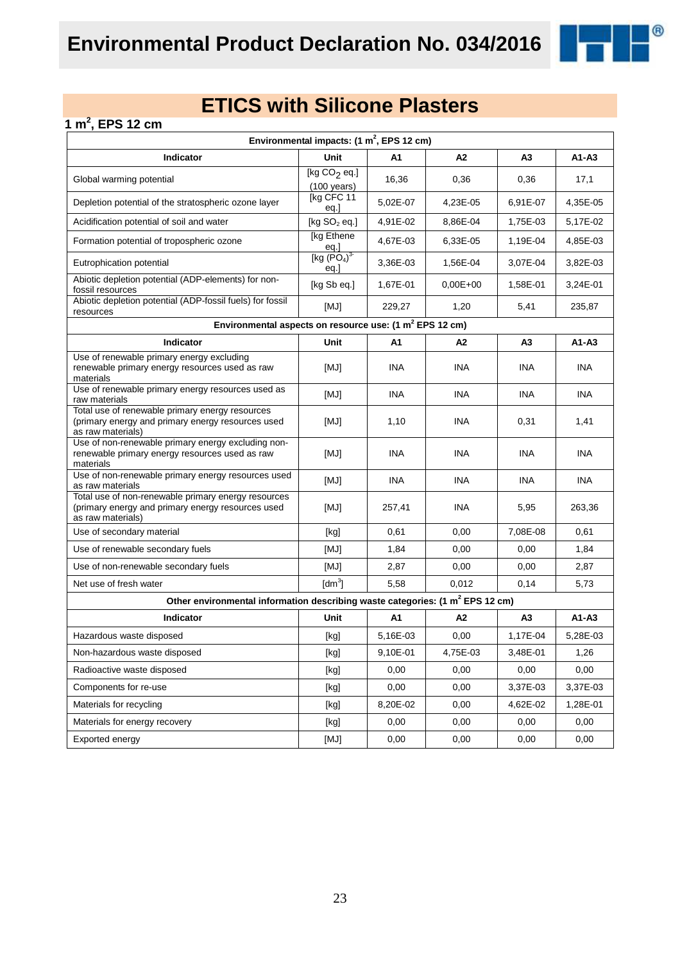

### **1 m<sup>2</sup> , EPS 12 cm**

| Environmental impacts: $(1 \text{ m}^2,$ EPS 12 cm)                                                                           |                                               |            |              |                |            |  |  |
|-------------------------------------------------------------------------------------------------------------------------------|-----------------------------------------------|------------|--------------|----------------|------------|--|--|
| <b>Indicator</b>                                                                                                              | <b>Unit</b>                                   | A1         | A2           | A3             | $A1 - A3$  |  |  |
| Global warming potential                                                                                                      | [kg $CO2$ eq.]<br>$(100 \text{ years})$       | 16,36      | 0,36         | 0,36           | 17,1       |  |  |
| Depletion potential of the stratospheric ozone layer                                                                          | [kg CFC 11<br>eq.]                            | 5,02E-07   | 4,23E-05     | 6,91E-07       | 4,35E-05   |  |  |
| Acidification potential of soil and water                                                                                     | [kg $SO2$ eq.]                                | 4,91E-02   | 8,86E-04     | 1,75E-03       | 5,17E-02   |  |  |
| Formation potential of tropospheric ozone                                                                                     | [kg Ethene<br><u>eq.]</u>                     | 4,67E-03   | 6,33E-05     | 1,19E-04       | 4,85E-03   |  |  |
| Eutrophication potential                                                                                                      | [kg (PO <sub>4</sub> ) <sup>3</sup> ]<br>eq.] | 3,36E-03   | 1,56E-04     | 3,07E-04       | 3,82E-03   |  |  |
| Abiotic depletion potential (ADP-elements) for non-<br>fossil resources                                                       | [kg Sb eq.]                                   | 1,67E-01   | $0.00E + 00$ | 1,58E-01       | 3,24E-01   |  |  |
| Abiotic depletion potential (ADP-fossil fuels) for fossil<br>resources                                                        | [MJ]                                          | 229,27     | 1,20         | 5,41           | 235,87     |  |  |
| Environmental aspects on resource use: (1 m <sup>2</sup> EPS 12 cm)                                                           |                                               |            |              |                |            |  |  |
| Indicator                                                                                                                     | Unit                                          | A1         | A2           | A <sub>3</sub> | $A1 - A3$  |  |  |
| Use of renewable primary energy excluding<br>renewable primary energy resources used as raw<br>materials                      | [MJ]                                          | INA        | <b>INA</b>   | <b>INA</b>     | <b>INA</b> |  |  |
| Use of renewable primary energy resources used as<br>raw materials                                                            | [MJ]                                          | <b>INA</b> | <b>INA</b>   | <b>INA</b>     | <b>INA</b> |  |  |
| Total use of renewable primary energy resources<br>(primary energy and primary energy resources used<br>as raw materials)     | [MJ]                                          | 1,10       | INA          | 0,31           | 1,41       |  |  |
| Use of non-renewable primary energy excluding non-<br>renewable primary energy resources used as raw<br>materials             | [MJ]                                          | <b>INA</b> | INA          | <b>INA</b>     | <b>INA</b> |  |  |
| Use of non-renewable primary energy resources used<br>as raw materials                                                        | [MJ]                                          | <b>INA</b> | <b>INA</b>   | <b>INA</b>     | <b>INA</b> |  |  |
| Total use of non-renewable primary energy resources<br>(primary energy and primary energy resources used<br>as raw materials) | [MJ]                                          | 257,41     | INA          | 5,95           | 263,36     |  |  |
| Use of secondary material                                                                                                     | [kg]                                          | 0,61       | 0,00         | 7,08E-08       | 0.61       |  |  |
| Use of renewable secondary fuels                                                                                              | [MJ]                                          | 1,84       | 0,00         | 0,00           | 1,84       |  |  |
| Use of non-renewable secondary fuels                                                                                          | [MJ]                                          | 2,87       | 0,00         | 0,00           | 2,87       |  |  |
| Net use of fresh water                                                                                                        | $\text{[dm}^3$                                | 5,58       | 0,012        | 0,14           | 5,73       |  |  |
| Other environmental information describing waste categories: (1 m <sup>2</sup> EPS 12 cm)                                     |                                               |            |              |                |            |  |  |
| Indicator                                                                                                                     | Unit                                          | A1         | A2           | A3             | $A1 - A3$  |  |  |
| Hazardous waste disposed                                                                                                      | [kg]                                          | 5,16E-03   | 0,00         | 1,17E-04       | 5,28E-03   |  |  |
| Non-hazardous waste disposed                                                                                                  | [kg]                                          | 9,10E-01   | 4,75E-03     | 3,48E-01       | 1,26       |  |  |
| Radioactive waste disposed                                                                                                    | [kg]                                          | 0,00       | 0,00         | 0,00           | 0,00       |  |  |
| Components for re-use                                                                                                         | [kg]                                          | 0,00       | 0,00         | 3,37E-03       | 3,37E-03   |  |  |
| Materials for recycling                                                                                                       | [kg]                                          | 8,20E-02   | 0,00         | 4,62E-02       | 1,28E-01   |  |  |
| Materials for energy recovery                                                                                                 | [kg]                                          | 0,00       | 0,00         | 0,00           | 0,00       |  |  |
| Exported energy                                                                                                               | [MJ]                                          | 0,00       | 0,00         | 0,00           | 0,00       |  |  |

23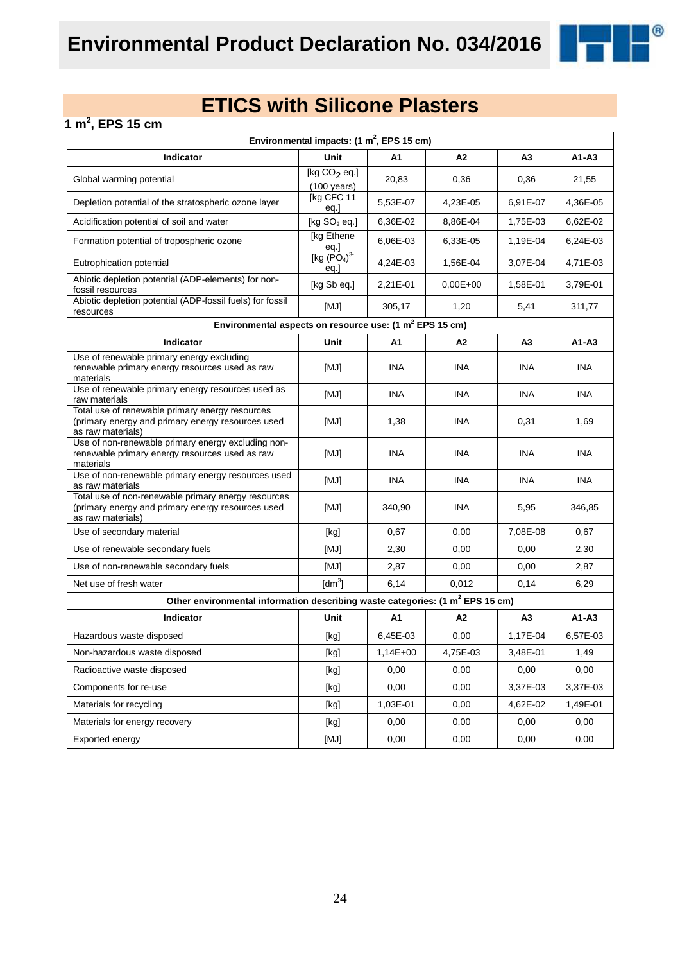

### **1 m<sup>2</sup> , EPS 15 cm**

| Environmental impacts: $(1 \text{ m}^2,$ EPS 15 cm)                                                                           |                                                                                                                                                                                                                                                                                                                                                                                                                                                                                                                                                                                                                                                                                              |            |                |                |            |  |  |
|-------------------------------------------------------------------------------------------------------------------------------|----------------------------------------------------------------------------------------------------------------------------------------------------------------------------------------------------------------------------------------------------------------------------------------------------------------------------------------------------------------------------------------------------------------------------------------------------------------------------------------------------------------------------------------------------------------------------------------------------------------------------------------------------------------------------------------------|------------|----------------|----------------|------------|--|--|
| Indicator                                                                                                                     | <b>Unit</b>                                                                                                                                                                                                                                                                                                                                                                                                                                                                                                                                                                                                                                                                                  | A1         | A2             | A <sub>3</sub> | A1-A3      |  |  |
| Global warming potential                                                                                                      | [kg $CO2$ eq.]<br>$(100 \text{ years})$                                                                                                                                                                                                                                                                                                                                                                                                                                                                                                                                                                                                                                                      | 20,83      | 0,36           | 0,36           | 21,55      |  |  |
| Depletion potential of the stratospheric ozone layer                                                                          | [kg CFC 11<br>eq.]                                                                                                                                                                                                                                                                                                                                                                                                                                                                                                                                                                                                                                                                           | 5,53E-07   | 4,23E-05       | 6,91E-07       | 4,36E-05   |  |  |
| Acidification potential of soil and water                                                                                     | [kg $SO2$ eq.]                                                                                                                                                                                                                                                                                                                                                                                                                                                                                                                                                                                                                                                                               | 6,36E-02   | 8,86E-04       | 1,75E-03       | 6,62E-02   |  |  |
| Formation potential of tropospheric ozone                                                                                     | [kg Ethene<br><u>eq.]</u>                                                                                                                                                                                                                                                                                                                                                                                                                                                                                                                                                                                                                                                                    | 6,06E-03   | 6,33E-05       | 1,19E-04       | 6,24E-03   |  |  |
| Eutrophication potential                                                                                                      | [kg $(PO4)3$<br>eq.                                                                                                                                                                                                                                                                                                                                                                                                                                                                                                                                                                                                                                                                          | 4,24E-03   | 1,56E-04       | 3,07E-04       | 4,71E-03   |  |  |
| Abiotic depletion potential (ADP-elements) for non-<br>fossil resources                                                       | [kg Sb eq.]                                                                                                                                                                                                                                                                                                                                                                                                                                                                                                                                                                                                                                                                                  | 2,21E-01   | $0.00E + 00$   | 1,58E-01       | 3,79E-01   |  |  |
| Abiotic depletion potential (ADP-fossil fuels) for fossil<br>resources                                                        | [MJ]                                                                                                                                                                                                                                                                                                                                                                                                                                                                                                                                                                                                                                                                                         | 305,17     | 1,20           | 5,41           | 311,77     |  |  |
| Environmental aspects on resource use: (1 m <sup>2</sup> EPS 15 cm)                                                           |                                                                                                                                                                                                                                                                                                                                                                                                                                                                                                                                                                                                                                                                                              |            |                |                |            |  |  |
| <b>Indicator</b>                                                                                                              | Unit                                                                                                                                                                                                                                                                                                                                                                                                                                                                                                                                                                                                                                                                                         | A1         | A <sub>2</sub> | A3             | $A1-A3$    |  |  |
| Use of renewable primary energy excluding<br>renewable primary energy resources used as raw<br>materials                      | [MJ]                                                                                                                                                                                                                                                                                                                                                                                                                                                                                                                                                                                                                                                                                         | INA.       | <b>INA</b>     | INA.           | <b>INA</b> |  |  |
| Use of renewable primary energy resources used as<br>raw materials                                                            | [MJ]                                                                                                                                                                                                                                                                                                                                                                                                                                                                                                                                                                                                                                                                                         | <b>INA</b> | <b>INA</b>     | INA.           | <b>INA</b> |  |  |
| Total use of renewable primary energy resources<br>(primary energy and primary energy resources used<br>as raw materials)     | [MJ]                                                                                                                                                                                                                                                                                                                                                                                                                                                                                                                                                                                                                                                                                         | 1,38       | INA            | 0,31           | 1,69       |  |  |
| Use of non-renewable primary energy excluding non-<br>renewable primary energy resources used as raw<br>materials             | [MJ]                                                                                                                                                                                                                                                                                                                                                                                                                                                                                                                                                                                                                                                                                         | <b>INA</b> | INA            | <b>INA</b>     | <b>INA</b> |  |  |
| Use of non-renewable primary energy resources used<br>as raw materials                                                        | [MJ]                                                                                                                                                                                                                                                                                                                                                                                                                                                                                                                                                                                                                                                                                         | <b>INA</b> | INA            | <b>INA</b>     | <b>INA</b> |  |  |
| Total use of non-renewable primary energy resources<br>(primary energy and primary energy resources used<br>as raw materials) | [MJ]                                                                                                                                                                                                                                                                                                                                                                                                                                                                                                                                                                                                                                                                                         | 340,90     | <b>INA</b>     | 5,95           | 346,85     |  |  |
| Use of secondary material                                                                                                     | [kg]                                                                                                                                                                                                                                                                                                                                                                                                                                                                                                                                                                                                                                                                                         | 0,67       | 0,00           | 7,08E-08       | 0,67       |  |  |
| Use of renewable secondary fuels                                                                                              | [MJ]                                                                                                                                                                                                                                                                                                                                                                                                                                                                                                                                                                                                                                                                                         | 2,30       | 0,00           | 0,00           | 2,30       |  |  |
| Use of non-renewable secondary fuels                                                                                          | [MJ]                                                                                                                                                                                                                                                                                                                                                                                                                                                                                                                                                                                                                                                                                         | 2,87       | 0,00           | 0,00           | 2,87       |  |  |
| Net use of fresh water                                                                                                        | $\text{[dm}^3$                                                                                                                                                                                                                                                                                                                                                                                                                                                                                                                                                                                                                                                                               | 6,14       | 0,012          | 0,14           | 6,29       |  |  |
| Other environmental information describing waste categories: (1 m <sup>2</sup> EPS 15 cm)                                     |                                                                                                                                                                                                                                                                                                                                                                                                                                                                                                                                                                                                                                                                                              |            |                |                |            |  |  |
| Indicator                                                                                                                     | Unit                                                                                                                                                                                                                                                                                                                                                                                                                                                                                                                                                                                                                                                                                         | A1         | A2             | A3             | A1-A3      |  |  |
| Hazardous waste disposed                                                                                                      | [kg]                                                                                                                                                                                                                                                                                                                                                                                                                                                                                                                                                                                                                                                                                         | 6,45E-03   | 0,00           | 1,17E-04       | 6,57E-03   |  |  |
| Non-hazardous waste disposed                                                                                                  | $[kg] % \begin{center} % \includegraphics[width=\linewidth]{imagesSupplemental/Imetad-Architecture.png} % \end{center} % \caption { % \begin{subfigure}[M5]{0.23\textwidth} \includegraphics[width=\linewidth]{imagesSupplemental/Imetad-Architecture.png} } % \end{subfigure} % \begin{subfigure}[M5]{0.23\textwidth} \includegraphics[width=\linewidth]{imagesSupplemental/Imetad-Architecture.png} } % \end{subfigure} % \caption { % \begin{subfigure}[M5]{0.23\textwidth} \includegraphics[width=\linewidth]{imagesSupplemental/Imetad-Architecture.png} } % \end{subfigure} % \caption{ % \begin{subfigure}[M5]{0.23\textwidth} \includegraphics[width=\linewidth]{imagesSupplemental$ | $1,14E+00$ | 4,75E-03       | 3,48E-01       | 1,49       |  |  |
| Radioactive waste disposed                                                                                                    | $[kg] % \begin{center} % \includegraphics[width=\linewidth]{imagesSupplemental_3.png} % \end{center} % \caption { % \textit{DefNet} of the \textit{DefNet} dataset. % Note that the \textit{DefNet} and \textit{DefNet} dataset. % Note that the \textit{DefNet} and \textit{DefNet} dataset. % Note that the \textit{DefNet} and \textit{DefNet} dataset. % Note that the \textit{DefNet} and \textit{DefNet} dataset. % Note that the \textit{DefNet} and \textit{DefNet} dataset. % Note that the \textit{DefNet} and \textit{DefNet} dataset. % Note that the \textit{DefNet} and \textit{DefNet} dataset. % Note that the \textit{DefNet} and \textit{DefNet$                           | 0,00       | 0,00           | 0,00           | 0,00       |  |  |
| Components for re-use                                                                                                         | [kg]                                                                                                                                                                                                                                                                                                                                                                                                                                                                                                                                                                                                                                                                                         | 0,00       | 0,00           | 3,37E-03       | 3,37E-03   |  |  |
| Materials for recycling                                                                                                       | [kg]                                                                                                                                                                                                                                                                                                                                                                                                                                                                                                                                                                                                                                                                                         | 1,03E-01   | 0,00           | 4,62E-02       | 1,49E-01   |  |  |
| Materials for energy recovery                                                                                                 | [kg]                                                                                                                                                                                                                                                                                                                                                                                                                                                                                                                                                                                                                                                                                         | 0,00       | 0,00           | 0,00           | 0,00       |  |  |
| Exported energy                                                                                                               | [MJ]                                                                                                                                                                                                                                                                                                                                                                                                                                                                                                                                                                                                                                                                                         | 0,00       | 0,00           | 0,00           | 0,00       |  |  |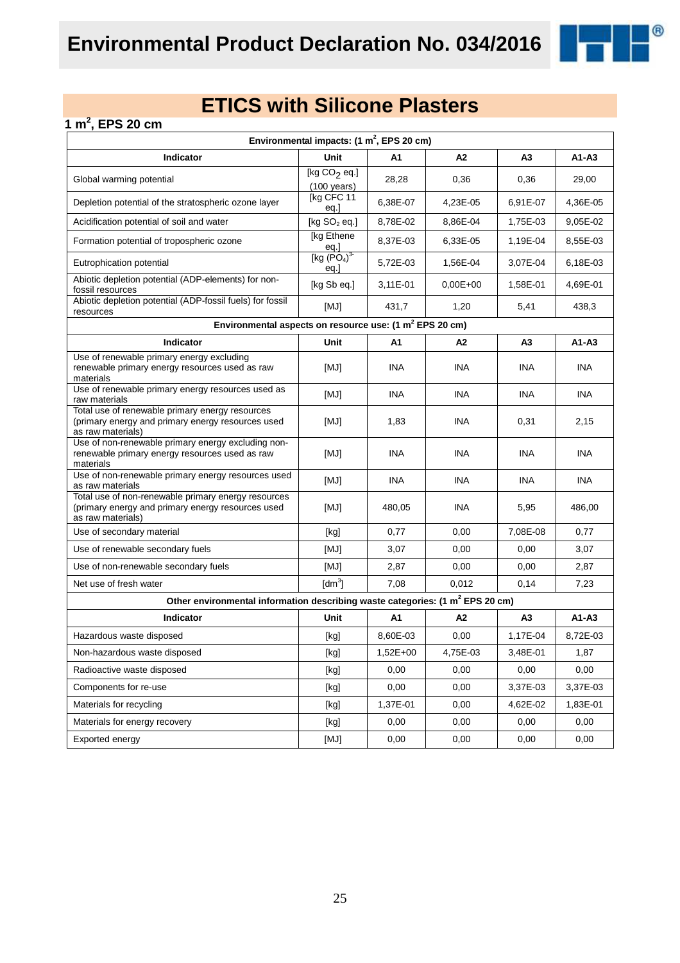

### **1 m<sup>2</sup> , EPS 20 cm**

| Environmental impacts: $(1 \text{ m}^2,$ EPS 20 cm)                                                                           |                                                                                                                                                                                                                                                                                                                                                                                                                                                                                                                                                                                                                                                                                              |            |              |                |            |  |  |
|-------------------------------------------------------------------------------------------------------------------------------|----------------------------------------------------------------------------------------------------------------------------------------------------------------------------------------------------------------------------------------------------------------------------------------------------------------------------------------------------------------------------------------------------------------------------------------------------------------------------------------------------------------------------------------------------------------------------------------------------------------------------------------------------------------------------------------------|------------|--------------|----------------|------------|--|--|
| Indicator                                                                                                                     | <b>Unit</b>                                                                                                                                                                                                                                                                                                                                                                                                                                                                                                                                                                                                                                                                                  | A1         | A2           | A3             | $A1-A3$    |  |  |
| Global warming potential                                                                                                      | [kg $CO2$ eq.]<br>$(100 \text{ years})$                                                                                                                                                                                                                                                                                                                                                                                                                                                                                                                                                                                                                                                      | 28,28      | 0,36         | 0,36           | 29,00      |  |  |
| Depletion potential of the stratospheric ozone layer                                                                          | [kg CFC 11<br>eq.]                                                                                                                                                                                                                                                                                                                                                                                                                                                                                                                                                                                                                                                                           | 6,38E-07   | 4,23E-05     | 6,91E-07       | 4,36E-05   |  |  |
| Acidification potential of soil and water                                                                                     | [kg $SO2$ eq.]                                                                                                                                                                                                                                                                                                                                                                                                                                                                                                                                                                                                                                                                               | 8,78E-02   | 8,86E-04     | 1,75E-03       | 9,05E-02   |  |  |
| Formation potential of tropospheric ozone                                                                                     | [kg Ethene<br><u>eq.]</u>                                                                                                                                                                                                                                                                                                                                                                                                                                                                                                                                                                                                                                                                    | 8,37E-03   | 6,33E-05     | 1,19E-04       | 8,55E-03   |  |  |
| Eutrophication potential                                                                                                      | [kg (PO <sub>4</sub> ) <sup>3</sup> ]<br>eq.]                                                                                                                                                                                                                                                                                                                                                                                                                                                                                                                                                                                                                                                | 5,72E-03   | 1,56E-04     | 3,07E-04       | 6,18E-03   |  |  |
| Abiotic depletion potential (ADP-elements) for non-<br>fossil resources                                                       | [kg Sb eq.]                                                                                                                                                                                                                                                                                                                                                                                                                                                                                                                                                                                                                                                                                  | 3,11E-01   | $0.00E + 00$ | 1,58E-01       | 4,69E-01   |  |  |
| Abiotic depletion potential (ADP-fossil fuels) for fossil<br>resources                                                        | [MJ]                                                                                                                                                                                                                                                                                                                                                                                                                                                                                                                                                                                                                                                                                         | 431,7      | 1,20         | 5,41           | 438,3      |  |  |
| Environmental aspects on resource use: (1 m <sup>2</sup> EPS 20 cm)                                                           |                                                                                                                                                                                                                                                                                                                                                                                                                                                                                                                                                                                                                                                                                              |            |              |                |            |  |  |
| Indicator                                                                                                                     | Unit                                                                                                                                                                                                                                                                                                                                                                                                                                                                                                                                                                                                                                                                                         | A1         | A2           | A <sub>3</sub> | $A1 - A3$  |  |  |
| Use of renewable primary energy excluding<br>renewable primary energy resources used as raw<br>materials                      | [MJ]                                                                                                                                                                                                                                                                                                                                                                                                                                                                                                                                                                                                                                                                                         | INA        | <b>INA</b>   | <b>INA</b>     | <b>INA</b> |  |  |
| Use of renewable primary energy resources used as<br>raw materials                                                            | [MJ]                                                                                                                                                                                                                                                                                                                                                                                                                                                                                                                                                                                                                                                                                         | <b>INA</b> | <b>INA</b>   | <b>INA</b>     | <b>INA</b> |  |  |
| Total use of renewable primary energy resources<br>(primary energy and primary energy resources used<br>as raw materials)     | [MJ]                                                                                                                                                                                                                                                                                                                                                                                                                                                                                                                                                                                                                                                                                         | 1,83       | INA          | 0,31           | 2,15       |  |  |
| Use of non-renewable primary energy excluding non-<br>renewable primary energy resources used as raw<br>materials             | [MJ]                                                                                                                                                                                                                                                                                                                                                                                                                                                                                                                                                                                                                                                                                         | <b>INA</b> | INA          | <b>INA</b>     | <b>INA</b> |  |  |
| Use of non-renewable primary energy resources used<br>as raw materials                                                        | [MJ]                                                                                                                                                                                                                                                                                                                                                                                                                                                                                                                                                                                                                                                                                         | <b>INA</b> | <b>INA</b>   | <b>INA</b>     | <b>INA</b> |  |  |
| Total use of non-renewable primary energy resources<br>(primary energy and primary energy resources used<br>as raw materials) | [MJ]                                                                                                                                                                                                                                                                                                                                                                                                                                                                                                                                                                                                                                                                                         | 480,05     | INA          | 5,95           | 486,00     |  |  |
| Use of secondary material                                                                                                     | [kg]                                                                                                                                                                                                                                                                                                                                                                                                                                                                                                                                                                                                                                                                                         | 0,77       | 0,00         | 7,08E-08       | 0,77       |  |  |
| Use of renewable secondary fuels                                                                                              | [MJ]                                                                                                                                                                                                                                                                                                                                                                                                                                                                                                                                                                                                                                                                                         | 3,07       | 0,00         | 0,00           | 3,07       |  |  |
| Use of non-renewable secondary fuels                                                                                          | [MJ]                                                                                                                                                                                                                                                                                                                                                                                                                                                                                                                                                                                                                                                                                         | 2,87       | 0,00         | 0,00           | 2,87       |  |  |
| Net use of fresh water                                                                                                        | $\text{[dm}^3$                                                                                                                                                                                                                                                                                                                                                                                                                                                                                                                                                                                                                                                                               | 7,08       | 0,012        | 0,14           | 7,23       |  |  |
| Other environmental information describing waste categories: (1 m <sup>2</sup> EPS 20 cm)                                     |                                                                                                                                                                                                                                                                                                                                                                                                                                                                                                                                                                                                                                                                                              |            |              |                |            |  |  |
| <b>Indicator</b>                                                                                                              | Unit                                                                                                                                                                                                                                                                                                                                                                                                                                                                                                                                                                                                                                                                                         | A1         | A2           | A3             | $A1 - A3$  |  |  |
| Hazardous waste disposed                                                                                                      | [kg]                                                                                                                                                                                                                                                                                                                                                                                                                                                                                                                                                                                                                                                                                         | 8,60E-03   | 0,00         | 1,17E-04       | 8,72E-03   |  |  |
| Non-hazardous waste disposed                                                                                                  | $[kg] % \begin{center} % \includegraphics[width=\linewidth]{imagesSupplemental/Imetad-Architecture.png} % \end{center} % \caption { % \begin{subfigure}[M5]{0.23\textwidth} \includegraphics[width=\linewidth]{imagesSupplemental/Imetad-Architecture.png} } % \end{subfigure} % \begin{subfigure}[M5]{0.23\textwidth} \includegraphics[width=\linewidth]{imagesSupplemental/Imetad-Architecture.png} } % \end{subfigure} % \caption { % \begin{subfigure}[M5]{0.23\textwidth} \includegraphics[width=\linewidth]{imagesSupplemental/Imetad-Architecture.png} } % \end{subfigure} % \caption{ % \begin{subfigure}[M5]{0.23\textwidth} \includegraphics[width=\linewidth]{imagesSupplemental$ | 1,52E+00   | 4,75E-03     | 3,48E-01       | 1,87       |  |  |
| Radioactive waste disposed                                                                                                    | [kg]                                                                                                                                                                                                                                                                                                                                                                                                                                                                                                                                                                                                                                                                                         | 0,00       | 0,00         | 0,00           | 0,00       |  |  |
| Components for re-use                                                                                                         | [kg]                                                                                                                                                                                                                                                                                                                                                                                                                                                                                                                                                                                                                                                                                         | 0,00       | 0,00         | 3,37E-03       | 3,37E-03   |  |  |
| Materials for recycling                                                                                                       | [kg]                                                                                                                                                                                                                                                                                                                                                                                                                                                                                                                                                                                                                                                                                         | 1,37E-01   | 0,00         | 4,62E-02       | 1,83E-01   |  |  |
| Materials for energy recovery                                                                                                 | $[kg] % \begin{center} % \includegraphics[width=\linewidth]{imagesSupplemental_3.png} % \end{center} % \caption { % Our method is used for the method. % The method is used in the image. % The method is used in the image. % } % \label{fig:example} %$                                                                                                                                                                                                                                                                                                                                                                                                                                    | 0,00       | 0,00         | 0,00           | 0,00       |  |  |
| Exported energy                                                                                                               | [MJ]                                                                                                                                                                                                                                                                                                                                                                                                                                                                                                                                                                                                                                                                                         | 0,00       | 0,00         | 0,00           | 0,00       |  |  |

25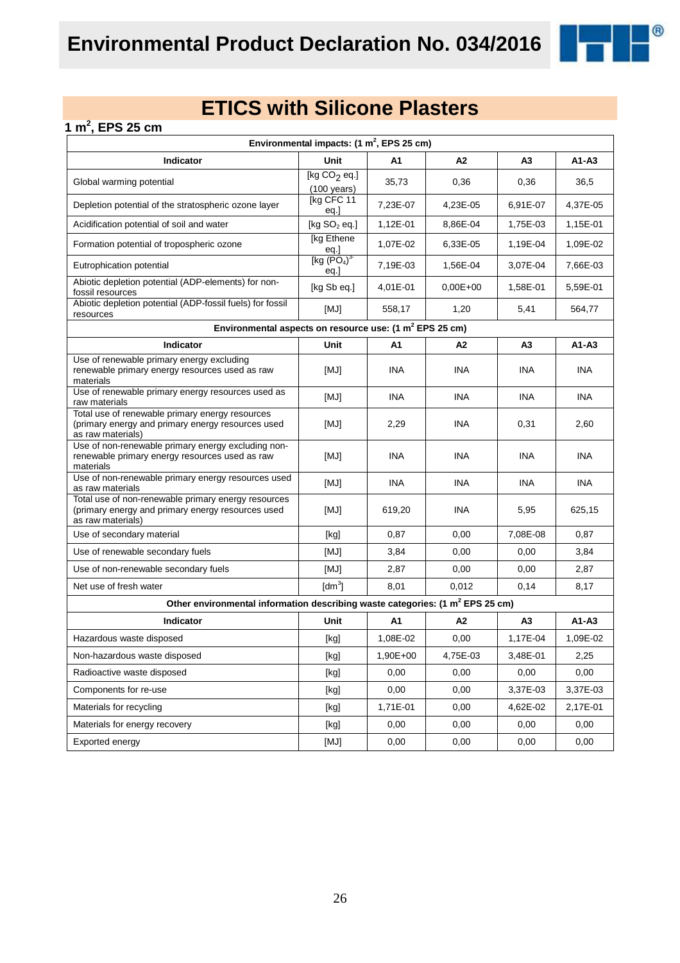

### **1 m<sup>2</sup> , EPS 25 cm**

| Environmental impacts: $(1 \text{ m}^2,$ EPS 25 cm)                                                                           |                                         |            |                |                |            |  |  |
|-------------------------------------------------------------------------------------------------------------------------------|-----------------------------------------|------------|----------------|----------------|------------|--|--|
| Indicator                                                                                                                     | Unit                                    | A1         | A2             | A3             | $A1 - A3$  |  |  |
| Global warming potential                                                                                                      | [kg $CO2$ eq.]<br>$(100 \text{ years})$ | 35,73      | 0,36           | 0,36           | 36,5       |  |  |
| Depletion potential of the stratospheric ozone layer                                                                          | [kg CFC 11<br>eq.]                      | 7,23E-07   | 4,23E-05       | 6,91E-07       | 4,37E-05   |  |  |
| Acidification potential of soil and water                                                                                     | [kg $SO2$ eq.]                          | 1,12E-01   | 8,86E-04       | 1,75E-03       | 1,15E-01   |  |  |
| Formation potential of tropospheric ozone                                                                                     | [kg Ethene<br>$\frac{eq.}{[kg (PO4)3}$  | 1,07E-02   | 6,33E-05       | 1,19E-04       | 1,09E-02   |  |  |
| Eutrophication potential                                                                                                      | eq.]                                    | 7,19E-03   | 1,56E-04       | 3,07E-04       | 7,66E-03   |  |  |
| Abiotic depletion potential (ADP-elements) for non-<br>fossil resources                                                       | [kg Sb eq.]                             | 4,01E-01   | $0.00E + 00$   | 1,58E-01       | 5,59E-01   |  |  |
| Abiotic depletion potential (ADP-fossil fuels) for fossil<br>resources                                                        | [MJ]                                    | 558,17     | 1,20           | 5,41           | 564,77     |  |  |
| Environmental aspects on resource use: (1 m <sup>2</sup> EPS 25 cm)                                                           |                                         |            |                |                |            |  |  |
| Indicator                                                                                                                     | Unit                                    | A1         | A <sub>2</sub> | А3             | $A1 - A3$  |  |  |
| Use of renewable primary energy excluding<br>renewable primary energy resources used as raw<br>materials                      | [MJ]                                    | <b>INA</b> | <b>INA</b>     | INA            | <b>INA</b> |  |  |
| Use of renewable primary energy resources used as<br>raw materials                                                            | [MJ]                                    | <b>INA</b> | <b>INA</b>     | <b>INA</b>     | <b>INA</b> |  |  |
| Total use of renewable primary energy resources<br>(primary energy and primary energy resources used<br>as raw materials)     | [MJ]                                    | 2,29       | <b>INA</b>     | 0,31           | 2,60       |  |  |
| Use of non-renewable primary energy excluding non-<br>renewable primary energy resources used as raw<br>materials             | [MJ]                                    | INA        | INA            | INA.           | <b>INA</b> |  |  |
| Use of non-renewable primary energy resources used<br>as raw materials                                                        | [MJ]                                    | <b>INA</b> | <b>INA</b>     | <b>INA</b>     | <b>INA</b> |  |  |
| Total use of non-renewable primary energy resources<br>(primary energy and primary energy resources used<br>as raw materials) | [MJ]                                    | 619,20     | <b>INA</b>     | 5,95           | 625,15     |  |  |
| Use of secondary material                                                                                                     | [kg]                                    | 0,87       | 0,00           | 7,08E-08       | 0,87       |  |  |
| Use of renewable secondary fuels                                                                                              | [MJ]                                    | 3,84       | 0,00           | 0,00           | 3,84       |  |  |
| Use of non-renewable secondary fuels                                                                                          | [MJ]                                    | 2,87       | 0,00           | 0,00           | 2,87       |  |  |
| Net use of fresh water                                                                                                        | [dm <sup>3</sup> ]                      | 8,01       | 0,012          | 0,14           | 8,17       |  |  |
| Other environmental information describing waste categories: (1 m <sup>2</sup> EPS 25 cm)                                     |                                         |            |                |                |            |  |  |
| Indicator                                                                                                                     | Unit                                    | A1         | A2             | A <sub>3</sub> | A1-A3      |  |  |
| Hazardous waste disposed                                                                                                      | [kg]                                    | 1,08E-02   | 0,00           | 1,17E-04       | 1,09E-02   |  |  |
| Non-hazardous waste disposed                                                                                                  | [kg]                                    | 1,90E+00   | 4,75E-03       | 3,48E-01       | 2,25       |  |  |
| Radioactive waste disposed                                                                                                    | [kg]                                    | 0,00       | 0,00           | 0,00           | 0,00       |  |  |
| Components for re-use                                                                                                         | [kg]                                    | 0,00       | 0,00           | 3,37E-03       | 3,37E-03   |  |  |
| Materials for recycling                                                                                                       | [kg]                                    | 1,71E-01   | 0,00           | 4,62E-02       | 2,17E-01   |  |  |
| Materials for energy recovery                                                                                                 | [kg]                                    | 0,00       | 0,00           | 0,00           | 0,00       |  |  |
| Exported energy                                                                                                               | [MJ]                                    | 0,00       | 0,00           | 0,00           | 0,00       |  |  |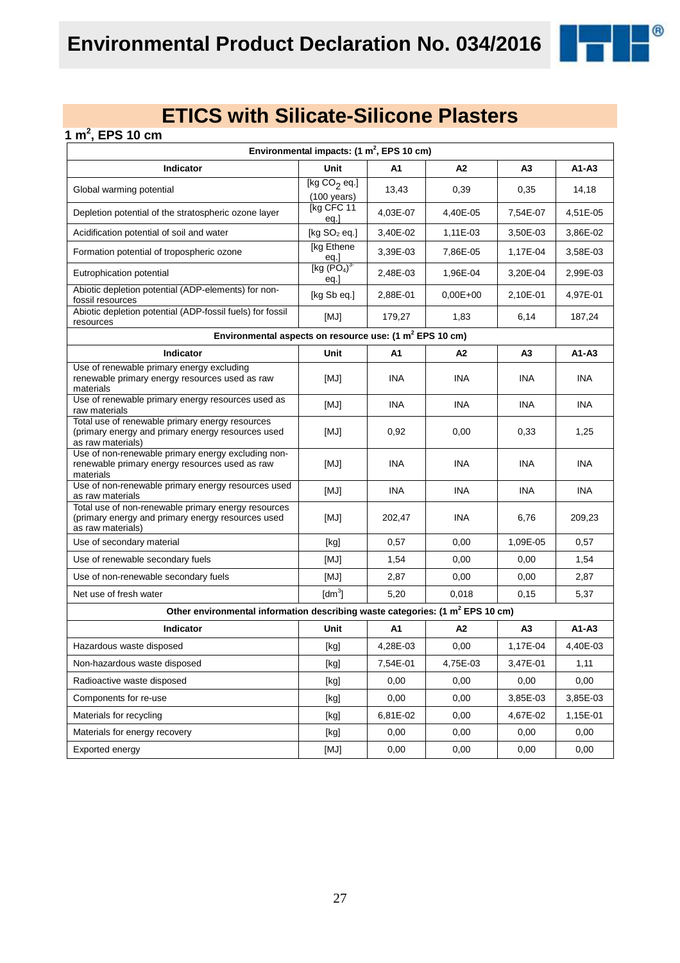®

| 1 m <sup>2</sup> , EPS 10 cm                                                                                                  |                                                                                                                                                                                                                                                                                                                                                                                                                                                                                                                                                                                                                                                                    |            |            |                |            |  |  |  |
|-------------------------------------------------------------------------------------------------------------------------------|--------------------------------------------------------------------------------------------------------------------------------------------------------------------------------------------------------------------------------------------------------------------------------------------------------------------------------------------------------------------------------------------------------------------------------------------------------------------------------------------------------------------------------------------------------------------------------------------------------------------------------------------------------------------|------------|------------|----------------|------------|--|--|--|
| Environmental impacts: $(1 \text{ m}^2,$ EPS 10 cm)                                                                           |                                                                                                                                                                                                                                                                                                                                                                                                                                                                                                                                                                                                                                                                    |            |            |                |            |  |  |  |
| Indicator                                                                                                                     | <b>Unit</b>                                                                                                                                                                                                                                                                                                                                                                                                                                                                                                                                                                                                                                                        | A1         | A2         | A <sub>3</sub> | $A1 - A3$  |  |  |  |
| Global warming potential                                                                                                      | [kg CO <sub>2</sub> eq.]<br>$(100 \text{ years})$                                                                                                                                                                                                                                                                                                                                                                                                                                                                                                                                                                                                                  | 13,43      | 0,39       | 0,35           | 14,18      |  |  |  |
| Depletion potential of the stratospheric ozone layer                                                                          | [kg CFC 11<br>eq.]                                                                                                                                                                                                                                                                                                                                                                                                                                                                                                                                                                                                                                                 | 4,03E-07   | 4,40E-05   | 7,54E-07       | 4,51E-05   |  |  |  |
| Acidification potential of soil and water                                                                                     | [kg $SO2$ eq.]                                                                                                                                                                                                                                                                                                                                                                                                                                                                                                                                                                                                                                                     | 3,40E-02   | 1,11E-03   | 3,50E-03       | 3,86E-02   |  |  |  |
| Formation potential of tropospheric ozone                                                                                     | [kg Ethene                                                                                                                                                                                                                                                                                                                                                                                                                                                                                                                                                                                                                                                         | 3,39E-03   | 7,86E-05   | 1,17E-04       | 3,58E-03   |  |  |  |
| Eutrophication potential                                                                                                      | eq.]<br>[kg $(PO4)3$<br>eq.                                                                                                                                                                                                                                                                                                                                                                                                                                                                                                                                                                                                                                        | 2,48E-03   | 1,96E-04   | 3,20E-04       | 2,99E-03   |  |  |  |
| Abiotic depletion potential (ADP-elements) for non-<br>fossil resources                                                       | [kg Sb eq.]                                                                                                                                                                                                                                                                                                                                                                                                                                                                                                                                                                                                                                                        | 2,88E-01   | $0,00E+00$ | 2,10E-01       | 4,97E-01   |  |  |  |
| Abiotic depletion potential (ADP-fossil fuels) for fossil<br>resources                                                        | [MJ]                                                                                                                                                                                                                                                                                                                                                                                                                                                                                                                                                                                                                                                               | 179,27     | 1,83       | 6,14           | 187,24     |  |  |  |
| Environmental aspects on resource use: (1 m <sup>2</sup> EPS 10 cm)                                                           |                                                                                                                                                                                                                                                                                                                                                                                                                                                                                                                                                                                                                                                                    |            |            |                |            |  |  |  |
| Indicator                                                                                                                     | Unit                                                                                                                                                                                                                                                                                                                                                                                                                                                                                                                                                                                                                                                               | A1         | A2         | A <sub>3</sub> | A1-A3      |  |  |  |
| Use of renewable primary energy excluding<br>renewable primary energy resources used as raw<br>materials                      | [MJ]                                                                                                                                                                                                                                                                                                                                                                                                                                                                                                                                                                                                                                                               | <b>INA</b> | <b>INA</b> | <b>INA</b>     | <b>INA</b> |  |  |  |
| Use of renewable primary energy resources used as<br>raw materials                                                            | [MJ]                                                                                                                                                                                                                                                                                                                                                                                                                                                                                                                                                                                                                                                               | <b>INA</b> | <b>INA</b> | <b>INA</b>     | <b>INA</b> |  |  |  |
| Total use of renewable primary energy resources<br>(primary energy and primary energy resources used<br>as raw materials)     | [MJ]                                                                                                                                                                                                                                                                                                                                                                                                                                                                                                                                                                                                                                                               | 0,92       | 0,00       | 0,33           | 1,25       |  |  |  |
| Use of non-renewable primary energy excluding non-<br>renewable primary energy resources used as raw<br>materials             | [MJ]                                                                                                                                                                                                                                                                                                                                                                                                                                                                                                                                                                                                                                                               | <b>INA</b> | INA        | <b>INA</b>     | <b>INA</b> |  |  |  |
| Use of non-renewable primary energy resources used<br>as raw materials                                                        | [MJ]                                                                                                                                                                                                                                                                                                                                                                                                                                                                                                                                                                                                                                                               | <b>INA</b> | <b>INA</b> | <b>INA</b>     | <b>INA</b> |  |  |  |
| Total use of non-renewable primary energy resources<br>(primary energy and primary energy resources used<br>as raw materials) | [MJ]                                                                                                                                                                                                                                                                                                                                                                                                                                                                                                                                                                                                                                                               | 202,47     | <b>INA</b> | 6,76           | 209,23     |  |  |  |
| Use of secondary material                                                                                                     | [kg]                                                                                                                                                                                                                                                                                                                                                                                                                                                                                                                                                                                                                                                               | 0,57       | 0,00       | 1,09E-05       | 0,57       |  |  |  |
| Use of renewable secondary fuels                                                                                              | [MJ]                                                                                                                                                                                                                                                                                                                                                                                                                                                                                                                                                                                                                                                               | 1,54       | 0,00       | 0,00           | 1,54       |  |  |  |
| Use of non-renewable secondary fuels                                                                                          | [MJ]                                                                                                                                                                                                                                                                                                                                                                                                                                                                                                                                                                                                                                                               | 2,87       | 0,00       | 0,00           | 2,87       |  |  |  |
| Net use of fresh water                                                                                                        | $\text{[dm}^3$                                                                                                                                                                                                                                                                                                                                                                                                                                                                                                                                                                                                                                                     | 5,20       | 0,018      | 0,15           | 5,37       |  |  |  |
| Other environmental information describing waste categories: (1 m <sup>2</sup> EPS 10 cm)                                     |                                                                                                                                                                                                                                                                                                                                                                                                                                                                                                                                                                                                                                                                    |            |            |                |            |  |  |  |
| Indicator                                                                                                                     | Unit                                                                                                                                                                                                                                                                                                                                                                                                                                                                                                                                                                                                                                                               | A1         | A2         | A3             | A1-A3      |  |  |  |
| Hazardous waste disposed                                                                                                      | $[kg] % \begin{center} % \includegraphics[width=\linewidth]{imagesSupplemental_3.png} % \end{center} % \caption { % \textit{DefNet} of the \textit{DefNet} dataset. % Note that the \textit{DefNet} and \textit{DefNet} dataset. % Note that the \textit{DefNet} and \textit{DefNet} dataset. % Note that the \textit{DefNet} and \textit{DefNet} dataset. % Note that the \textit{DefNet} and \textit{DefNet} dataset. % Note that the \textit{DefNet} and \textit{DefNet} dataset. % Note that the \textit{DefNet} and \textit{DefNet} dataset. % Note that the \textit{DefNet} and \textit{DefNet} dataset. % Note that the \textit{DefNet} and \textit{DefNet$ | 4,28E-03   | 0,00       | 1,17E-04       | 4,40E-03   |  |  |  |
| Non-hazardous waste disposed                                                                                                  | [kg]                                                                                                                                                                                                                                                                                                                                                                                                                                                                                                                                                                                                                                                               | 7,54E-01   | 4,75E-03   | 3,47E-01       | 1,11       |  |  |  |
| Radioactive waste disposed                                                                                                    | [kg]                                                                                                                                                                                                                                                                                                                                                                                                                                                                                                                                                                                                                                                               | 0,00       | 0,00       | 0,00           | 0,00       |  |  |  |
| Components for re-use                                                                                                         | [kg]                                                                                                                                                                                                                                                                                                                                                                                                                                                                                                                                                                                                                                                               | 0,00       | 0,00       | 3,85E-03       | 3,85E-03   |  |  |  |
| Materials for recycling                                                                                                       | [kg]                                                                                                                                                                                                                                                                                                                                                                                                                                                                                                                                                                                                                                                               | 6,81E-02   | 0,00       | 4,67E-02       | 1,15E-01   |  |  |  |
| Materials for energy recovery                                                                                                 | [kg]                                                                                                                                                                                                                                                                                                                                                                                                                                                                                                                                                                                                                                                               | 0,00       | 0,00       | 0,00           | 0,00       |  |  |  |
| Exported energy                                                                                                               | [MJ]                                                                                                                                                                                                                                                                                                                                                                                                                                                                                                                                                                                                                                                               | 0,00       | 0,00       | 0,00           | 0,00       |  |  |  |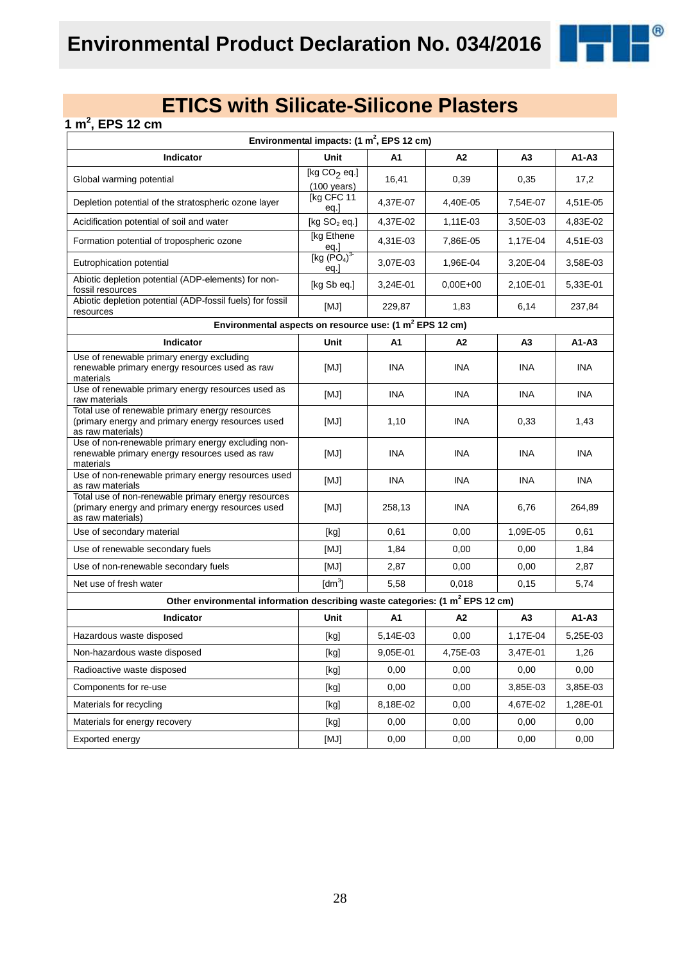®

### **1 m<sup>2</sup> , EPS 12 cm**

| Environmental impacts: $(1 \text{ m}^2,$ EPS 12 cm)                                                                           |                                                                                                                                                                                                                                                                                                                                                                                                                                                                                                                                                                                                                                                                                              |                |            |                |            |
|-------------------------------------------------------------------------------------------------------------------------------|----------------------------------------------------------------------------------------------------------------------------------------------------------------------------------------------------------------------------------------------------------------------------------------------------------------------------------------------------------------------------------------------------------------------------------------------------------------------------------------------------------------------------------------------------------------------------------------------------------------------------------------------------------------------------------------------|----------------|------------|----------------|------------|
| Indicator                                                                                                                     | Unit                                                                                                                                                                                                                                                                                                                                                                                                                                                                                                                                                                                                                                                                                         | A1             | A2         | A3             | $A1 - A3$  |
| Global warming potential                                                                                                      | [kg $CO2$ eq.]<br>$(100 \text{ years})$                                                                                                                                                                                                                                                                                                                                                                                                                                                                                                                                                                                                                                                      | 16,41          | 0,39       | 0,35           | 17,2       |
| Depletion potential of the stratospheric ozone layer                                                                          | [kg CFC 11<br>eq.]                                                                                                                                                                                                                                                                                                                                                                                                                                                                                                                                                                                                                                                                           | 4,37E-07       | 4,40E-05   | 7,54E-07       | 4,51E-05   |
| Acidification potential of soil and water                                                                                     | [kg $SO2$ eq.]                                                                                                                                                                                                                                                                                                                                                                                                                                                                                                                                                                                                                                                                               | 4,37E-02       | 1,11E-03   | 3,50E-03       | 4,83E-02   |
| Formation potential of tropospheric ozone                                                                                     | [kg Ethene<br>eq.]                                                                                                                                                                                                                                                                                                                                                                                                                                                                                                                                                                                                                                                                           | 4,31E-03       | 7,86E-05   | 1,17E-04       | 4,51E-03   |
| Eutrophication potential                                                                                                      | [kg (PO <sub>4</sub> ) <sup>3</sup> ]<br>eq.                                                                                                                                                                                                                                                                                                                                                                                                                                                                                                                                                                                                                                                 | 3,07E-03       | 1,96E-04   | 3,20E-04       | 3,58E-03   |
| Abiotic depletion potential (ADP-elements) for non-<br>fossil resources                                                       | [kg Sb eq.]                                                                                                                                                                                                                                                                                                                                                                                                                                                                                                                                                                                                                                                                                  | 3,24E-01       | $0,00E+00$ | 2,10E-01       | 5,33E-01   |
| Abiotic depletion potential (ADP-fossil fuels) for fossil<br>resources                                                        | [MJ]                                                                                                                                                                                                                                                                                                                                                                                                                                                                                                                                                                                                                                                                                         | 229,87         | 1,83       | 6,14           | 237,84     |
| Environmental aspects on resource use: (1 m <sup>2</sup> EPS 12 cm)                                                           |                                                                                                                                                                                                                                                                                                                                                                                                                                                                                                                                                                                                                                                                                              |                |            |                |            |
| Indicator                                                                                                                     | Unit                                                                                                                                                                                                                                                                                                                                                                                                                                                                                                                                                                                                                                                                                         | A1             | A2         | A3             | $A1-A3$    |
| Use of renewable primary energy excluding<br>renewable primary energy resources used as raw<br>materials                      | [MJ]                                                                                                                                                                                                                                                                                                                                                                                                                                                                                                                                                                                                                                                                                         | <b>INA</b>     | <b>INA</b> | <b>INA</b>     | <b>INA</b> |
| Use of renewable primary energy resources used as<br>raw materials                                                            | [MJ]                                                                                                                                                                                                                                                                                                                                                                                                                                                                                                                                                                                                                                                                                         | <b>INA</b>     | <b>INA</b> | <b>INA</b>     | <b>INA</b> |
| Total use of renewable primary energy resources<br>(primary energy and primary energy resources used<br>as raw materials)     | [MJ]                                                                                                                                                                                                                                                                                                                                                                                                                                                                                                                                                                                                                                                                                         | 1,10           | <b>INA</b> | 0,33           | 1,43       |
| Use of non-renewable primary energy excluding non-<br>renewable primary energy resources used as raw<br>materials             | [MJ]                                                                                                                                                                                                                                                                                                                                                                                                                                                                                                                                                                                                                                                                                         | <b>INA</b>     | INA        | <b>INA</b>     | <b>INA</b> |
| Use of non-renewable primary energy resources used<br>as raw materials                                                        | [MJ]                                                                                                                                                                                                                                                                                                                                                                                                                                                                                                                                                                                                                                                                                         | <b>INA</b>     | <b>INA</b> | <b>INA</b>     | <b>INA</b> |
| Total use of non-renewable primary energy resources<br>(primary energy and primary energy resources used<br>as raw materials) | [MJ]                                                                                                                                                                                                                                                                                                                                                                                                                                                                                                                                                                                                                                                                                         | 258,13         | <b>INA</b> | 6,76           | 264,89     |
| Use of secondary material                                                                                                     | [kg]                                                                                                                                                                                                                                                                                                                                                                                                                                                                                                                                                                                                                                                                                         | 0,61           | 0,00       | 1,09E-05       | 0,61       |
| Use of renewable secondary fuels                                                                                              | [MJ]                                                                                                                                                                                                                                                                                                                                                                                                                                                                                                                                                                                                                                                                                         | 1,84           | 0,00       | 0,00           | 1,84       |
| Use of non-renewable secondary fuels                                                                                          | [MJ]                                                                                                                                                                                                                                                                                                                                                                                                                                                                                                                                                                                                                                                                                         | 2,87           | 0,00       | 0,00           | 2,87       |
| Net use of fresh water                                                                                                        | $\text{[dm}^3$                                                                                                                                                                                                                                                                                                                                                                                                                                                                                                                                                                                                                                                                               | 5,58           | 0,018      | 0,15           | 5,74       |
| Other environmental information describing waste categories: (1 m <sup>2</sup> EPS 12 cm)                                     |                                                                                                                                                                                                                                                                                                                                                                                                                                                                                                                                                                                                                                                                                              |                |            |                |            |
| Indicator                                                                                                                     | Unit                                                                                                                                                                                                                                                                                                                                                                                                                                                                                                                                                                                                                                                                                         | A <sub>1</sub> | A2         | A <sub>3</sub> | $A1 - A3$  |
| Hazardous waste disposed                                                                                                      | [kg]                                                                                                                                                                                                                                                                                                                                                                                                                                                                                                                                                                                                                                                                                         | 5,14E-03       | 0,00       | 1,17E-04       | 5,25E-03   |
| Non-hazardous waste disposed                                                                                                  | $[kg] % \begin{center} % \includegraphics[width=\linewidth]{imagesSupplemental/Imetad-Architecture.png} % \end{center} % \caption { % \begin{subfigure}[M5]{0.23\textwidth} \includegraphics[width=\linewidth]{imagesSupplemental/Imetad-Architecture.png} } % \end{subfigure} % \begin{subfigure}[M5]{0.23\textwidth} \includegraphics[width=\linewidth]{imagesSupplemental/Imetad-Architecture.png} } % \end{subfigure} % \caption { % \begin{subfigure}[M5]{0.23\textwidth} \includegraphics[width=\linewidth]{imagesSupplemental/Imetad-Architecture.png} } % \end{subfigure} % \caption{ % \begin{subfigure}[M5]{0.23\textwidth} \includegraphics[width=\linewidth]{imagesSupplemental$ | 9,05E-01       | 4,75E-03   | 3,47E-01       | 1,26       |
| Radioactive waste disposed                                                                                                    | $[kg] % \begin{center} % \includegraphics[width=\linewidth]{imagesSupplemental/Imetad-Architecture.png} % \end{center} % \caption { % \begin{subfigure}[M5]{0.23\textwidth} \includegraphics[width=\linewidth]{imagesSupplemental/Imetad-Architecture.png} } % \end{subfigure} % \begin{subfigure}[M5]{0.23\textwidth} \includegraphics[width=\linewidth]{imagesSupplemental/Imetad-Architecture.png} } % \end{subfigure} % \caption { % \begin{subfigure}[M5]{0.23\textwidth} \includegraphics[width=\linewidth]{imagesSupplemental/Imetad-Architecture.png} } % \end{subfigure} % \caption{ % \begin{subfigure}[M5]{0.23\textwidth} \includegraphics[width=\linewidth]{imagesSupplemental$ | 0,00           | 0,00       | 0,00           | 0,00       |
| Components for re-use                                                                                                         | [kg]                                                                                                                                                                                                                                                                                                                                                                                                                                                                                                                                                                                                                                                                                         | 0,00           | 0,00       | 3,85E-03       | 3,85E-03   |
| Materials for recycling                                                                                                       | [kg]                                                                                                                                                                                                                                                                                                                                                                                                                                                                                                                                                                                                                                                                                         | 8,18E-02       | 0,00       | 4,67E-02       | 1,28E-01   |
| Materials for energy recovery                                                                                                 | [kg]                                                                                                                                                                                                                                                                                                                                                                                                                                                                                                                                                                                                                                                                                         | 0,00           | 0,00       | 0,00           | 0,00       |
| Exported energy                                                                                                               | [MJ]                                                                                                                                                                                                                                                                                                                                                                                                                                                                                                                                                                                                                                                                                         | 0,00           | 0,00       | 0,00           | 0,00       |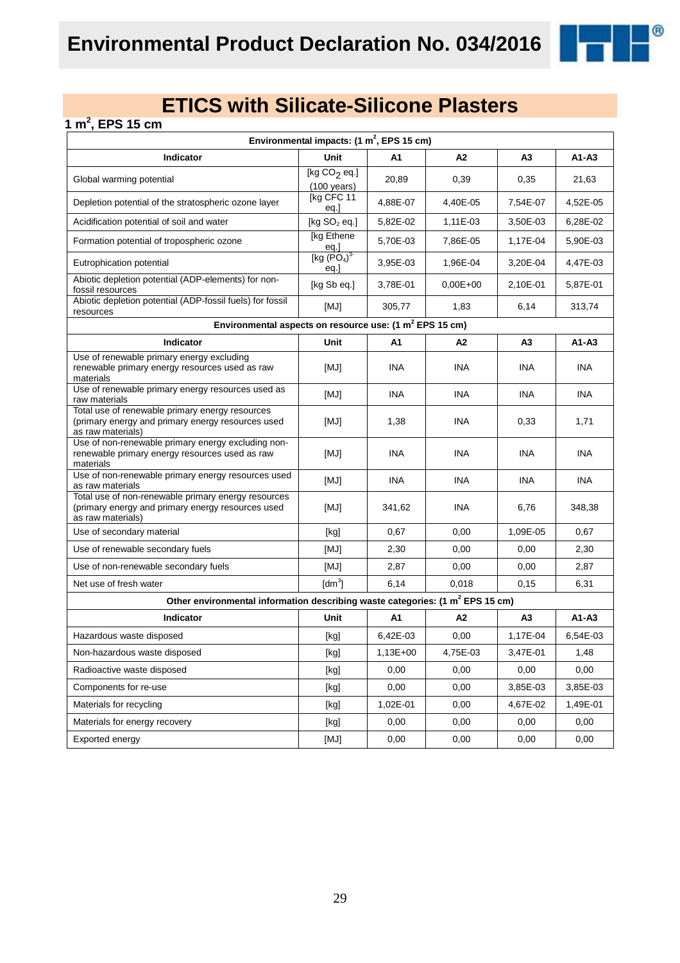®

### **1 m<sup>2</sup> , EPS 15 cm**

| Environmental impacts: (1 m <sup>2</sup> , EPS 15 cm)                                                                         |                                         |            |                |                |            |
|-------------------------------------------------------------------------------------------------------------------------------|-----------------------------------------|------------|----------------|----------------|------------|
| Indicator                                                                                                                     | Unit                                    | A1         | A2             | A3             | $A1 - A3$  |
| Global warming potential                                                                                                      | [kg $CO2$ eq.]<br>$(100 \text{ years})$ | 20,89      | 0,39           | 0,35           | 21,63      |
| Depletion potential of the stratospheric ozone layer                                                                          | [kg CFC 11<br>eq.]                      | 4,88E-07   | 4,40E-05       | 7,54E-07       | 4,52E-05   |
| Acidification potential of soil and water                                                                                     | [kg $SO2$ eq.]                          | 5,82E-02   | 1,11E-03       | 3,50E-03       | 6,28E-02   |
| Formation potential of tropospheric ozone                                                                                     | [kg Ethene<br>$\frac{eq.}{[kg (PO4)3}$  | 5,70E-03   | 7,86E-05       | 1,17E-04       | 5,90E-03   |
| Eutrophication potential                                                                                                      | eq.]                                    | 3,95E-03   | 1,96E-04       | 3,20E-04       | 4,47E-03   |
| Abiotic depletion potential (ADP-elements) for non-<br>fossil resources                                                       | [kg Sb eq.]                             | 3,78E-01   | $0,00E+00$     | 2,10E-01       | 5,87E-01   |
| Abiotic depletion potential (ADP-fossil fuels) for fossil<br>resources                                                        | [MJ]                                    | 305,77     | 1,83           | 6,14           | 313,74     |
| Environmental aspects on resource use: (1 m <sup>2</sup> EPS 15 cm)                                                           |                                         |            |                |                |            |
| <b>Indicator</b>                                                                                                              | Unit                                    | A1         | A <sub>2</sub> | A3             | $A1 - A3$  |
| Use of renewable primary energy excluding<br>renewable primary energy resources used as raw<br>materials                      | [MJ]                                    | <b>INA</b> | <b>INA</b>     | <b>INA</b>     | <b>INA</b> |
| Use of renewable primary energy resources used as<br>raw materials                                                            | [MJ]                                    | <b>INA</b> | <b>INA</b>     | <b>INA</b>     | <b>INA</b> |
| Total use of renewable primary energy resources<br>(primary energy and primary energy resources used<br>as raw materials)     | [MJ]                                    | 1,38       | <b>INA</b>     | 0,33           | 1,71       |
| Use of non-renewable primary energy excluding non-<br>renewable primary energy resources used as raw<br>materials             | [MJ]                                    | <b>INA</b> | <b>INA</b>     | INA            | <b>INA</b> |
| Use of non-renewable primary energy resources used<br>as raw materials                                                        | [MJ]                                    | <b>INA</b> | <b>INA</b>     | <b>INA</b>     | <b>INA</b> |
| Total use of non-renewable primary energy resources<br>(primary energy and primary energy resources used<br>as raw materials) | [MJ]                                    | 341,62     | <b>INA</b>     | 6,76           | 348,38     |
| Use of secondary material                                                                                                     | [kg]                                    | 0,67       | 0,00           | 1,09E-05       | 0,67       |
| Use of renewable secondary fuels                                                                                              | [MJ]                                    | 2,30       | 0,00           | 0,00           | 2,30       |
| Use of non-renewable secondary fuels                                                                                          | [MJ]                                    | 2,87       | 0,00           | 0,00           | 2,87       |
| Net use of fresh water                                                                                                        | [dm <sup>3</sup> ]                      | 6,14       | 0,018          | 0,15           | 6,31       |
| Other environmental information describing waste categories: (1 m <sup>2</sup> EPS 15 cm)                                     |                                         |            |                |                |            |
| Indicator                                                                                                                     | Unit                                    | A1         | A <sub>2</sub> | A <sub>3</sub> | $A1 - A3$  |
| Hazardous waste disposed                                                                                                      | [kg]                                    | 6,42E-03   | 0,00           | 1,17E-04       | 6,54E-03   |
| Non-hazardous waste disposed                                                                                                  | [kg]                                    | $1,13E+00$ | 4,75E-03       | 3,47E-01       | 1,48       |
| Radioactive waste disposed                                                                                                    | [kg]                                    | 0,00       | 0,00           | 0,00           | 0,00       |
| Components for re-use                                                                                                         | [kg]                                    | 0,00       | 0,00           | 3,85E-03       | 3,85E-03   |
| Materials for recycling                                                                                                       | [kg]                                    | 1,02E-01   | 0,00           | 4,67E-02       | 1,49E-01   |
| Materials for energy recovery                                                                                                 | [kg]                                    | 0,00       | 0,00           | 0,00           | 0,00       |
| Exported energy                                                                                                               | [MJ]                                    | 0,00       | 0,00           | 0,00           | 0,00       |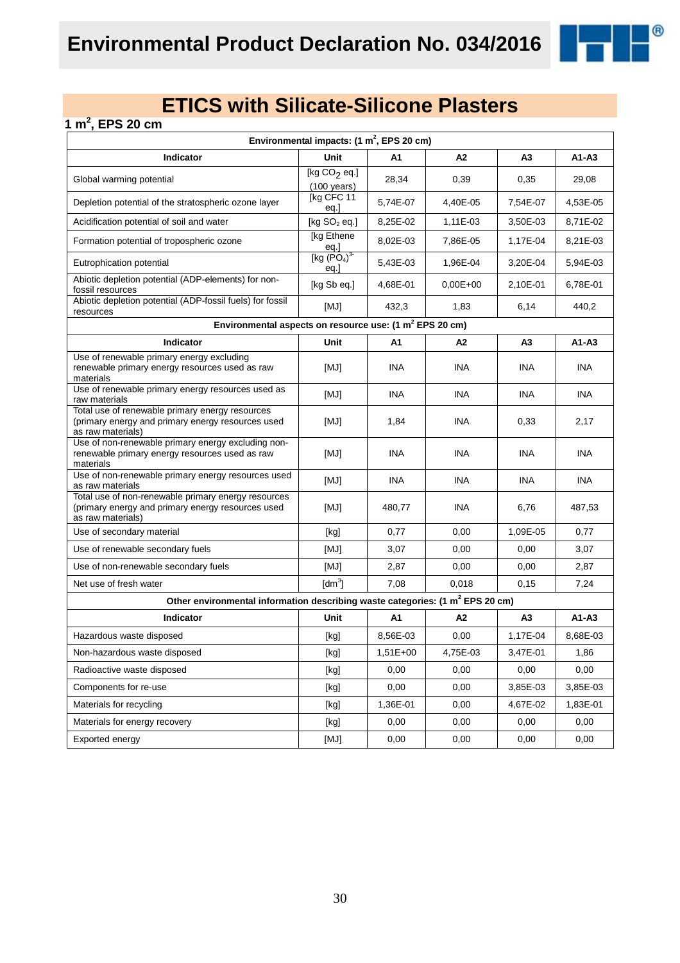®

### **1 m<sup>2</sup> , EPS 20 cm**

| Environmental impacts: $(1 \text{ m}^2,$ EPS 20 cm)                                                                           |                                                                                                                                                                                                                                                                                                                                                                                                                                                                                                                                                                                                                                                                                              |                |            |                |            |
|-------------------------------------------------------------------------------------------------------------------------------|----------------------------------------------------------------------------------------------------------------------------------------------------------------------------------------------------------------------------------------------------------------------------------------------------------------------------------------------------------------------------------------------------------------------------------------------------------------------------------------------------------------------------------------------------------------------------------------------------------------------------------------------------------------------------------------------|----------------|------------|----------------|------------|
| Indicator                                                                                                                     | Unit                                                                                                                                                                                                                                                                                                                                                                                                                                                                                                                                                                                                                                                                                         | A1             | A2         | A3             | A1-A3      |
| Global warming potential                                                                                                      | [kg $CO2$ eq.]<br>$(100 \text{ years})$                                                                                                                                                                                                                                                                                                                                                                                                                                                                                                                                                                                                                                                      | 28,34          | 0,39       | 0,35           | 29,08      |
| Depletion potential of the stratospheric ozone layer                                                                          | [kg CFC 11<br>eq.]                                                                                                                                                                                                                                                                                                                                                                                                                                                                                                                                                                                                                                                                           | 5,74E-07       | 4,40E-05   | 7,54E-07       | 4,53E-05   |
| Acidification potential of soil and water                                                                                     | [kg $SO2$ eq.]                                                                                                                                                                                                                                                                                                                                                                                                                                                                                                                                                                                                                                                                               | 8,25E-02       | 1,11E-03   | 3,50E-03       | 8,71E-02   |
| Formation potential of tropospheric ozone                                                                                     | [kg Ethene<br>eq.]                                                                                                                                                                                                                                                                                                                                                                                                                                                                                                                                                                                                                                                                           | 8,02E-03       | 7,86E-05   | 1,17E-04       | 8,21E-03   |
| Eutrophication potential                                                                                                      | [kg (PO <sub>4</sub> ) <sup>3</sup> ]<br>eq.                                                                                                                                                                                                                                                                                                                                                                                                                                                                                                                                                                                                                                                 | 5,43E-03       | 1,96E-04   | 3,20E-04       | 5,94E-03   |
| Abiotic depletion potential (ADP-elements) for non-<br>fossil resources                                                       | [kg Sb eq.]                                                                                                                                                                                                                                                                                                                                                                                                                                                                                                                                                                                                                                                                                  | 4,68E-01       | $0,00E+00$ | 2,10E-01       | 6.78E-01   |
| Abiotic depletion potential (ADP-fossil fuels) for fossil<br>resources                                                        | [MJ]                                                                                                                                                                                                                                                                                                                                                                                                                                                                                                                                                                                                                                                                                         | 432,3          | 1,83       | 6,14           | 440,2      |
| Environmental aspects on resource use: (1 m <sup>2</sup> EPS 20 cm)                                                           |                                                                                                                                                                                                                                                                                                                                                                                                                                                                                                                                                                                                                                                                                              |                |            |                |            |
| Indicator                                                                                                                     | Unit                                                                                                                                                                                                                                                                                                                                                                                                                                                                                                                                                                                                                                                                                         | A1             | A2         | A3             | A1-A3      |
| Use of renewable primary energy excluding<br>renewable primary energy resources used as raw<br>materials                      | [MJ]                                                                                                                                                                                                                                                                                                                                                                                                                                                                                                                                                                                                                                                                                         | <b>INA</b>     | <b>INA</b> | <b>INA</b>     | <b>INA</b> |
| Use of renewable primary energy resources used as<br>raw materials                                                            | [MJ]                                                                                                                                                                                                                                                                                                                                                                                                                                                                                                                                                                                                                                                                                         | <b>INA</b>     | <b>INA</b> | <b>INA</b>     | <b>INA</b> |
| Total use of renewable primary energy resources<br>(primary energy and primary energy resources used<br>as raw materials)     | [MJ]                                                                                                                                                                                                                                                                                                                                                                                                                                                                                                                                                                                                                                                                                         | 1,84           | <b>INA</b> | 0,33           | 2,17       |
| Use of non-renewable primary energy excluding non-<br>renewable primary energy resources used as raw<br>materials             | [MJ]                                                                                                                                                                                                                                                                                                                                                                                                                                                                                                                                                                                                                                                                                         | <b>INA</b>     | INA        | <b>INA</b>     | <b>INA</b> |
| Use of non-renewable primary energy resources used<br>as raw materials                                                        | [MJ]                                                                                                                                                                                                                                                                                                                                                                                                                                                                                                                                                                                                                                                                                         | <b>INA</b>     | <b>INA</b> | <b>INA</b>     | <b>INA</b> |
| Total use of non-renewable primary energy resources<br>(primary energy and primary energy resources used<br>as raw materials) | [MJ]                                                                                                                                                                                                                                                                                                                                                                                                                                                                                                                                                                                                                                                                                         | 480,77         | <b>INA</b> | 6,76           | 487,53     |
| Use of secondary material                                                                                                     | [kg]                                                                                                                                                                                                                                                                                                                                                                                                                                                                                                                                                                                                                                                                                         | 0,77           | 0,00       | 1,09E-05       | 0,77       |
| Use of renewable secondary fuels                                                                                              | [MJ]                                                                                                                                                                                                                                                                                                                                                                                                                                                                                                                                                                                                                                                                                         | 3,07           | 0,00       | 0,00           | 3,07       |
| Use of non-renewable secondary fuels                                                                                          | [MJ]                                                                                                                                                                                                                                                                                                                                                                                                                                                                                                                                                                                                                                                                                         | 2,87           | 0,00       | 0,00           | 2,87       |
| Net use of fresh water                                                                                                        | $\text{[dm}^3$                                                                                                                                                                                                                                                                                                                                                                                                                                                                                                                                                                                                                                                                               | 7,08           | 0,018      | 0,15           | 7,24       |
| Other environmental information describing waste categories: (1 m <sup>2</sup> EPS 20 cm)                                     |                                                                                                                                                                                                                                                                                                                                                                                                                                                                                                                                                                                                                                                                                              |                |            |                |            |
| Indicator                                                                                                                     | Unit                                                                                                                                                                                                                                                                                                                                                                                                                                                                                                                                                                                                                                                                                         | A <sub>1</sub> | A2         | A <sub>3</sub> | $A1 - A3$  |
| Hazardous waste disposed                                                                                                      | [kg]                                                                                                                                                                                                                                                                                                                                                                                                                                                                                                                                                                                                                                                                                         | 8,56E-03       | 0,00       | 1,17E-04       | 8,68E-03   |
| Non-hazardous waste disposed                                                                                                  | $[kg] % \begin{center} % \includegraphics[width=\linewidth]{imagesSupplemental/Imetad-Architecture.png} % \end{center} % \caption { % \begin{subfigure}[M5]{0.23\textwidth} \includegraphics[width=\linewidth]{imagesSupplemental/Imetad-Architecture.png} } % \end{subfigure} % \begin{subfigure}[M5]{0.23\textwidth} \includegraphics[width=\linewidth]{imagesSupplemental/Imetad-Architecture.png} } % \end{subfigure} % \caption { % \begin{subfigure}[M5]{0.23\textwidth} \includegraphics[width=\linewidth]{imagesSupplemental/Imetad-Architecture.png} } % \end{subfigure} % \caption{ % \begin{subfigure}[M5]{0.23\textwidth} \includegraphics[width=\linewidth]{imagesSupplemental$ | $1,51E+00$     | 4,75E-03   | 3,47E-01       | 1,86       |
| Radioactive waste disposed                                                                                                    | $[kg] % \begin{center} % \includegraphics[width=\linewidth]{imagesSupplemental/Imetad-Architecture.png} % \end{center} % \caption { % \begin{subfigure}[M5]{0.23\textwidth} \includegraphics[width=\linewidth]{imagesSupplemental/Imetad-Architecture.png} } % \end{subfigure} % \begin{subfigure}[M5]{0.23\textwidth} \includegraphics[width=\linewidth]{imagesSupplemental/Imetad-Architecture.png} } % \end{subfigure} % \caption { % \begin{subfigure}[M5]{0.23\textwidth} \includegraphics[width=\linewidth]{imagesSupplemental/Imetad-Architecture.png} } % \end{subfigure} % \caption{ % \begin{subfigure}[M5]{0.23\textwidth} \includegraphics[width=\linewidth]{imagesSupplemental$ | 0,00           | 0,00       | 0,00           | 0,00       |
| Components for re-use                                                                                                         | $[kg] % \begin{center} % \includegraphics[width=\linewidth]{imagesSupplemental_3.png} % \end{center} % \caption { % Our method is used for the method. % The method is used in the image. % The method is used in the image. % } % \label{fig:example} %$                                                                                                                                                                                                                                                                                                                                                                                                                                    | 0,00           | 0,00       | 3,85E-03       | 3,85E-03   |
| Materials for recycling                                                                                                       | [kg]                                                                                                                                                                                                                                                                                                                                                                                                                                                                                                                                                                                                                                                                                         | 1,36E-01       | 0,00       | 4,67E-02       | 1,83E-01   |
| Materials for energy recovery                                                                                                 | $[kg] % \begin{center} % \includegraphics[width=\linewidth]{imagesSupplemental_3.png} % \end{center} % \caption { % Our method is used for the method. % The method is used in the image. % The method is used in the image. % } % \label{fig:example} %$                                                                                                                                                                                                                                                                                                                                                                                                                                    | 0,00           | 0,00       | 0,00           | 0,00       |
| Exported energy                                                                                                               | [MJ]                                                                                                                                                                                                                                                                                                                                                                                                                                                                                                                                                                                                                                                                                         | 0,00           | 0,00       | 0,00           | 0,00       |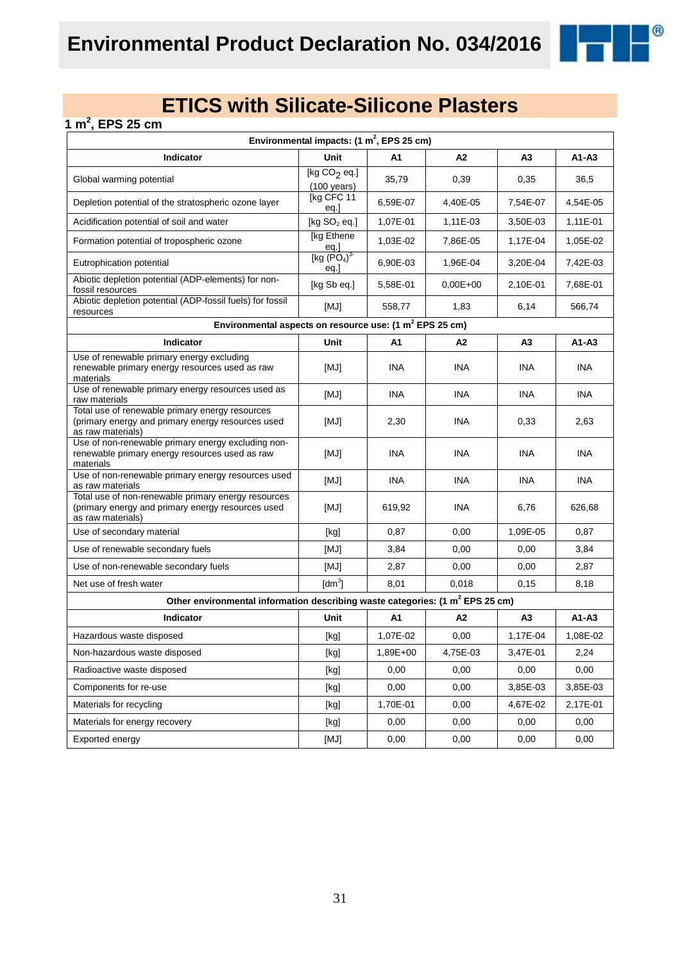®

### **1 m<sup>2</sup> , EPS 25 cm**

| Environmental impacts: $(1 \text{ m}^2,$ EPS 25 cm)                                                                           |                                                                                                                                                                                                                                                                                                                                                                                                                                                                                                                                                                                                                                                                                              |                |            |                |            |
|-------------------------------------------------------------------------------------------------------------------------------|----------------------------------------------------------------------------------------------------------------------------------------------------------------------------------------------------------------------------------------------------------------------------------------------------------------------------------------------------------------------------------------------------------------------------------------------------------------------------------------------------------------------------------------------------------------------------------------------------------------------------------------------------------------------------------------------|----------------|------------|----------------|------------|
| Indicator                                                                                                                     | Unit                                                                                                                                                                                                                                                                                                                                                                                                                                                                                                                                                                                                                                                                                         | A1             | A2         | A3             | A1-A3      |
| Global warming potential                                                                                                      | [kg $CO2$ eq.]<br>$(100 \text{ years})$                                                                                                                                                                                                                                                                                                                                                                                                                                                                                                                                                                                                                                                      | 35,79          | 0,39       | 0,35           | 36,5       |
| Depletion potential of the stratospheric ozone layer                                                                          | [kg CFC 11<br>eq.]                                                                                                                                                                                                                                                                                                                                                                                                                                                                                                                                                                                                                                                                           | 6,59E-07       | 4,40E-05   | 7,54E-07       | 4,54E-05   |
| Acidification potential of soil and water                                                                                     | [kg $SO2$ eq.]                                                                                                                                                                                                                                                                                                                                                                                                                                                                                                                                                                                                                                                                               | 1,07E-01       | 1,11E-03   | 3,50E-03       | 1,11E-01   |
| Formation potential of tropospheric ozone                                                                                     | [kg Ethene<br>eq.]                                                                                                                                                                                                                                                                                                                                                                                                                                                                                                                                                                                                                                                                           | 1,03E-02       | 7,86E-05   | 1,17E-04       | 1,05E-02   |
| Eutrophication potential                                                                                                      | [kg (PO <sub>4</sub> ) <sup>3</sup> ]<br>eq.                                                                                                                                                                                                                                                                                                                                                                                                                                                                                                                                                                                                                                                 | 6,90E-03       | 1,96E-04   | 3,20E-04       | 7,42E-03   |
| Abiotic depletion potential (ADP-elements) for non-<br>fossil resources                                                       | [kg Sb eq.]                                                                                                                                                                                                                                                                                                                                                                                                                                                                                                                                                                                                                                                                                  | 5,58E-01       | $0,00E+00$ | 2,10E-01       | 7,68E-01   |
| Abiotic depletion potential (ADP-fossil fuels) for fossil<br>resources                                                        | [MJ]                                                                                                                                                                                                                                                                                                                                                                                                                                                                                                                                                                                                                                                                                         | 558,77         | 1,83       | 6,14           | 566,74     |
| Environmental aspects on resource use: (1 m <sup>2</sup> EPS 25 cm)                                                           |                                                                                                                                                                                                                                                                                                                                                                                                                                                                                                                                                                                                                                                                                              |                |            |                |            |
| Indicator                                                                                                                     | Unit                                                                                                                                                                                                                                                                                                                                                                                                                                                                                                                                                                                                                                                                                         | A1             | A2         | A3             | A1-A3      |
| Use of renewable primary energy excluding<br>renewable primary energy resources used as raw<br>materials                      | [MJ]                                                                                                                                                                                                                                                                                                                                                                                                                                                                                                                                                                                                                                                                                         | <b>INA</b>     | <b>INA</b> | <b>INA</b>     | <b>INA</b> |
| Use of renewable primary energy resources used as<br>raw materials                                                            | [MJ]                                                                                                                                                                                                                                                                                                                                                                                                                                                                                                                                                                                                                                                                                         | <b>INA</b>     | <b>INA</b> | <b>INA</b>     | <b>INA</b> |
| Total use of renewable primary energy resources<br>(primary energy and primary energy resources used<br>as raw materials)     | [MJ]                                                                                                                                                                                                                                                                                                                                                                                                                                                                                                                                                                                                                                                                                         | 2,30           | <b>INA</b> | 0,33           | 2,63       |
| Use of non-renewable primary energy excluding non-<br>renewable primary energy resources used as raw<br>materials             | [MJ]                                                                                                                                                                                                                                                                                                                                                                                                                                                                                                                                                                                                                                                                                         | <b>INA</b>     | INA        | <b>INA</b>     | <b>INA</b> |
| Use of non-renewable primary energy resources used<br>as raw materials                                                        | [MJ]                                                                                                                                                                                                                                                                                                                                                                                                                                                                                                                                                                                                                                                                                         | <b>INA</b>     | <b>INA</b> | <b>INA</b>     | <b>INA</b> |
| Total use of non-renewable primary energy resources<br>(primary energy and primary energy resources used<br>as raw materials) | [MJ]                                                                                                                                                                                                                                                                                                                                                                                                                                                                                                                                                                                                                                                                                         | 619,92         | <b>INA</b> | 6,76           | 626,68     |
| Use of secondary material                                                                                                     | [kg]                                                                                                                                                                                                                                                                                                                                                                                                                                                                                                                                                                                                                                                                                         | 0,87           | 0,00       | 1,09E-05       | 0,87       |
| Use of renewable secondary fuels                                                                                              | [MJ]                                                                                                                                                                                                                                                                                                                                                                                                                                                                                                                                                                                                                                                                                         | 3,84           | 0,00       | 0,00           | 3,84       |
| Use of non-renewable secondary fuels                                                                                          | [MJ]                                                                                                                                                                                                                                                                                                                                                                                                                                                                                                                                                                                                                                                                                         | 2,87           | 0,00       | 0,00           | 2,87       |
| Net use of fresh water                                                                                                        | $\text{[dm}^3$                                                                                                                                                                                                                                                                                                                                                                                                                                                                                                                                                                                                                                                                               | 8,01           | 0,018      | 0,15           | 8,18       |
| Other environmental information describing waste categories: (1 m <sup>2</sup> EPS 25 cm)                                     |                                                                                                                                                                                                                                                                                                                                                                                                                                                                                                                                                                                                                                                                                              |                |            |                |            |
| Indicator                                                                                                                     | Unit                                                                                                                                                                                                                                                                                                                                                                                                                                                                                                                                                                                                                                                                                         | A <sub>1</sub> | A2         | A <sub>3</sub> | $A1 - A3$  |
| Hazardous waste disposed                                                                                                      | [kg]                                                                                                                                                                                                                                                                                                                                                                                                                                                                                                                                                                                                                                                                                         | 1,07E-02       | 0,00       | 1,17E-04       | 1,08E-02   |
| Non-hazardous waste disposed                                                                                                  | $[kg] % \begin{center} % \includegraphics[width=\linewidth]{imagesSupplemental/Imetad-Architecture.png} % \end{center} % \caption { % \begin{subfigure}[M5]{0.23\textwidth} \includegraphics[width=\linewidth]{imagesSupplemental/Imetad-Architecture.png} } % \end{subfigure} % \begin{subfigure}[M5]{0.23\textwidth} \includegraphics[width=\linewidth]{imagesSupplemental/Imetad-Architecture.png} } % \end{subfigure} % \caption { % \begin{subfigure}[M5]{0.23\textwidth} \includegraphics[width=\linewidth]{imagesSupplemental/Imetad-Architecture.png} } % \end{subfigure} % \caption{ % \begin{subfigure}[M5]{0.23\textwidth} \includegraphics[width=\linewidth]{imagesSupplemental$ | 1,89E+00       | 4,75E-03   | 3,47E-01       | 2,24       |
| Radioactive waste disposed                                                                                                    | $[kg] % \begin{center} % \includegraphics[width=\linewidth]{imagesSupplemental/Imetad-Architecture.png} % \end{center} % \caption { % \begin{subfigure}[M5]{0.23\textwidth} \includegraphics[width=\linewidth]{imagesSupplemental/Imetad-Architecture.png} } % \end{subfigure} % \begin{subfigure}[M5]{0.23\textwidth} \includegraphics[width=\linewidth]{imagesSupplemental/Imetad-Architecture.png} } % \end{subfigure} % \caption { % \begin{subfigure}[M5]{0.23\textwidth} \includegraphics[width=\linewidth]{imagesSupplemental/Imetad-Architecture.png} } % \end{subfigure} % \caption{ % \begin{subfigure}[M5]{0.23\textwidth} \includegraphics[width=\linewidth]{imagesSupplemental$ | 0,00           | 0,00       | 0,00           | 0,00       |
| Components for re-use                                                                                                         | [kg]                                                                                                                                                                                                                                                                                                                                                                                                                                                                                                                                                                                                                                                                                         | 0,00           | 0,00       | 3,85E-03       | 3,85E-03   |
| Materials for recycling                                                                                                       | [kg]                                                                                                                                                                                                                                                                                                                                                                                                                                                                                                                                                                                                                                                                                         | 1,70E-01       | 0,00       | 4,67E-02       | 2,17E-01   |
| Materials for energy recovery                                                                                                 | [kg]                                                                                                                                                                                                                                                                                                                                                                                                                                                                                                                                                                                                                                                                                         | 0,00           | 0,00       | 0,00           | 0,00       |
| Exported energy                                                                                                               | [MJ]                                                                                                                                                                                                                                                                                                                                                                                                                                                                                                                                                                                                                                                                                         | 0,00           | 0,00       | 0,00           | 0,00       |